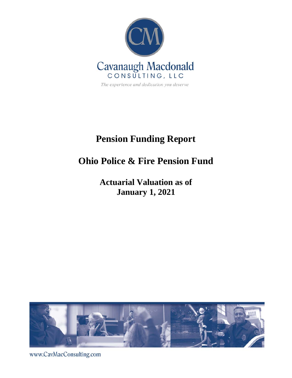

# **Pension Funding Report**

# **Ohio Police & Fire Pension Fund**

# **Actuarial Valuation as of January 1, 2021**



www.CavMacConsulting.com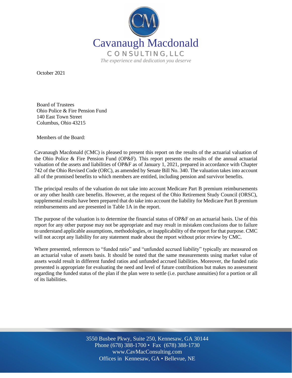

October 2021

Board of Trustees Ohio Police & Fire Pension Fund 140 East Town Street Columbus, Ohio 43215

Members of the Board:

Cavanaugh Macdonald (CMC) is pleased to present this report on the results of the actuarial valuation of the Ohio Police & Fire Pension Fund (OP&F). This report presents the results of the annual actuarial valuation of the assets and liabilities of OP&F as of January 1, 2021, prepared in accordance with Chapter 742 of the Ohio Revised Code (ORC), as amended by Senate Bill No. 340. The valuation takes into account all of the promised benefits to which members are entitled, including pension and survivor benefits.

The principal results of the valuation do not take into account Medicare Part B premium reimbursements or any other health care benefits. However, at the request of the Ohio Retirement Study Council (ORSC), supplemental results have been prepared that do take into account the liability for Medicare Part B premium reimbursements and are presented in Table 1A in the report.

The purpose of the valuation is to determine the financial status of OP&F on an actuarial basis. Use of this report for any other purpose may not be appropriate and may result in mistaken conclusions due to failure to understand applicable assumptions, methodologies, or inapplicability of the report for that purpose. CMC will not accept any liability for any statement made about the report without prior review by CMC.

Where presented, references to "funded ratio" and "unfunded accrued liability" typically are measured on an actuarial value of assets basis. It should be noted that the same measurements using market value of assets would result in different funded ratios and unfunded accrued liabilities. Moreover, the funded ratio presented is appropriate for evaluating the need and level of future contributions but makes no assessment regarding the funded status of the plan if the plan were to settle (i.e. purchase annuities) for a portion or all of its liabilities.

> Off Offices in Kennesaw, GA • Bellevue, NE 3550 Busbee Pkwy, Suite 250, Kennesaw, GA 30144 Phone (678) 388-1700 • Fax (678) 388-1730 www.CavMacConsulting.com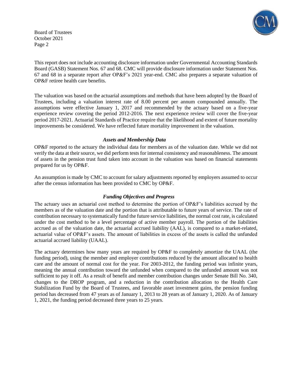Board of Trustees October 2021 Page 2



This report does not include accounting disclosure information under Governmental Accounting Standards Board (GASB) Statement Nos. 67 and 68. CMC will provide disclosure information under Statement Nos. 67 and 68 in a separate report after OP&F's 2021 year-end. CMC also prepares a separate valuation of OP&F retiree health care benefits.

The valuation was based on the actuarial assumptions and methods that have been adopted by the Board of Trustees, including a valuation interest rate of 8.00 percent per annum compounded annually. The assumptions were effective January 1, 2017 and recommended by the actuary based on a five-year experience review covering the period 2012-2016. The next experience review will cover the five-year period 2017-2021. Actuarial Standards of Practice require that the likelihood and extent of future mortality improvements be considered. We have reflected future mortality improvement in the valuation.

#### *Assets and Membership Data*

OP&F reported to the actuary the individual data for members as of the valuation date. While we did not verify the data at their source, we did perform tests for internal consistency and reasonableness. The amount of assets in the pension trust fund taken into account in the valuation was based on financial statements prepared for us by OP&F.

An assumption is made by CMC to account for salary adjustments reported by employers assumed to occur after the census information has been provided to CMC by OP&F.

### *Funding Objectives and Progress*

The actuary uses an actuarial cost method to determine the portion of OP&F's liabilities accrued by the members as of the valuation date and the portion that is attributable to future years of service. The rate of contribution necessary to systematically fund the future service liabilities, the normal cost rate, is calculated under the cost method to be a level percentage of active member payroll. The portion of the liabilities accrued as of the valuation date, the actuarial accrued liability (AAL), is compared to a market-related, actuarial value of OP&F's assets. The amount of liabilities in excess of the assets is called the unfunded actuarial accrued liability (UAAL).

The actuary determines how many years are required by OP&F to completely amortize the UAAL (the funding period), using the member and employer contributions reduced by the amount allocated to health care and the amount of normal cost for the year. For 2003-2012, the funding period was infinite years, meaning the annual contribution toward the unfunded when compared to the unfunded amount was not sufficient to pay it off. As a result of benefit and member contribution changes under Senate Bill No. 340, changes to the DROP program, and a reduction in the contribution allocation to the Health Care Stabilization Fund by the Board of Trustees, and favorable asset investment gains, the pension funding period has decreased from 47 years as of January 1, 2013 to 28 years as of January 1, 2020. As of January 1, 2021, the funding period decreased three years to 25 years.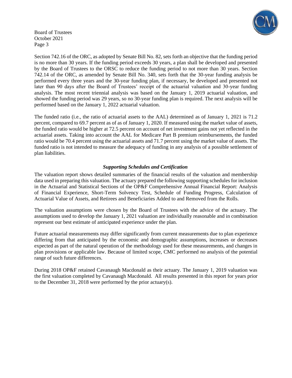

Board of Trustees October 2021 Page 3

Section 742.16 of the ORC, as adopted by Senate Bill No. 82, sets forth an objective that the funding period is no more than 30 years. If the funding period exceeds 30 years, a plan shall be developed and presented by the Board of Trustees to the ORSC to reduce the funding period to not more than 30 years. Section 742.14 of the ORC, as amended by Senate Bill No. 340, sets forth that the 30-year funding analysis be performed every three years and the 30-year funding plan, if necessary, be developed and presented not later than 90 days after the Board of Trustees' receipt of the actuarial valuation and 30-year funding analysis. The most recent triennial analysis was based on the January 1, 2019 actuarial valuation, and showed the funding period was 29 years, so no 30-year funding plan is required. The next analysis will be performed based on the January 1, 2022 actuarial valuation.

The funded ratio (i.e., the ratio of actuarial assets to the AAL) determined as of January 1, 2021 is 71.2 percent, compared to 69.7 percent as of as of January 1, 2020. If measured using the market value of assets, the funded ratio would be higher at 72.5 percent on account of net investment gains not yet reflected in the actuarial assets. Taking into account the AAL for Medicare Part B premium reimbursements, the funded ratio would be 70.4 percent using the actuarial assets and 71.7 percent using the market value of assets. The funded ratio is not intended to measure the adequacy of funding in any analysis of a possible settlement of plan liabilities.

### *Supporting Schedules and Certification*

The valuation report shows detailed summaries of the financial results of the valuation and membership data used in preparing this valuation. The actuary prepared the following supporting schedules for inclusion in the Actuarial and Statistical Sections of the OP&F Comprehensive Annual Financial Report: Analysis of Financial Experience, Short-Term Solvency Test, Schedule of Funding Progress, Calculation of Actuarial Value of Assets, and Retirees and Beneficiaries Added to and Removed from the Rolls.

The valuation assumptions were chosen by the Board of Trustees with the advice of the actuary. The assumptions used to develop the January 1, 2021 valuation are individually reasonable and in combination represent our best estimate of anticipated experience under the plan.

Future actuarial measurements may differ significantly from current measurements due to plan experience differing from that anticipated by the economic and demographic assumptions, increases or decreases expected as part of the natural operation of the methodology used for these measurements, and changes in plan provisions or applicable law. Because of limited scope, CMC performed no analysis of the potential range of such future differences.

During 2018 OP&F retained Cavanaugh Macdonald as their actuary. The January 1, 2019 valuation was the first valuation completed by Cavanaugh Macdonald. All results presented in this report for years prior to the December 31, 2018 were performed by the prior actuary(s).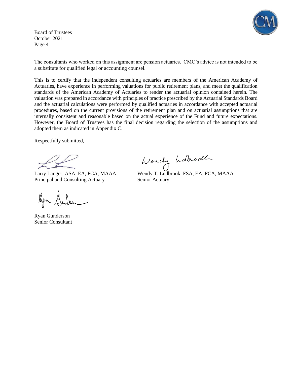Board of Trustees October 2021 Page 4

The consultants who worked on this assignment are pension actuaries. CMC's advice is not intended to be a substitute for qualified legal or accounting counsel.

This is to certify that the independent consulting actuaries are members of the American Academy of Actuaries, have experience in performing valuations for public retirement plans, and meet the qualification standards of the American Academy of Actuaries to render the actuarial opinion contained herein. The valuation was prepared in accordance with principles of practice prescribed by the Actuarial Standards Board and the actuarial calculations were performed by qualified actuaries in accordance with accepted actuarial procedures, based on the current provisions of the retirement plan and on actuarial assumptions that are internally consistent and reasonable based on the actual experience of the Fund and future expectations. However, the Board of Trustees has the final decision regarding the selection of the assumptions and adopted them as indicated in Appendix C.

Respectfully submitted,

Principal and Consulting Actuary Senior Actuary

Kym Gunder

Ryan Gunderson Senior Consultant

Wendy holhodle

Larry Langer, ASA, EA, FCA, MAAA Wendy T. Ludbrook, FSA, EA, FCA, MAAA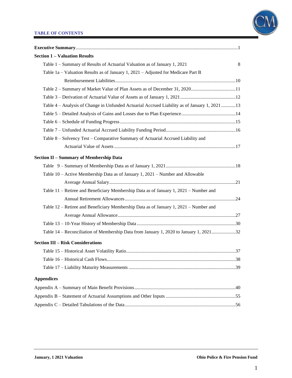### **TABLE OF CONTENTS**



| <b>Section 1 - Valuation Results</b>                                                         |
|----------------------------------------------------------------------------------------------|
| Table 1 – Summary of Results of Actuarial Valuation as of January 1, 2021<br>8               |
| Table 1a – Valuation Results as of January 1, $2021$ – Adjusted for Medicare Part B          |
|                                                                                              |
| Table 2 - Summary of Market Value of Plan Assets as of December 31, 202011                   |
|                                                                                              |
| Table 4 – Analysis of Change in Unfunded Actuarial Accrued Liability as of January 1, 202113 |
|                                                                                              |
|                                                                                              |
|                                                                                              |
| Table 8 - Solvency Test - Comparative Summary of Actuarial Accrued Liability and             |
|                                                                                              |
| <b>Section II - Summary of Membership Data</b>                                               |
|                                                                                              |
| Table 10 – Active Membership Data as of January 1, 2021 – Number and Allowable               |
|                                                                                              |
| Table 11 – Retiree and Beneficiary Membership Data as of January 1, 2021 – Number and        |
|                                                                                              |
| Table 12 – Retiree and Beneficiary Membership Data as of January 1, 2021 – Number and        |
|                                                                                              |
|                                                                                              |
| Table 14 - Reconciliation of Membership Data from January 1, 2020 to January 1, 202132       |
| <b>Section III - Risk Considerations</b>                                                     |
|                                                                                              |
|                                                                                              |
|                                                                                              |
|                                                                                              |
| <b>Appendices</b>                                                                            |
|                                                                                              |
|                                                                                              |
|                                                                                              |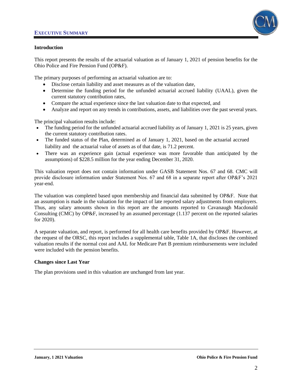

### **Introduction**

This report presents the results of the actuarial valuation as of January 1, 2021 of pension benefits for the Ohio Police and Fire Pension Fund (OP&F).

The primary purposes of performing an actuarial valuation are to:

- Disclose certain liability and asset measures as of the valuation date,
- Determine the funding period for the unfunded actuarial accrued liability (UAAL), given the current statutory contribution rates,
- Compare the actual experience since the last valuation date to that expected, and
- Analyze and report on any trends in contributions, assets, and liabilities over the past several years.

The principal valuation results include:

- The funding period for the unfunded actuarial accrued liability as of January 1, 2021 is 25 years, given the current statutory contribution rates.
- The funded status of the Plan, determined as of January 1, 2021, based on the actuarial accrued liability and the actuarial value of assets as of that date, is 71.2 percent.
- There was an experience gain (actual experience was more favorable than anticipated by the assumptions) of \$228.5 million for the year ending December 31, 2020.

This valuation report does not contain information under GASB Statement Nos. 67 and 68. CMC will provide disclosure information under Statement Nos. 67 and 68 in a separate report after OP&F's 2021 year-end.

The valuation was completed based upon membership and financial data submitted by OP&F. Note that an assumption is made in the valuation for the impact of late reported salary adjustments from employers. Thus, any salary amounts shown in this report are the amounts reported to Cavanaugh Macdonald Consulting (CMC) by OP&F, increased by an assumed percentage (1.137 percent on the reported salaries for 2020).

A separate valuation, and report, is performed for all health care benefits provided by OP&F. However, at the request of the ORSC, this report includes a supplemental table, Table 1A, that discloses the combined valuation results if the normal cost and AAL for Medicare Part B premium reimbursements were included were included with the pension benefits.

### **Changes since Last Year**

The plan provisions used in this valuation are unchanged from last year.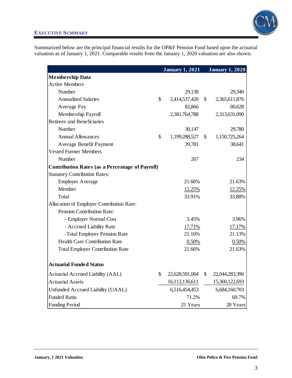

Summarized below are the principal financial results for the OP&F Pension Fund based upon the actuarial valuation as of January 1, 2021. Comparable results from the January 1, 2020 valuation are also shown.

|                                                        | <b>January 1, 2021</b> |              | <b>January 1, 2020</b> |
|--------------------------------------------------------|------------------------|--------------|------------------------|
| <b>Membership Data</b>                                 |                        |              |                        |
| <b>Active Members</b>                                  |                        |              |                        |
| Number                                                 | 29,138                 |              | 29,340                 |
| <b>Annualized Salaries</b>                             | \$<br>2,414,537,420    | $\mathbb{S}$ | 2,365,611,876          |
| Average Pay                                            | 82,866                 |              | 80,628                 |
| Membership Payroll                                     | 2,381,764,788          |              | 2,313,631,090          |
| Retirees and Beneficiaries                             |                        |              |                        |
| Number                                                 | 30,147                 |              | 29,780                 |
| <b>Annual Allowances</b>                               | \$<br>1,199,288,527    | \$           | 1,150,725,264          |
| Average Benefit Payment                                | 39,781                 |              | 38,641                 |
| <b>Vested Former Members</b>                           |                        |              |                        |
| Number                                                 | 267                    |              | 234                    |
| <b>Contribution Rates (as a Percentage of Payroll)</b> |                        |              |                        |
| <b>Statutory Contribution Rates:</b>                   |                        |              |                        |
| <b>Employer Average</b>                                | 21.66%                 |              | 21.63%                 |
| Member                                                 | 12.25%                 |              | 12.25%                 |
| Total                                                  | 33.91%                 |              | 33.88%                 |
| Allocation of Employer Contribution Rate:              |                        |              |                        |
| <b>Pension Contribution Rate:</b>                      |                        |              |                        |
| - Employer Normal Cost                                 | 3.45%                  |              | 3.96%                  |
| - Accrued Liability Rate                               | 17.71%                 |              | 17.17%                 |
| -Total Employer Pension Rate                           | 21.16%                 |              | 21.13%                 |
| <b>Health Care Contribution Rate</b>                   | 0.50%                  |              | 0.50%                  |
| <b>Total Employer Contribution Rate</b>                | 21.66%                 |              | 21.63%                 |
| <b>Actuarial Funded Status</b>                         |                        |              |                        |
| Actuarial Accrued Liability (AAL)                      | \$<br>22,628,591,064   | $\mathbb{S}$ | 22,044,283,396         |
| <b>Actuarial Assets</b>                                | 16,112,136,611         |              | 15,360,122,693         |
| Unfunded Accrued Liability (UAAL)                      | 6,516,454,453          |              | 6,684,160,703          |
| <b>Funded Ratio</b>                                    | 71.2%                  |              | 69.7%                  |
| <b>Funding Period</b>                                  | 25 Years               |              | 28 Years               |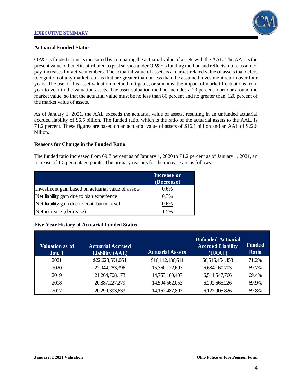

### **Actuarial Funded Status**

OP&F's funded status is measured by comparing the actuarial value of assets with the AAL. The AAL is the present value of benefits attributed to past service under OP&F'sfunding method and reflects future assumed pay increases for active members. The actuarial value of assets is a market-related value of assets that defers recognition of any market returns that are greater than or less than the assumed investment return over four years. The use of this asset valuation method mitigates, or smooths, the impact of market fluctuations from year to year in the valuation assets. The asset valuation method includes a 20 percent corridor around the market value, so that the actuarial value must be no less than 80 percent and no greater than 120 percent of the market value of assets.

As of January 1, 2021, the AAL exceeds the actuarial value of assets, resulting in an unfunded actuarial accrued liability of \$6.5 billion. The funded ratio, which is the ratio of the actuarial assets to the AAL, is 71.2 percent. These figures are based on an actuarial value of assets of \$16.1 billion and an AAL of \$22.6 billion.

### **Reasons for Change in the Funded Ratio**

The funded ratio increased from 69.7 percent as of January 1, 2020 to 71.2 percent as of January 1, 2021, an increase of 1.5 percentage points. The primary reasons for the increase are as follows:

|                                                    | <b>Increase or</b> |
|----------------------------------------------------|--------------------|
|                                                    | (Decrease)         |
| Investment gain based on actuarial value of assets | 0.6%               |
| Net liability gain due to plan experience          | 0.3%               |
| Net liability gain due to contribution level       | 0.6%               |
| Net increase (decrease)                            | 1.5%               |

# **Five-Year History of Actuarial Funded Status**

| Valuation as of<br>Jan.1 | <b>Actuarial Accrued</b><br><b>Liability (AAL)</b> | <b>Actuarial Assets</b> | <b>Unfunded Actuarial</b><br><b>Accrued Liability</b><br>(UAAL) | <b>Funded</b><br><b>Ratio</b> |
|--------------------------|----------------------------------------------------|-------------------------|-----------------------------------------------------------------|-------------------------------|
| 2021                     | \$22,628,591,064                                   | \$16,112,136,611        | \$6,516,454,453                                                 | 71.2%                         |
| 2020                     | 22,044,283,396                                     | 15,360,122,693          | 6,684,160,703                                                   | 69.7%                         |
| 2019                     | 21,264,708,173                                     | 14,753,160,407          | 6,511,547,766                                                   | 69.4%                         |
| 2018                     | 20,887,227,279                                     | 14,594,562,053          | 6,292,665,226                                                   | 69.9%                         |
| 2017                     | 20,290,393,633                                     | 14, 162, 487, 807       | 6,127,905,826                                                   | 69.8%                         |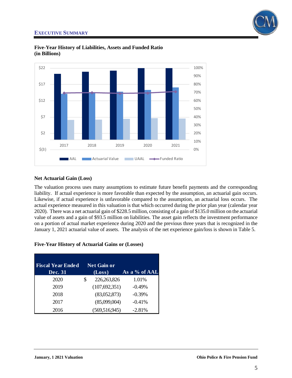



**Five-Year History of Liabilities, Assets and Funded Ratio (in Billions)**

### **Net Actuarial Gain (Loss)**

The valuation process uses many assumptions to estimate future benefit payments and the corresponding liability. If actual experience is more favorable than expected by the assumption, an actuarial gain occurs. Likewise, if actual experience is unfavorable compared to the assumption, an actuarial loss occurs. The actual experience measured in this valuation is that which occurred during the prior plan year (calendar year 2020). There was a net actuarial gain of \$228.5 million, consisting of a gain of \$135.0 million on the actuarial value of assets and a gain of \$93.5 million on liabilities. The asset gain reflects the investment performance on a portion of actual market experience during 2020 and the previous three years that is recognized in the January 1, 2021 actuarial value of assets. The analysis of the net experience gain/loss is shown in Table 5.

### **Five-Year History of Actuarial Gains or (Losses)**

| Fiscal Year Ended |   | <b>Net Gain or</b> |               |
|-------------------|---|--------------------|---------------|
| <b>Dec. 31</b>    |   | (Loss)             | As a % of AAL |
| 2020              | S | 226, 263, 826      | 1.01%         |
| 2019              |   | (107,692,351)      | $-0.49%$      |
| 2018              |   | (83,052,873)       | $-0.39%$      |
| 2017              |   | (85,099,004)       | $-0.41%$      |
| 2016              |   | (569, 516, 945)    | $-2.81%$      |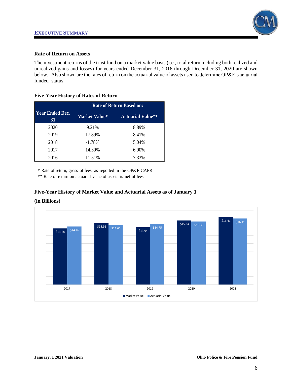

### **Rate of Return on Assets**

The investment returns of the trust fund on a market value basis (i.e., total return including both realized and unrealized gains and losses) for years ended December 31, 2016 through December 31, 2020 are shown below. Also shown are the rates of return on the actuarial value of assets used to determine OP&F's actuarial funded status.

**Five-Year History of Rates of Return**

|                              | <b>Rate of Return Based on:</b> |                          |  |  |  |  |  |
|------------------------------|---------------------------------|--------------------------|--|--|--|--|--|
| <b>Year Ended Dec.</b><br>31 | <b>Market Value*</b>            | <b>Actuarial Value**</b> |  |  |  |  |  |
| 2020                         | 9.21%                           | 8.89%                    |  |  |  |  |  |
| 2019                         | 17.89%                          | 8.41%                    |  |  |  |  |  |
| 2018                         | $-1.78%$                        | 5.04%                    |  |  |  |  |  |
| 2017                         | 14.30%                          | 6.90%                    |  |  |  |  |  |
| 2016                         | 11.51%                          | 7.33%                    |  |  |  |  |  |

\* Rate of return, gross of fees, as reported in the OP&F CAFR

\*\* Rate of return on actuarial value of assets is net of fees

# **Five-Year History of Market Value and Actuarial Assets as of January 1**

### **(in Billions)**

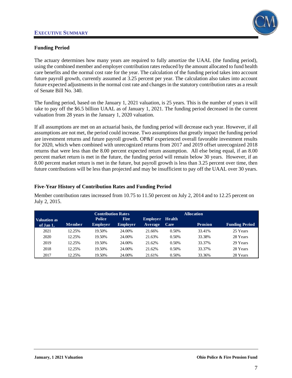

# **Funding Period**

The actuary determines how many years are required to fully amortize the UAAL (the funding period), using the combined member and employer contribution rates reduced by the amount allocated to fund health care benefits and the normal cost rate for the year. The calculation of the funding period takes into account future payroll growth, currently assumed at 3.25 percent per year. The calculation also takes into account future expected adjustments in the normal cost rate and changes in the statutory contribution rates as a result of Senate Bill No. 340.

The funding period, based on the January 1, 2021 valuation, is 25 years. This is the number of years it will take to pay off the \$6.5 billion UAAL as of January 1, 2021. The funding period decreased in the current valuation from 28 years in the January 1, 2020 valuation.

If all assumptions are met on an actuarial basis, the funding period will decrease each year. However, if all assumptions are not met, the period could increase. Two assumptions that greatly impact the funding period are investment returns and future payroll growth. OP&F experienced overall favorable investment results for 2020, which when combined with unrecognized returns from 2017 and 2019 offset unrecognized 2018 returns that were less than the 8.00 percent expected return assumption. All else being equal, if an 8.00 percent market return is met in the future, the funding period will remain below 30 years. However, if an 8.00 percent market return is met in the future, but payroll growth is less than 3.25 percent over time, then future contributions will be less than projected and may be insufficient to pay off the UAAL over 30 years.

# **Five-Year History of Contribution Rates and Funding Period**

Member contribution rates increased from 10.75 to 11.50 percent on July 2, 2014 and to 12.25 percent on July 2, 2015.

|                     | <b>Contribution Rates</b> |                 |                 |                        |       | <b>Allocation</b> |                       |
|---------------------|---------------------------|-----------------|-----------------|------------------------|-------|-------------------|-----------------------|
| <b>Valuation as</b> |                           | <b>Police</b>   | <b>Fire</b>     | <b>Employer</b> Health |       |                   |                       |
| of Jan 1,           | <b>Member</b>             | <b>Employer</b> | <b>Employer</b> | <b>Average</b>         | Care  | <b>Pension</b>    | <b>Funding Period</b> |
| 2021                | 12.25%                    | 19.50%          | 24.00%          | 21.66%                 | 0.50% | 33.41%            | 25 Years              |
| 2020                | 12.25%                    | 19.50%          | 24.00%          | 21.63%                 | 0.50% | 33.38%            | 28 Years              |
| 2019                | 12.25%                    | 19.50%          | 24.00%          | 21.62%                 | 0.50% | 33.37%            | 29 Years              |
| 2018                | 12.25%                    | 19.50%          | 24.00%          | 21.62%                 | 0.50% | 33.37%            | 28 Years              |
| 2017                | 12.25%                    | 19.50%          | 24.00%          | 21.61%                 | 0.50% | 33.36%            | 28 Years              |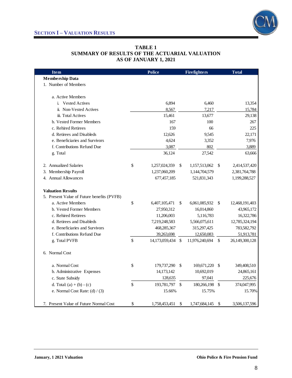



### **TABLE 1 SUMMARY OF RESULTS OF THE ACTUARIAL VALUATION AS OF JANUARY 1, 2021**

| <b>Item</b>                                | <b>Police</b>        |               | <b>Firefighters</b> |               | <b>Total</b>   |
|--------------------------------------------|----------------------|---------------|---------------------|---------------|----------------|
| <b>Membership Data</b>                     |                      |               |                     |               |                |
| 1. Number of Members                       |                      |               |                     |               |                |
| a. Active Members                          |                      |               |                     |               |                |
| i. Vested Actives                          | 6,894                |               | 6,460               |               | 13,354         |
| ii. Non-Vested Actives                     | 8,567                |               | 7,217               |               | 15,784         |
| iii. Total Actives                         | 15,461               |               | 13,677              |               | 29,138         |
| b. Vested Former Members                   | 167                  |               | 100                 |               | 267            |
| c. Rehired Retirees                        | 159                  |               | 66                  |               | 225            |
| d. Retirees and Disableds                  | 12,626               |               | 9.545               |               | 22,171         |
| e. Beneficiaries and Survivors             | 4,624                |               | 3,352               |               | 7,976          |
| f. Contributions Refund Due                | 3,087                |               | 802                 |               | 3,889          |
| g. Total                                   | 36,124               |               | 27,542              |               | 63,666         |
| 2. Annualized Salaries                     | \$<br>1,257,024,359  | \$            | 1,157,513,062       | \$            | 2,414,537,420  |
| 3. Membership Payroll                      | 1,237,060,209        |               | 1,144,704,579       |               | 2,381,764,788  |
| 4. Annual Allowances                       | 677,457,185          |               | 521,831,343         |               | 1,199,288,527  |
| <b>Valuation Results</b>                   |                      |               |                     |               |                |
| 5. Present Value of Future benefits (PVFB) |                      |               |                     |               |                |
| a. Active Members                          | \$<br>6,407,105,471  | \$            | 6,061,085,932       | \$            | 12,468,191,403 |
| b. Vested Former Members                   | 27,950,312           |               | 16,014,860          |               | 43,965,172     |
| c. Rehired Retirees                        | 11,206,003           |               | 5,116,783           |               | 16,322,786     |
| d. Retirees and Disableds                  | 7,219,248,583        |               | 5,566,075,611       |               | 12,785,324,194 |
| e. Beneficiaries and Survivors             | 468,285,367          |               | 315,297,425         |               | 783,582,792    |
| f. Contributions Refund Due                | 39,263,698           |               | 12,650,083          |               | 51,913,781     |
| g. Total PVFB                              | \$<br>14,173,059,434 | -\$           | 11,976,240,694      | \$            | 26,149,300,128 |
| 6. Normal Cost                             |                      |               |                     |               |                |
| a. Normal Cost                             | \$<br>179,737,290    | -\$           | 169,671,220         | -S            | 349,408,510    |
| b. Administrative Expenses                 | 14,173,142           |               | 10,692,019          |               | 24,865,161     |
| c. State Subsidy                           | 128,635              |               | 97,041              |               | 225,676        |
| d. Total: $(a) + (b) - (c)$                | \$<br>193,781,797    | $\mathcal{S}$ | 180,266,198         | $\mathcal{S}$ | 374,047,995    |
| e. Normal Cost Rate: $(d) / (3)$           | 15.66%               |               | 15.75%              |               | 15.70%         |
| 7. Present Value of Future Normal Cost     | \$<br>1,758,453,451  | \$            | 1,747,684,145       | \$            | 3,506,137,596  |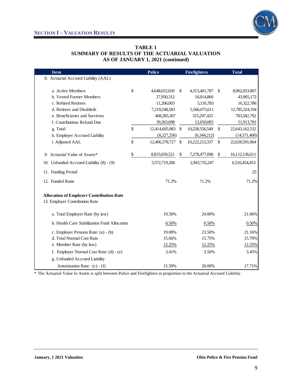

### **TABLE 1 SUMMARY OF RESULTS OF THE ACTUARIAL VALUATION AS OF JANUARY 1, 2021 (continued)**

| <b>Item</b>                                     | <b>Police</b>        | <b>Firefighters</b>  | <b>Total</b>         |
|-------------------------------------------------|----------------------|----------------------|----------------------|
| 8. Actuarial Accrued Liability (AAL)            |                      |                      |                      |
|                                                 |                      |                      |                      |
| a. Active Members                               | \$<br>4,648,652,020  | \$<br>4,313,401,787  | \$<br>8,962,053,807  |
| b. Vested Former Members                        | 27,950,312           | 16,014,860           | 43,965,172           |
| c. Rehired Retirees                             | 11,206,003           | 5,116,783            | 16,322,786           |
| d. Retirees and Disableds                       | 7,219,248,583        | 5,566,075,611        | 12,785,324,194       |
| e. Beneficiaries and Survivors                  | 468,285,367          | 315,297,425          | 783,582,792          |
| f. Contributions Refund Due                     | 39,263,698           | 12,650,083           | 51,913,781           |
| g. Total                                        | \$<br>12,414,605,983 | \$<br>10,228,556,549 | \$<br>22,643,162,532 |
| h. Employer Accrued Liability                   | (8,227,256)          | (6,344,212)          | (14,571,468)         |
| i. Adjusted AAL                                 | \$<br>12,406,378,727 | \$<br>10,222,212,337 | \$<br>22,628,591,064 |
| 9. Actuarial Value of Assets*                   | \$<br>8,833,659,521  | \$<br>7,278,477,090  | \$<br>16,112,136,611 |
| 10. Unfunded Accrued Liability (8) - (9)        | 3,572,719,206        | 2,943,735,247        | 6,516,454,453        |
| 11. Funding Period                              |                      |                      | 25                   |
| 12. Funded Ratio                                | 71.2%                | 71.2%                | 71.2%                |
| <b>Allocation of Employer Contribution Rate</b> |                      |                      |                      |
| 13. Employer Contribution Rate                  |                      |                      |                      |
| a. Total Employer Rate (by law)                 | 19.50%               | 24.00%               | 21.66%               |
| b. Health Care Stabilization Fund Allocation    | 0.50%                | 0.50%                | 0.50%                |
| c. Employer Pension Rate: (a) - (b)             | 19.00%               | 23.50%               | 21.16%               |
| d. Total Normal Cost Rate                       | 15.66%               | 15.75%               | 15.70%               |
| e. Member Rate (by law)                         | 12.25%               | 12.25%               | 12.25%               |
| f. Employer Normal Cost Rate: (d) - (e)         | 3.41%                | 3.50%                | 3.45%                |
| g. Unfunded Accrued Liability                   |                      |                      |                      |
| Amortization Rate: (c) - (f)                    | 15.59%               | 20.00%               | 17.71%               |

\* The Actuarial Value fo Assets is split between Police and Firefighters in proportion to the Actuarial Accrued Liability.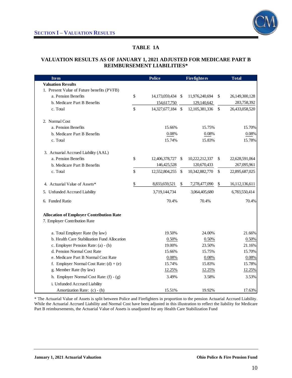

# **TABLE 1A**

### **VALUATION RESULTS AS OF JANUARY 1, 2021 ADJUSTED FOR MEDICARE PART B REIMBURSEMENT LIABILITIES\***

| <b>Item</b>                                                                      | <b>Police</b>           |               | <b>Firefighters</b> |               | <b>Total</b>   |
|----------------------------------------------------------------------------------|-------------------------|---------------|---------------------|---------------|----------------|
| <b>Valuation Results</b>                                                         |                         |               |                     |               |                |
| 1. Present Value of Future benefits (PVFB)                                       |                         |               |                     |               |                |
| a. Pension Benefits                                                              | \$<br>14,173,059,434 \$ |               | 11,976,240,694      | \$            | 26,149,300,128 |
| b. Medicare Part B Benefits                                                      | 154,617,750             |               | 129,140,642         |               | 283,758,392    |
| c. Total                                                                         | \$<br>14,327,677,184 \$ |               | 12, 105, 381, 336   | $\mathcal{S}$ | 26,433,058,520 |
| 2. Normal Cost                                                                   |                         |               |                     |               |                |
| a. Pension Benefits                                                              | 15.66%                  |               | 15.75%              |               | 15.70%         |
| b. Medicare Part B Benefits                                                      | 0.08%                   |               | 0.08%               |               | 0.08%          |
| c. Total                                                                         | 15.74%                  |               | 15.83%              |               | 15.78%         |
| 3. Actuarial Accrued Liability (AAL)                                             |                         |               |                     |               |                |
| a. Pension Benefits                                                              | \$<br>12,406,378,727    | - \$          | 10,222,212,337      | \$            | 22,628,591,064 |
| b. Medicare Part B Benefits                                                      | 146,425,528             |               | 120,670,433         |               | 267,095,961    |
| c. Total                                                                         | \$<br>12,552,804,255    | $\mathcal{S}$ | 10,342,882,770      | $\mathcal{S}$ | 22,895,687,025 |
| 4. Actuarial Value of Assets*                                                    | \$<br>8,833,659,521     | \$            | 7,278,477,090       | \$            | 16,112,136,611 |
| 5. Unfunded Accrued Liability                                                    | 3,719,144,734           |               | 3,064,405,680       |               | 6,783,550,414  |
| 6. Funded Ratio                                                                  | 70.4%                   |               | 70.4%               |               | 70.4%          |
| <b>Allocation of Employer Contribution Rate</b><br>7. Employer Contribution Rate |                         |               |                     |               |                |
| a. Total Employer Rate (by law)                                                  | 19.50%                  |               | 24.00%              |               | 21.66%         |
| b. Health Care Stabilization Fund Allocation                                     | 0.50%                   |               | 0.50%               |               | 0.50%          |
| c. Employer Pension Rate: (a) - (b)                                              | 19.00%                  |               | 23.50%              |               | 21.16%         |
| d. Pension Normal Cost Rate                                                      | 15.66%                  |               | 15.75%              |               | 15.70%         |
| e. Medicare Part B Normal Cost Rate                                              | 0.08%                   |               | 0.08%               |               | 0.08%          |
| f. Employer Normal Cost Rate: $(d) + (e)$                                        | 15.74%                  |               | 15.83%              |               | 15.78%         |
| g. Member Rate (by law)                                                          | 12.25%                  |               | 12.25%              |               | 12.25%         |
| h. Employer Normal Cost Rate: $(f) - (g)$                                        | 3.49%                   |               | 3.58%               |               | 3.53%          |
| i. Unfunded Accrued Liability                                                    |                         |               |                     |               |                |
| Amortization Rate: (c) - (h)                                                     | 15.51%                  |               | 19.92%              |               | 17.63%         |

\* The Actuarial Value of Assets is split between Police and Firefighters in proportion to the pension Actuarial Accrued Liability. While the Actuarial Accrued Liability and Normal Cost have been adjusted in this illustration to reflect the liability for Medicare Part B reimbursements, the Actuarial Value of Assets is unadjusted for any Health Care Stabilization Fund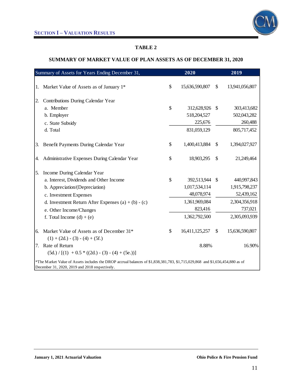

# **SUMMARY OF MARKET VALUE OF PLAN ASSETS AS OF DECEMBER 31, 2020**

|    | Summary of Assets for Years Ending December 31,                                                                                                                                |               | 2020           |               | 2019           |
|----|--------------------------------------------------------------------------------------------------------------------------------------------------------------------------------|---------------|----------------|---------------|----------------|
|    |                                                                                                                                                                                |               |                |               |                |
| 1. | Market Value of Assets as of January 1*                                                                                                                                        | $\mathcal{S}$ | 15,636,590,807 | <sup>\$</sup> | 13,941,056,807 |
| 2. | Contributions During Calendar Year                                                                                                                                             |               |                |               |                |
|    | a. Member                                                                                                                                                                      | $\mathcal{S}$ | 312,628,926 \$ |               | 303,413,682    |
|    | b. Employer                                                                                                                                                                    |               | 518,204,527    |               | 502,043,282    |
|    | c. State Subsidy                                                                                                                                                               |               | 225,676        |               | 260,488        |
|    | d. Total                                                                                                                                                                       |               | 831,059,129    |               | 805,717,452    |
| 3. | Benefit Payments During Calendar Year                                                                                                                                          | \$            | 1,400,413,884  | $\mathcal{S}$ | 1,394,027,927  |
| 4. | Administrative Expenses During Calendar Year                                                                                                                                   | $\mathcal{S}$ | 18,903,295     | $\mathbb{S}$  | 21,249,464     |
| 5. | Income During Calendar Year                                                                                                                                                    |               |                |               |                |
|    | a. Interest, Dividends and Other Income                                                                                                                                        | $\mathcal{S}$ | 392,513,944 \$ |               | 440,997,843    |
|    | b. Appreciation/(Depreciation)                                                                                                                                                 |               | 1,017,534,114  |               | 1,915,798,237  |
|    | c. Investment Expenses                                                                                                                                                         |               | 48,078,974     |               | 52,439,162     |
|    | d. Investment Return After Expenses $(a) + (b) - (c)$                                                                                                                          |               | 1,361,969,084  |               | 2,304,356,918  |
|    | e. Other Income/Changes                                                                                                                                                        |               | 823,416        |               | 737,021        |
|    | f. Total Income $(d) + (e)$                                                                                                                                                    |               | 1,362,792,500  |               | 2,305,093,939  |
| 6. | Market Value of Assets as of December 31*                                                                                                                                      | \$            | 16,411,125,257 | $\sqrt$       | 15,636,590,807 |
|    | $(1) + (2d) - (3) - (4) + (5f.)$                                                                                                                                               |               |                |               |                |
|    | 7. Rate of Return                                                                                                                                                              |               | 8.88%          |               | 16.90%         |
|    | $(5d.) / [(1) + 0.5 * ((2d.) - (3) - (4) + (5e.))]$                                                                                                                            |               |                |               |                |
|    | *The Market Value of Assets includes the DROP accrual balances of \$1,838,381,783, \$1,715,029,868 and \$1,656,454,880 as of<br>December 31, 2020, 2019 and 2018 respectively. |               |                |               |                |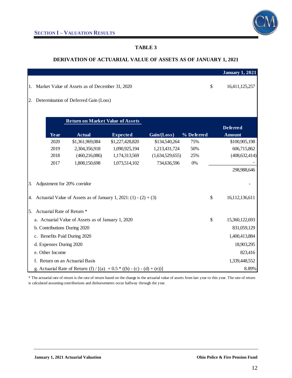### **DERIVATION OF ACTUARIAL VALUE OF ASSETS AS OF JANUARY 1, 2021**

|                 |                                                                          |               |                                                                  |                 |                 |            |    | <b>January 1, 2021</b> |  |
|-----------------|--------------------------------------------------------------------------|---------------|------------------------------------------------------------------|-----------------|-----------------|------------|----|------------------------|--|
| 1.              |                                                                          |               | Market Value of Assets as of December 31, 2020                   |                 |                 |            | \$ | 16,411,125,257         |  |
| 2.              |                                                                          |               | Determination of Deferred Gain (Loss)                            |                 |                 |            |    |                        |  |
|                 |                                                                          |               |                                                                  |                 |                 |            |    |                        |  |
|                 |                                                                          |               | <b>Return on Market Value of Assets</b>                          |                 |                 |            |    |                        |  |
|                 |                                                                          |               |                                                                  |                 |                 |            |    | <b>Deferred</b>        |  |
|                 |                                                                          | Year          | <b>Actual</b>                                                    | <b>Expected</b> | Gain/(Loss)     | % Deferred |    | <b>Amount</b>          |  |
|                 |                                                                          | 2020          | \$1,361,969,084                                                  | \$1,227,428,820 | \$134,540,264   | 75%        |    | \$100,905,198          |  |
|                 |                                                                          | 2019          | 2,304,356,918                                                    | 1,090,925,194   | 1,213,431,724   | 50%        |    | 606,715,862            |  |
|                 |                                                                          | 2018          | (460, 216, 086)                                                  | 1,174,313,569   | (1,634,529,655) | 25%        |    | (408, 632, 414)        |  |
|                 |                                                                          | 2017          | 1,808,150,698                                                    | 1,073,514,102   | 734,636,596     | 0%         |    |                        |  |
|                 |                                                                          |               |                                                                  |                 |                 |            |    | 298,988,646            |  |
|                 |                                                                          |               |                                                                  |                 |                 |            |    |                        |  |
| 3.              |                                                                          |               | Adjustment for 20% corridor                                      |                 |                 |            |    |                        |  |
| 4.              |                                                                          |               | Actuarial Value of Assets as of January 1, 2021: (1) - (2) + (3) |                 |                 |            | \$ | 16,112,136,611         |  |
|                 |                                                                          |               |                                                                  |                 |                 |            |    |                        |  |
| 5.              |                                                                          |               | Actuarial Rate of Return *                                       |                 |                 |            |    |                        |  |
|                 |                                                                          |               | a. Actuarial Value of Assets as of January 1, 2020               |                 |                 |            | \$ | 15,360,122,693         |  |
|                 | b. Contributions During 2020                                             | 831,059,129   |                                                                  |                 |                 |            |    |                        |  |
|                 | c. Benefits Paid During 2020                                             | 1,400,413,884 |                                                                  |                 |                 |            |    |                        |  |
|                 | d. Expenses During 2020                                                  | 18,903,295    |                                                                  |                 |                 |            |    |                        |  |
| e. Other Income |                                                                          |               |                                                                  |                 |                 |            |    | 823,416                |  |
|                 |                                                                          |               | f. Return on an Actuarial Basis                                  |                 |                 |            |    | 1,339,448,552          |  |
|                 | g. Actuarial Rate of Return: (f) / [(a) + 0.5 * ((b) - (c) - (d) + (e))] |               |                                                                  |                 |                 |            |    |                        |  |

\* The actuarial rate of return is the rate of return based on the change in the actuarial value of assets from last year to this year. The rate of return is calculated assuming contributions and disbursements occur halfway through the year.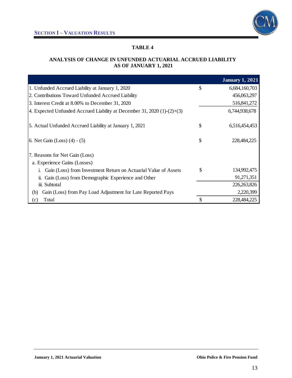

# **ANALYSIS OF CHANGE IN UNFUNDED ACTUARIAL ACCRUED LIABILITY AS OF JANUARY 1, 2021**

|                                                                         | <b>January 1, 2021</b> |
|-------------------------------------------------------------------------|------------------------|
| 1. Unfunded Accrued Liability at January 1, 2020                        | \$<br>6,684,160,703    |
| 2. Contributions Toward Unfunded Accrued Liability                      | 456,063,297            |
| 3. Interest Credit at 8.00% to December 31, 2020                        | 516,841,272            |
| 4. Expected Unfunded Accrued Liability at December 31, 2020 (1)-(2)+(3) | 6,744,938,678          |
| 5. Actual Unfunded Accrued Liability at January 1, 2021                 | \$<br>6,516,454,453    |
| 6. Net Gain (Loss) $(4) - (5)$                                          | \$<br>228,484,225      |
| 7. Reasons for Net Gain (Loss)                                          |                        |
| a. Experience Gains (Losses)                                            |                        |
| Gain (Loss) from Investment Return on Actuarial Value of Assets<br>1.   | \$<br>134,992,475      |
| Gain (Loss) from Demographic Experience and Other<br>11.                | 91,271,351             |
| iii. Subtotal                                                           | 226, 263, 826          |
| Gain (Loss) from Pay Load Adjustment for Late Reported Pays<br>(b)      | 2,220,399              |
| Total<br>(c)                                                            | \$<br>228,484,225      |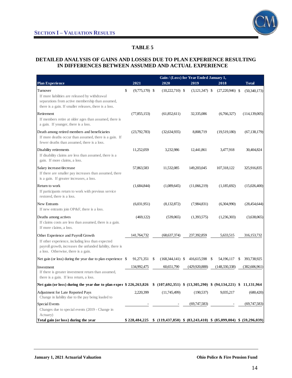

### **DETAILED ANALYSIS OF GAINS AND LOSSES DUE TO PLAN EXPERIENCE RESULTING IN DIFFERENCES BETWEEN ASSUMED AND ACTUAL EXPERIENCE**

|                                                                                                                                                                                               | Gain / (Loss) for Year Ended January 1, |    |                    |                  |                                                                                 |   |                 |  |  |  |  |
|-----------------------------------------------------------------------------------------------------------------------------------------------------------------------------------------------|-----------------------------------------|----|--------------------|------------------|---------------------------------------------------------------------------------|---|-----------------|--|--|--|--|
| <b>Plan Experience</b>                                                                                                                                                                        | 2021                                    |    | 2020               | 2019             | 2018                                                                            |   | <b>Total</b>    |  |  |  |  |
| Turnover<br>If more liabilities are released by withdrawal<br>separations from active membership than assumed,<br>there is a gain. If smaller releases, there is a loss.                      | \$<br>$(9,775,170)$ \$                  |    | $(10,222,710)$ \$  | $(3,121,347)$ \$ | $(27,220,946)$ \$                                                               |   | (50,340,173)    |  |  |  |  |
| Retirement<br>If members retire at older ages than assumed, there is<br>a gain. If younger, there is a loss.                                                                                  | (77, 855, 153)                          |    | (61,852,611)       | 32,335,086       | (6,766,327)                                                                     |   | (114, 139, 005) |  |  |  |  |
| Death among retired members and beneficiaries<br>If more deaths occur than assumed, there is a gain. If<br>fewer deaths than assumed, there is a loss.                                        | (23,792,783)                            |    | (32,634,935)       | 8,808,719        | (19,519,180)                                                                    |   | (67, 138, 179)  |  |  |  |  |
| Disability retirements<br>If disability claims are less than assumed, there is a<br>gain. If more claims, a loss.                                                                             | 11,252,059                              |    | 3,232,986          | 12,441,861       | 3,477,918                                                                       |   | 30,404,824      |  |  |  |  |
| Salary increase/decrease<br>If there are smaller pay increases than assumed, there<br>is a gain. If greater increases, a loss.                                                                | 57,863,583                              |    | 11,532,085         | 149,203,045      | 107,318,122                                                                     |   | 325,916,835     |  |  |  |  |
| Return to work<br>If participants return to work with previous service<br>restored, there is a loss.                                                                                          | (1,684,844)                             |    | (1,089,645)        | (11,066,219)     | (1,185,692)                                                                     |   | (15,026,400)    |  |  |  |  |
| <b>New Entrants</b><br>If new entrants join OP&F, there is a loss.                                                                                                                            | (6,031,951)                             |    | (8,132,872)        | (7,984,831)      | (6,304,990)                                                                     |   | (28, 454, 644)  |  |  |  |  |
| Deaths among actives<br>If claims costs are less than assumed, there is a gain.<br>If more claims, a loss.                                                                                    | (469, 122)                              |    | (539,065)          | (1,393,575)      | (1,236,303)                                                                     |   | (3,638,065)     |  |  |  |  |
| Other Experience and Payroll Growth<br>If other experience, including less than expected<br>payroll growth, increases the unfunded liability, there is<br>a loss. Otherwise, there is a gain. | 141,764,732                             |    | (68, 637, 374)     | 237,392,859      | 5,633,515                                                                       |   | 316,153,732     |  |  |  |  |
| Net gain (or loss) during the year due to plan experience \$                                                                                                                                  | 91,271,351                              | \$ | $(168,344,141)$ \$ | 416,615,598      | 54,196,117<br>-S                                                                | S | 393,738,925     |  |  |  |  |
| Investment<br>If there is greater investment return than assumed,<br>there is a gain. If less return, a loss.                                                                                 | 134,992,475                             |    | 60,651,790         | (429, 920, 888)  | (148, 330, 338)                                                                 |   | (382, 606, 961) |  |  |  |  |
| Net gain (or loss) during the year due to plan exper \$226,263,826                                                                                                                            |                                         |    |                    |                  | $$ (107,692,351) \$ $(13,305,290) \$ $(94,134,221) \$ $$ 11,131,964$            |   |                 |  |  |  |  |
| <b>Adjustment for Late Reported Pays</b><br>Change in liability due to the pay being loaded to                                                                                                | 2,220,399                               |    | (11,745,499)       | (190, 537)       | 9,035,217                                                                       |   | (680, 420)      |  |  |  |  |
| Special Events<br>Changes due to special events (2019 - Change in<br>Actuary)                                                                                                                 |                                         |    |                    | (69, 747, 583)   |                                                                                 |   | (69, 747, 583)  |  |  |  |  |
| Total gain (or loss) during the year                                                                                                                                                          |                                         |    |                    |                  | $$228,484,225$ $$(119,437,850)$ $$(83,243,410)$ $$(85,099,004)$ $$(59,296,039)$ |   |                 |  |  |  |  |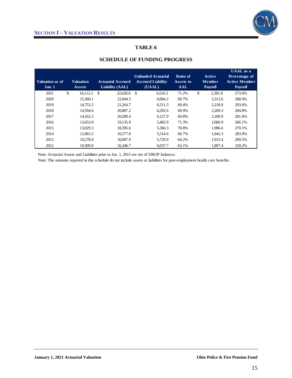

| Valuation as of<br>Jan. 1 | <b>Valuation</b><br><b>Assets</b> | <b>Actuarial Accrued</b><br>Liability (AAL) | <b>Unfunded Actuarial</b><br><b>Accrued Liability</b><br>(UAAL) | Ratio of<br>Assets to<br><b>AAL</b> | <b>Active</b><br><b>Member</b><br><b>Payroll</b> | <b>UAAL</b> as a<br>Percentage of<br><b>Active Member</b><br><b>Payroll</b> |
|---------------------------|-----------------------------------|---------------------------------------------|-----------------------------------------------------------------|-------------------------------------|--------------------------------------------------|-----------------------------------------------------------------------------|
| 2021                      | \$<br>16.112.1                    | \$<br>22,628.6                              | \$<br>6,516.5                                                   | 71.2%                               | \$<br>2,381.8                                    | 273.6%                                                                      |
| 2020                      | 15,360.1                          | 22,044.3                                    | 6.684.2                                                         | 69.7%                               | 2.313.6                                          | 288.9%                                                                      |
| 2019                      | 14.753.2                          | 21,264.7                                    | 6.511.5                                                         | 69.4%                               | 2.218.0                                          | 293.6%                                                                      |
| 2018                      | 14.594.6                          | 20,887.2                                    | 6.292.6                                                         | 69.9%                               | 2.209.3                                          | 284.8%                                                                      |
| 2017                      | 14.162.5                          | 20.290.4                                    | 6.127.9                                                         | 69.8%                               | 2.180.9                                          | 281.0%                                                                      |
| 2016                      | 13,653.0                          | 19,135.9                                    | 5,482.9                                                         | 71.3%                               | 2,060.9                                          | 266.1%                                                                      |
| 2015                      | 13.029.3                          | 18.395.6                                    | 5.366.3                                                         | 70.8%                               | 1.986.6                                          | 270.1%                                                                      |
| 2014                      | 11.063.2                          | 16.577.8                                    | 5.514.6                                                         | 66.7%                               | 1.942.3                                          | 283.9%                                                                      |
| 2013                      | 10.278.0                          | 16,007.9                                    | 5,729.9                                                         | 64.2%                               | 1.913.4                                          | 299.5%                                                                      |
| 2012                      | 10.309.0                          | 16,346.7                                    | 6.037.7                                                         | 63.1%                               | 1.897.4                                          | 318.2%                                                                      |

### **SCHEDULE OF FUNDING PROGRESS**

Note: Actuarial Assets and Liabilities prior to Jan. 1, 2015 are net of DROP balances.

Note: The amounts reported in this schedule do not include assets or liabilities for post-employment health care benefits.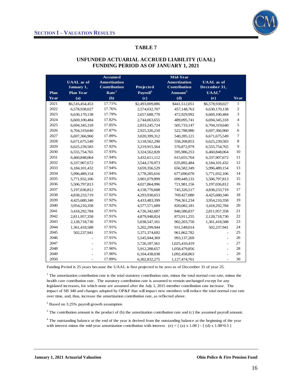

# **UNFUNDED ACTUARIAL ACCRUED LIABILITY (UAAL) FUNDING PERIOD AS OF JANUARY 1, 2021**

|      |                   | <b>Assumed</b>      |                      | Mid-Year            |                   |                  |
|------|-------------------|---------------------|----------------------|---------------------|-------------------|------------------|
|      | <b>UAAL</b> as of | <b>Amortization</b> |                      | <b>Amortization</b> | <b>UAAL</b> as of |                  |
|      | January 1,        | <b>Contribution</b> | Projected            | <b>Contribution</b> | December 31,      |                  |
| Plan | <b>Plan Year</b>  | Rate <sup>1</sup>   | Payroll <sup>2</sup> | Amount <sup>3</sup> | UAAL <sup>4</sup> |                  |
| Year | (a)               | (b)                 | (c)                  | (d)                 | (e)               | Year             |
| 2021 | \$6,516,454,453   | 17.71%              | \$2,493,009,886      | \$441,512,051       | \$6,578,938,027   | 1                |
| 2022 | 6,578,938,027     | 17.76%              | 2,574,032,707        | 457,148,763         | 6,630,170,138     | $\sqrt{2}$       |
| 2023 | 6,630,170,138     | 17.79%              | 2,657,688,770        | 472,929,992         | 6,669,100,484     | 3                |
| 2024 | 6,669,100,484     | 17.82%              | 2,744,063,655        | 489,095,741         | 6,694,345,318     | $\overline{4}$   |
| 2025 | 6,694,345,318     | 17.85%              | 2,833,245,724        | 505,733,147         | 6,704,319,640     | 5                |
| 2026 | 6,704,319,640     | 17.87%              | 2,925,326,210        | 522,788,986         | 6,697,366,960     | 6                |
| 2027 | 6,697,366,960     | 17.89%              | 3,020,399,312        | 540,285,121         | 6,671,675,549     | $\boldsymbol{7}$ |
| 2028 | 6,671,675,549     | 17.90%              | 3,118,562,290        | 558,268,853         | 6,625,239,583     | 8                |
| 2029 | 6,625,239,583     | 17.92%              | 3,219,915,564        | 576,872,979         | 6,555,754,765     | 9                |
| 2030 | 6,555,754,765     | 17.93%              | 3,324,562,820        | 595,986,253         | 6,460,848,064     | 10               |
| 2031 | 6,460,848,064     | 17.94%              | 3,432,611,112        | 615, 655, 764       | 6,337,907,672     | $11\,$           |
| 2032 | 6,337,907,672     | 17.94%              | 3,544,170,973        | 635,892,484         | 6,184,101,432     | 12               |
| 2033 | 6,184,101,432     | 17.94%              | 3,659,356,529        | 656,582,349         | 5,996,489,154     | 13               |
| 2034 | 5,996,489,154     | 17.94%              | 3,778,285,616        | 677,690,070         | 5,771,932,106     | 14               |
| 2035 | 5,771,932,106     | 17.93%              | 3,901,079,899        | 699,449,133         | 5,506,797,813     | 15               |
| 2036 | 5,506,797,813     | 17.92%              | 4,027,864,996        | 721,981,156         | 5,197,036,812     | 16               |
| 2037 | 5,197,036,812     | 17.92%              | 4,158,770,608        | 745,326,517         | 4,838,233,719     | 17               |
| 2038 | 4,838,233,719     | 17.92%              | 4,293,930,653        | 769,427,080         | 4,425,680,340     | 18               |
| 2039 | 4,425,680,340     | 17.92%              | 4,433,483,399        | 794,361,234         | 3,954,210,358     | 19               |
| 2040 | 3,954,210,358     | 17.92%              | 4,577,571,609        | 820,082,181         | 3,418,292,784     | $20\,$           |
| 2041 | 3,418,292,784     | 17.91%              | 4,726,342,687        | 846,586,837         | 2,811,957,358     | 21               |
| 2042 | 2,811,957,358     | 17.91%              | 4,879,948,824        | 873,911,255         | 2,128,718,730     | 22               |
| 2043 | 2,128,718,730     | 17.91%              | 5,038,547,161        | 902,203,750         | 1,361,418,588     | 23               |
| 2044 | 1,361,418,588     | 17.91%              | 5,202,299,944        | 931,549,014         | 502,237,941       | 24               |
| 2045 | 502,237,941       | 17.91%              | 5,371,374,692        | 961,862,782         |                   | 25               |
| 2046 |                   | 17.91%              | 5,545,944,369        | 993,137,269         |                   | 26               |
| 2047 |                   | 17.91%              | 5,726,187,561        | 1,025,410,419       |                   | 27               |
| 2048 |                   | 17.90%              | 5,912,288,657        | 1,058,479,856       |                   | 28               |
| 2049 |                   | 17.90%              | 6,104,438,038        | 1,092,458,863       |                   | 29               |
| 2050 | $\overline{a}$    | 17.89%              | 6,302,832,275        | 1,127,474,761       |                   | 30               |

Funding Period is 25 years because the UAAL is first projected to be zero as of December 31 of year 25.

<sup>1</sup> The amortization contribution rate is the total statutory contribution rate, minus the total normal cost rate, minus the health care contribution rate. The statutory contribution rate is assumed to remain unchanged except for any legislated increases, for which none are assumed after the July 1, 2015 member contribution rate increase. The impact of SB 340 and changes adopted by OP&F that will impact new members will reduce the total normal cost rate over time, and, thus, increase the amortization contribution rate, as reflected above.

 $2^2$  Based on 3.25% payroll growth assumption

 $3$  The contribution amount is the product of (b) the amortization contribution rate and (c) the assumed payroll amount.

<sup>4</sup> The outstanding balance at the end of the year is derived from the outstanding balance at the beginning of the year with interest minus the mid-year amortization contribution with interest. (e) =  $[$  (a) x 1.08 $]$  -  $[$  (d) x 1.08 $\textdegree$ 0.5  $]$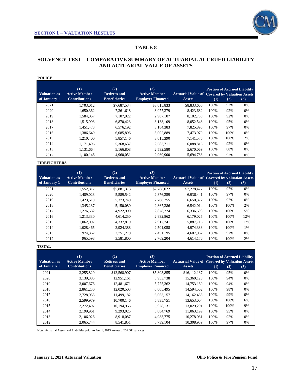

### **SOLVENCY TEST – COMPARATIVE SUMMARY OF ACTUARIAL ACCRUED LIABILITY AND ACTUARIAL VALUE OF ASSETS**

| <b>POLICE</b>                       |                                                     |                                                    |                                                         |                                                                        |      |      |                                            |
|-------------------------------------|-----------------------------------------------------|----------------------------------------------------|---------------------------------------------------------|------------------------------------------------------------------------|------|------|--------------------------------------------|
| <b>Valuation as</b><br>of January 1 | (1)<br><b>Active Member</b><br><b>Contributions</b> | (2)<br><b>Retirees and</b><br><b>Beneficiaries</b> | (3)<br><b>Active Member</b><br><b>Employer Financed</b> | <b>Actuarial Value of Covered by Valuation Assets</b><br><b>Assets</b> | (1)  | (2)  | <b>Portion of Accrued Liability</b><br>(3) |
| 2021                                | 1.703.012                                           | \$7,687,534                                        | \$3,015,833                                             | \$8,833,660                                                            | 100% | 93%  | 0%                                         |
| 2020                                | 1,650,362                                           | 7,361,618                                          | 3,077,379                                               | 8,423,682                                                              | 100% | 92%  | 0%                                         |
| 2019                                | 1,584,057                                           | 7,107,922                                          | 2,987,107                                               | 8,102,788                                                              | 100% | 92%  | 0%                                         |
| 2018                                | 1,515,993                                           | 6,870,423                                          | 3,138,109                                               | 8,052,548                                                              | 100% | 95%  | 0%                                         |
| 2017                                | 1.451.473                                           | 6,576,192                                          | 3,184,383                                               | 7,825,895                                                              | 100% | 97%  | 0%                                         |
| 2016                                | 1,386,649                                           | 6,085,896                                          | 3,002,889                                               | 7.473.979                                                              | 100% | 100% | 0%                                         |
| 2015                                | 1,210,400                                           | 5,857,146                                          | 3,015,390                                               | 7, 141, 575                                                            | 100% | 100% | 2%                                         |
| 2014                                | 1,171,496                                           | 5,368,637                                          | 2,583,711                                               | 6,088,816                                                              | 100% | 92%  | 0%                                         |
| 2013                                | 1,131,664                                           | 5,166,808                                          | 2,532,580                                               | 5,670,069                                                              | 100% | 88%  | 0%                                         |
| 2012                                | 1,100,146                                           | 4,960,051                                          | 2,969,900                                               | 5,694,783                                                              | 100% | 93%  | 0%                                         |

#### **FIREFIGHTERS**

| <b>Valuation as</b> | (1)<br><b>Active Member</b> | (2)<br><b>Retirees and</b> | (3)<br><b>Active Member</b> | <b>Actuarial Value of Covered by Valuation Assets</b> |      | <b>Portion of Accrued Liability</b> |     |
|---------------------|-----------------------------|----------------------------|-----------------------------|-------------------------------------------------------|------|-------------------------------------|-----|
| of January 1        | <b>Contributions</b>        | <b>Beneficiaries</b>       | <b>Employer Financed</b>    | <b>Assets</b>                                         | (1)  | (2)                                 | (3) |
| 2021                | 1.552.817                   | \$5,881,373                | \$2,788,022                 | \$7,278,477                                           | 100% | 97%                                 | 0%  |
| 2020                | 1,489,023                   | 5,589,542                  | 2,876,359                   | 6.936.441                                             | 100% | 97%                                 | 0%  |
| 2019                | 1,423,619                   | 5,373,749                  | 2.788.255                   | 6,650,372                                             | 100% | 97%                                 | 0%  |
| 2018                | 1,345,237                   | 5,150,080                  | 2,867,386                   | 6,542,014                                             | 100% | 100%                                | 2%  |
| 2017                | 1.276.582                   | 4.922.990                  | 2.878.774                   | 6.336.593                                             | 100% | 100%                                | 5%  |
| 2016                | 1.213.330                   | 4.614.250                  | 2.832.862                   | 6.179.025                                             | 100% | 100%                                | 12% |
| 2015                | 1.062.097                   | 4,337,819                  | 2,912,741                   | 5.887.716                                             | 100% | 100%                                | 17% |
| 2014                | 1.028.465                   | 3,924,388                  | 2.501.058                   | 4.974.383                                             | 100% | 100%                                | 1%  |
| 2013                | 974.362                     | 3,751,279                  | 2,451,195                   | 4,607,962                                             | 100% | 97%                                 | 0%  |
| 2012                | 965.598                     | 3.581.800                  | 2.769.204                   | 4.614.176                                             | 100% | 100%                                | 2%  |

#### **TOTAL**

| Valuation as<br>of January 1 | (1)<br><b>Active Member</b><br><b>Contributions</b> | (2)<br><b>Retirees and</b><br><b>Beneficiaries</b> | (3)<br><b>Active Member</b><br><b>Employer Financed</b> | <b>Actuarial Value of Covered by Valuation Assets</b><br><b>Assets</b> | (1)  | (2)  | <b>Portion of Accrued Liability</b><br>(3) |
|------------------------------|-----------------------------------------------------|----------------------------------------------------|---------------------------------------------------------|------------------------------------------------------------------------|------|------|--------------------------------------------|
| 2021                         | 3,255,829                                           | \$13,568,907                                       | \$5,803,855                                             | \$16,112,137                                                           | 100% | 95%  | 0%                                         |
| 2020                         | 3,139,385                                           | 12.951.161                                         | 5.953.738                                               | 15,360,123                                                             | 100% | 94%  | 0%                                         |
| 2019                         | 3.007.676                                           | 12.481.671                                         | 5,775,362                                               | 14,753,160                                                             | 100% | 94%  | 0%                                         |
| 2018                         | 2,861,230                                           | 12,020,503                                         | 6,005,495                                               | 14,594,562                                                             | 100% | 98%  | 0%                                         |
| 2017                         | 2.728,055                                           | 11.499.182                                         | 6.063.157                                               | 14.162.488                                                             | 100% | 99%  | 0%                                         |
| 2016                         | 2.599.979                                           | 10,700,146                                         | 5.835.751                                               | 13.653.004                                                             | 100% | 100% | 6%                                         |
| 2015                         | 2.272.497                                           | 10.194.965                                         | 5,928,131                                               | 13.029.291                                                             | 100% | 100% | 9%                                         |
| 2014                         | 2.199.961                                           | 9.293.025                                          | 5.084.769                                               | 11.063.199                                                             | 100% | 95%  | 0%                                         |
| 2013                         | 2,106,026                                           | 8,918,087                                          | 4,983,775                                               | 10,278,031                                                             | 100% | 92%  | 0%                                         |
| 2012                         | 2.065.744                                           | 8.541.851                                          | 5.739.104                                               | 10.308.959                                                             | 100% | 97%  | 0%                                         |

Note: Actuarial Assets and Liabilities prior to Jan. 1, 2015 are net of DROP balances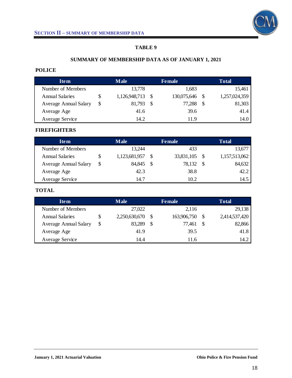

# **SUMMARY OF MEMBERSHIP DATA AS OF JANUARY 1, 2021**

# **POLICE**

| <b>Item</b>                  |   | <b>Male</b>   |               | <b>Female</b>  | <b>Total</b>  |
|------------------------------|---|---------------|---------------|----------------|---------------|
| Number of Members            |   | 13,778        |               | 1,683          | 15,461        |
| <b>Annual Salaries</b>       |   | 1,126,948,713 | - S           | 130,075,646 \$ | 1,257,024,359 |
| <b>Average Annual Salary</b> | S | 81,793        | <sup>\$</sup> | 77,288         | \$<br>81,303  |
| Average Age                  |   | 41.6          |               | 39.6           | 41.4          |
| Average Service              |   | 14.2          |               | 119            | 14.0          |

# **FIREFIGHTERS**

| <b>Item</b>                  |    | <b>Male</b>   | <b>Female</b> | <b>Total</b>  |
|------------------------------|----|---------------|---------------|---------------|
| Number of Members            |    | 13,244        | 433           | 13,677        |
| <b>Annual Salaries</b>       | \$ | 1,123,681,957 | 33,831,105    | 1,157,513,062 |
| <b>Average Annual Salary</b> | S  | 84,845        | \$<br>78,132  | 84,632        |
| Average Age                  |    | 42.3          | 38.8          | 42.2          |
| Average Service              |    | 14.7          | 10.2          | 14.5          |

# **TOTAL**

| <b>Item</b>                  |   | <b>Male</b>   |               | <b>Female</b> |    | <b>Total</b>  |
|------------------------------|---|---------------|---------------|---------------|----|---------------|
| Number of Members            |   | 27,022        |               | 2,116         |    | 29,138        |
| <b>Annual Salaries</b>       | S | 2,250,630,670 | <sup>\$</sup> | 163,906,750   |    | 2,414,537,420 |
| <b>Average Annual Salary</b> | S | 83,289        | \$            | 77,461        | -S | 82,866        |
| Average Age                  |   | 41.9          |               | 39.5          |    | 41.8          |
| Average Service              |   | 14.4          |               | 11.6          |    | 14.2          |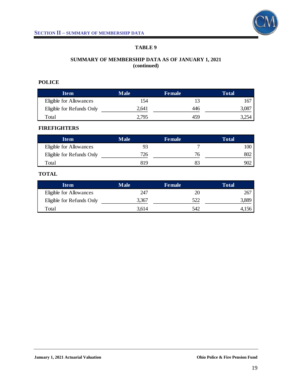

# **SUMMARY OF MEMBERSHIP DATA AS OF JANUARY 1, 2021 (continued)**

# **POLICE**

| <b>Item</b>               | <b>Male</b> | <b>Female</b> | <b>Total</b> |
|---------------------------|-------------|---------------|--------------|
| Eligible for Allowances   | 154         |               | 167          |
| Eligible for Refunds Only | 2,641       | 446           | 3,087        |
| Total                     | 2,795       | 459           | .254ر        |

# **FIREFIGHTERS**

| Item                      | <b>Male</b> | <b>Female</b> | Total |
|---------------------------|-------------|---------------|-------|
| Eligible for Allowances   |             |               |       |
| Eligible for Refunds Only | 726         |               | 802   |
| Total                     | 819         |               | 902   |

# **TOTAL**

| <b>Item</b>               | <b>Male</b> | <b>Female</b> | Total |
|---------------------------|-------------|---------------|-------|
| Eligible for Allowances   | 247         | 20            | 267   |
| Eligible for Refunds Only | 3,367       | 522           | 3,889 |
| Total                     | 3,614       | 542           | 4,156 |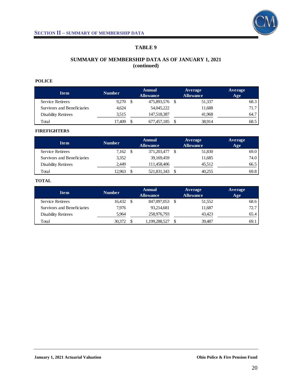

# **SUMMARY OF MEMBERSHIP DATA AS OF JANUARY 1, 2021 (continued)**

### **POLICE**

| <b>Item</b>                 | <b>Number</b> | <b>Annual</b><br><b>Allowance</b> |  | Average<br><b>Allowance</b> | Average<br>Age |
|-----------------------------|---------------|-----------------------------------|--|-----------------------------|----------------|
| <b>Service Retirees</b>     | 9.270         | 475,893,576 \$                    |  | 51,337                      | 68.3           |
| Survivors and Beneficiaries | 4.624         | 54,045,222                        |  | 11,688                      | 71.7           |
| <b>Disability Retirees</b>  | 3,515         | 147,518,387                       |  | 41.968                      | 64.7           |
| Total                       | 17.409        | 677,457,185                       |  | 38,914                      | 68.5           |

### **FIREFIGHTERS**

| <b>Item</b>                 | <b>Number</b> | <b>Annual</b><br><b>Allowance</b> |             | Average<br><b>Allowance</b> |        | Average<br>Age |
|-----------------------------|---------------|-----------------------------------|-------------|-----------------------------|--------|----------------|
| <b>Service Retirees</b>     | 7,162         |                                   | 371,203,477 |                             | 51,830 | 69.0           |
| Survivors and Beneficiaries | 3,352         |                                   | 39,169,459  |                             | 11,685 | 74.0           |
| <b>Disability Retirees</b>  | 2.449         |                                   | 111,458,406 |                             | 45.512 | 66.5           |
| Total                       | 12.963        |                                   | 521,831,343 |                             | 40.255 | 69.8           |

### **TOTAL**

| <b>Item</b>                 | <b>Number</b> | <b>Annual</b><br><b>Allowance</b> | Average<br><b>Allowance</b> |        | Average<br>Age |
|-----------------------------|---------------|-----------------------------------|-----------------------------|--------|----------------|
| <b>Service Retirees</b>     | 16.432        | 847,097,053                       |                             | 51,552 | 68.6           |
| Survivors and Beneficiaries | 7.976         | 93,214,681                        |                             | 11,687 | 72.7           |
| <b>Disability Retirees</b>  | 5,964         | 258,976,793                       |                             | 43.423 | 65.4           |
| Total                       | 30.372        | 1,199,288,527                     |                             | 39.487 | 69.1           |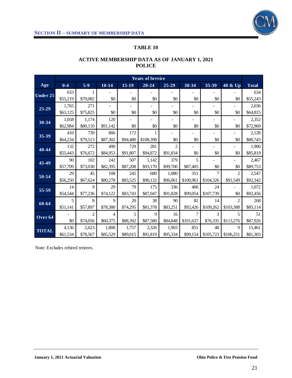

# **ACTIVE MEMBERSHIP DATA AS OF JANUARY 1, 2021 POLICE**

|                    |          |                |                |          | <b>Years of Service</b> |                |           |           |                |              |
|--------------------|----------|----------------|----------------|----------|-------------------------|----------------|-----------|-----------|----------------|--------------|
| Age                | $0 - 4$  | $5-9$          | $10 - 14$      | $15-19$  | $20 - 24$               | $25 - 29$      | 30-34     | 35-39     | 40 & Up        | <b>Total</b> |
| <b>Under 25</b>    | 633      | 1              |                |          |                         |                |           |           |                | 634          |
|                    | \$55,219 | \$70,082       | \$0            | \$0      | \$0                     | \$0            | \$0       | \$0       | \$0            | \$55,243     |
| $25 - 29$          | 1,765    | 271            |                |          |                         |                |           |           | $\overline{a}$ | 2,036        |
|                    | \$63,125 | \$75,825       | \$0            | \$0      | \$0                     | \$0            | \$0       | \$0       | \$0            | \$64,815     |
| 30-34              | 1,058    | 1,174          | 120            |          |                         |                |           |           |                | 2,352        |
|                    | \$62,984 | \$80,110       | \$91,142       | \$0      | \$0                     | \$0            | \$0       | \$0       | \$0            | \$72,969     |
| 35-39              | 410      | 739            | 806            | 172      |                         |                |           |           |                | 2,128        |
|                    | \$64,234 | \$79,513       | \$87,302       | \$94,480 | \$108,398               | \$0            | \$0       | \$0       | \$0            | \$80,743     |
| 40-44              | 132      | 272            | 490            | 729      | 281                     | $\overline{c}$ |           |           |                | 1,906        |
|                    | \$55,443 | \$76,672       | \$84,953       | \$91,807 | \$94,872                | \$91,834       | \$0       | \$0       | \$0            | \$85,819     |
| 45-49              | 90       | 102            | 242            | 507      | 1,142                   | 379            | 5         |           |                | 2,467        |
|                    | \$57,709 | \$73,030       | \$82,395       | \$87,208 | \$93,170                | \$99,700       | \$87,405  | \$0       | \$0            | \$89,753     |
| 50-54              | 29       | 45             | 108            | 245      | 680                     | 1,080          | 351       | 7         | $\overline{c}$ | 2,547        |
|                    | \$56,250 | \$67,624       | \$80,278       | \$83,525 | \$90,132                | \$96,061       | \$100,961 | \$104,326 | \$91,549       | \$92,342     |
| 55-59              | 14       | 9              | 29             | 79       | 175                     | 336            | 406       | 24        |                | 1,072        |
|                    | \$54,544 | \$77,236       | \$74,122       | \$83,743 | \$87,047                | \$91,828       | \$99,054  | \$107,739 | \$0            | \$92,456     |
| 60-64              | 5        | 8              | 9              | 20       | 38                      | 90             | 82        | 14        | $\overline{2}$ | 268          |
|                    | \$51,141 | \$57,897       | \$78,380       | \$74,295 | \$81,378                | \$83,251       | \$92,426  | \$109,262 | \$103,388      | \$85,114     |
| Over <sub>64</sub> |          | $\overline{2}$ | $\overline{4}$ | 5        | 9                       | 16             | 7         | 3         | 5              | 51           |
|                    | \$0      | \$74,056       | \$60,375       | \$88,392 | \$87,580                | \$84,848       | \$101,637 | \$76,335  | \$113,276      | \$87,926     |
| <b>TOTAL</b>       | 4,136    | 2,623          | 1,808          | 1,757    | 2,326                   | 1,903          | 851       | 48        | 9              | 15,461       |
|                    | \$61,534 | \$78,567       | \$85,529       | \$89,015 | \$91,819                | \$95,334       | \$99,154  | \$105,723 | \$106,251      | \$81,303     |

Note: Excludes rehired retirees.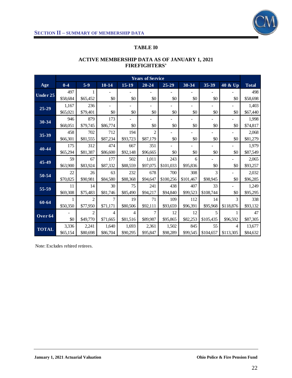

# **TABLE I0**

|              |          |                |           |          | <b>Years of Service</b> |           |           |           |           |              |
|--------------|----------|----------------|-----------|----------|-------------------------|-----------|-----------|-----------|-----------|--------------|
| Age          | $0 - 4$  | $5-9$          | $10 - 14$ | $15-19$  | $20 - 24$               | $25 - 29$ | 30-34     | 35-39     | 40 & Up   | <b>Total</b> |
|              | 497      |                |           |          |                         |           |           |           |           | 498          |
| Under 25     | \$58,684 | \$65,452       | \$0       | \$0      | \$0                     | \$0       | \$0       | \$0       | \$0       | \$58,698     |
|              | 1,167    | 236            |           |          |                         |           |           |           |           | 1,403        |
| $25 - 29$    | \$65,021 | \$79,401       | \$0       | \$0      | \$0                     | \$0       | \$0       | \$0       | \$0       | \$67,440     |
|              | 946      | 879            | 173       |          |                         |           |           |           |           | 1,998        |
| 30-34        | \$68,051 | \$79,745       | \$86,774  | \$0      | \$0                     | \$0       | \$0       | \$0       | \$0       | \$74,817     |
|              | 458      | 702            | 712       | 194      | $\overline{c}$          |           |           |           |           | 2,068        |
| 35-39        | \$66,301 | \$81,555       | \$87,234  | \$93,723 | \$87,179                | \$0       | \$0       | \$0       | \$0       | \$81,279     |
| 40-44        | 175      | 312            | 474       | 667      | 351                     |           |           |           |           | 1,979        |
|              | \$65,294 | \$81,387       | \$86,600  | \$92,148 | \$96,665                | \$0       | \$0       | \$0       | \$0       | \$87,549     |
| 45-49        | 59       | 67             | 177       | 502      | 1,011                   | 243       | 6         |           |           | 2,065        |
|              | \$63,900 | \$83,924       | \$87,332  | \$88,559 | \$97,075                | \$101,033 | \$95,836  | \$0       | \$0       | \$93,257     |
| 50-54        | 22       | 26             | 63        | 232      | 678                     | 700       | 308       | 3         |           | 2,032        |
|              | \$70,825 | \$90,981       | \$84,580  | \$88,368 | \$94,647                | \$100,256 | \$101,467 | \$98,945  | \$0       | \$96,285     |
| 55-59        | 11       | 14             | 30        | 75       | 241                     | 438       | 407       | 33        |           | 1,249        |
|              | \$69,308 | \$75,483       | \$81,746  | \$85,490 | \$94,217                | \$94,840  | \$99,523  | \$108,744 | \$0       | \$95,295     |
| 60-64        | 1        | $\overline{c}$ | 7         | 19       | 71                      | 109       | 112       | 14        | 3         | 338          |
|              | \$50,350 | \$77,950       | \$71,171  | \$80,506 | \$92,111                | \$93,659  | \$96,391  | \$95,968  | \$118,876 | \$93,132     |
| Over 64      |          | $\overline{c}$ | 4         | 4        | 7                       | 12        | 12        | 5         |           | 47           |
|              | \$0      | \$49,770       | \$71,665  | \$81,516 | \$89,987                | \$95,865  | \$82,253  | \$105,435 | \$96,592  | \$87,305     |
| <b>TOTAL</b> | 3,336    | 2,241          | 1,640     | 1,693    | 2,361                   | 1,502     | 845       | 55        | 4         | 13,677       |
|              | \$65,154 | \$80,698       | \$86,704  | \$90,295 | \$95,847                | \$98,289  | \$99,545  | \$104,657 | \$113,305 | \$84,632     |

# **ACTIVE MEMBERSHIP DATA AS OF JANUARY 1, 2021 FIREFIGHTERS'**

Note: Excludes rehired retirees.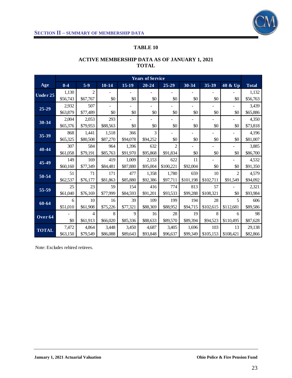

|                    |          |                |           |          | <b>Years of Service</b> |                |           |           |                |              |
|--------------------|----------|----------------|-----------|----------|-------------------------|----------------|-----------|-----------|----------------|--------------|
| Age                | $0-4$    | $5-9$          | $10 - 14$ | $15-19$  | $20 - 24$               | $25 - 29$      | 30-34     | 35-39     | 40 & Up        | <b>Total</b> |
| Under $25$         | 1,130    | $\overline{c}$ |           |          |                         |                |           |           |                | 1,132        |
|                    | \$56,743 | \$67,767       | \$0       | \$0      | \$0                     | \$0            | \$0       | \$0       | \$0            | \$56,763     |
| 25-29              | 2,932    | 507            |           |          |                         |                |           |           |                | 3,439        |
|                    | \$63,879 | \$77,489       | \$0       | \$0      | \$0                     | \$0            | \$0       | \$0       | \$0            | \$65,886     |
| 30-34              | 2,004    | 2,053          | 293       |          |                         |                |           |           |                | 4,350        |
|                    | \$65,376 | \$79,953       | \$88,563  | \$0      | \$0                     | \$0            | \$0       | \$0       | \$0            | \$73,818     |
| 35-39              | 868      | 1,441          | 1,518     | 366      | 3                       |                |           |           |                | 4,196        |
|                    | \$65,325 | \$80,508       | \$87,270  | \$94,078 | \$94,252                | \$0            | \$0       | $\$0$     | \$0            | \$81,007     |
| 40-44              | 307      | 584            | 964       | 1,396    | 632                     | $\overline{2}$ |           |           |                | 3,885        |
|                    | \$61,058 | \$79,191       | \$85,763  | \$91,970 | \$95,868                | \$91,834       | \$0       | \$0       | \$0            | \$86,700     |
| 45-49              | 149      | 169            | 419       | 1,009    | 2,153                   | 622            | 11        |           |                | 4,532        |
|                    | \$60,160 | \$77,349       | \$84,481  | \$87,880 | \$95,004                | \$100,221      | \$92,004  | \$0       | \$0            | \$91,350     |
| 50-54              | 51       | 71             | 171       | 477      | 1,358                   | 1,780          | 659       | 10        | $\mathfrak{D}$ | 4,579        |
|                    | \$62,537 | \$76,177       | \$81,863  | \$85,880 | \$92,386                | \$97,711       | \$101,198 | \$102,711 | \$91,549       | \$94,092     |
| 55-59              | 25       | 23             | 59        | 154      | 416                     | 774            | 813       | 57        |                | 2,321        |
|                    | \$61,040 | \$76,169       | \$77,999  | \$84,593 | \$91,201                | \$93,533       | \$99,288  | \$108,321 | \$0            | \$93,984     |
| $60 - 64$          | 6        | 10             | 16        | 39       | 109                     | 199            | 194       | 28        | 5              | 606          |
|                    | \$51,010 | \$61,908       | \$75,226  | \$77,321 | \$88,369                | \$88,952       | \$94,715  | \$102,615 | \$112,681      | \$89,586     |
|                    |          | 4              | 8         | 9        | 16                      | 28             | 19        | 8         | 6              | 98           |
| Over <sub>64</sub> | \$0      | \$61,913       | \$66,020  | \$85,336 | \$88,633                | \$89,570       | \$89,394  | \$94,523  | \$110,495      | \$87,628     |
|                    | 7,472    | 4,864          | 3,448     | 3,450    | 4,687                   | 3,405          | 1,696     | 103       | 13             | 29,138       |
| <b>TOTAL</b>       | \$63,150 | \$79,549       | \$86,088  | \$89,643 | \$93,848                | \$96,637       | \$99,349  | \$105,153 | \$108,421      | \$82,866     |

# **ACTIVE MEMBERSHIP DATA AS OF JANUARY 1, 2021 TOTAL**

Note: Excludes rehired retirees.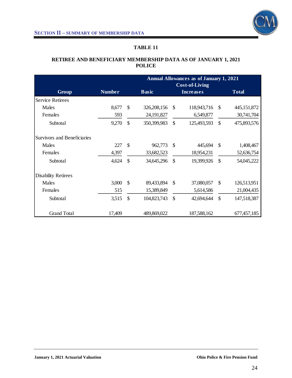

# **RETIREE AND BENEFICIARY MEMBERSHIP DATA AS OF JANUARY 1, 2021 POLICE**

|                                    |               |               | <b>Annual Allowances as of January 1, 2021</b><br><b>Cost-of-Living</b> |               |                  |               |              |  |  |  |
|------------------------------------|---------------|---------------|-------------------------------------------------------------------------|---------------|------------------|---------------|--------------|--|--|--|
| <b>Group</b>                       | <b>Number</b> |               | <b>Basic</b>                                                            |               | <b>Increases</b> |               | <b>Total</b> |  |  |  |
| <b>Service Retirees</b>            |               |               |                                                                         |               |                  |               |              |  |  |  |
| Males                              | 8,677         | $\mathbb{S}$  | 326,208,156                                                             | -\$           | 118,943,716      | -S            | 445,151,872  |  |  |  |
| Females                            | 593           |               | 24,191,827                                                              |               | 6,549,877        |               | 30,741,704   |  |  |  |
| Subtotal                           | 9,270         | \$            | 350,399,983                                                             | $\mathcal{S}$ | 125,493,593      | \$            | 475,893,576  |  |  |  |
| <b>Survivors and Beneficiaries</b> |               |               |                                                                         |               |                  |               |              |  |  |  |
| Males                              | 227           | $\mathcal{S}$ | 962,773                                                                 | $\mathcal{S}$ | 445,694          | -\$           | 1,408,467    |  |  |  |
| Females                            | 4,397         |               | 33,682,523                                                              |               | 18,954,231       |               | 52,636,754   |  |  |  |
| Subtotal                           | 4,624         | $\mathcal{S}$ | 34,645,296                                                              | $\mathcal{S}$ | 19,399,926       | $\mathcal{S}$ | 54,045,222   |  |  |  |
| <b>Disability Retirees</b>         |               |               |                                                                         |               |                  |               |              |  |  |  |
| Males                              | 3,000         | $\mathbb{S}$  | 89,433,894                                                              | \$            | 37,080,057       | \$            | 126,513,951  |  |  |  |
| Females                            | 515           |               | 15,389,849                                                              |               | 5,614,586        |               | 21,004,435   |  |  |  |
| Subtotal                           | 3,515         | $\mathcal{S}$ | 104,823,743                                                             | $\mathcal{S}$ | 42,694,644       | \$            | 147,518,387  |  |  |  |
| <b>Grand Total</b>                 | 17,409        |               | 489,869,022                                                             |               | 187,588,162      |               | 677,457,185  |  |  |  |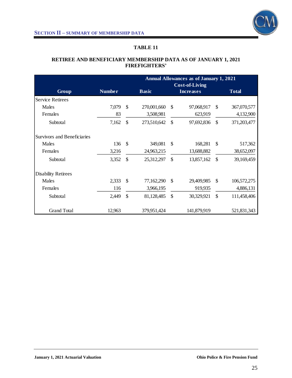

# **RETIREE AND BENEFICIARY MEMBERSHIP DATA AS OF JANUARY 1, 2021 FIREFIGHTERS'**

|                             |        |               | <b>Annual Allowances as of January 1, 2021</b><br><b>Cost-of-Living</b> |                  |              |               |             |  |  |  |
|-----------------------------|--------|---------------|-------------------------------------------------------------------------|------------------|--------------|---------------|-------------|--|--|--|
| Group                       |        | <b>Basic</b>  |                                                                         | <b>Increases</b> | <b>Total</b> |               |             |  |  |  |
| <b>Service Retirees</b>     |        |               |                                                                         |                  |              |               |             |  |  |  |
| Males                       | 7,079  | $\mathcal{S}$ | 270,001,660                                                             | \$               | 97,068,917   | \$            | 367,070,577 |  |  |  |
| Females                     | 83     |               | 3,508,981                                                               |                  | 623,919      |               | 4,132,900   |  |  |  |
| Subtotal                    | 7,162  | $\mathcal{S}$ | 273,510,642                                                             | $\mathcal{S}$    | 97,692,836   | \$            | 371,203,477 |  |  |  |
| Survivors and Beneficiaries |        |               |                                                                         |                  |              |               |             |  |  |  |
| Males                       | 136    | \$            | 349,081                                                                 | \$               | 168,281      | \$            | 517,362     |  |  |  |
| Females                     | 3,216  |               | 24,963,215                                                              |                  | 13,688,882   |               | 38,652,097  |  |  |  |
| Subtotal                    | 3,352  | $\mathcal{S}$ | 25,312,297                                                              | \$               | 13,857,162   | \$            | 39,169,459  |  |  |  |
| <b>Disability Retirees</b>  |        |               |                                                                         |                  |              |               |             |  |  |  |
| Males                       | 2,333  | \$            | 77,162,290                                                              | \$               | 29,409,985   | <sup>\$</sup> | 106,572,275 |  |  |  |
| Females                     | 116    |               | 3,966,195                                                               |                  | 919,935      |               | 4,886,131   |  |  |  |
| Subtotal                    | 2,449  | $\mathcal{S}$ | 81,128,485                                                              | \$               | 30,329,921   | \$            | 111,458,406 |  |  |  |
| <b>Grand Total</b>          | 12,963 |               | 379,951,424                                                             |                  | 141,879,919  |               | 521,831,343 |  |  |  |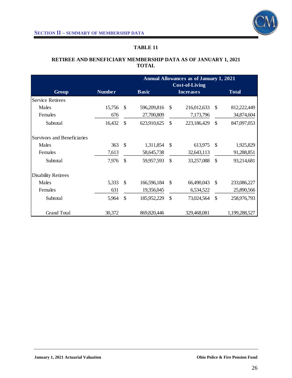

# **RETIREE AND BENEFICIARY MEMBERSHIP DATA AS OF JANUARY 1, 2021 TOTAL**

|                             |               |               | <b>Annual Allowances as of January 1, 2021</b><br><b>Cost-of-Living</b> |               |                  |               |               |  |  |  |
|-----------------------------|---------------|---------------|-------------------------------------------------------------------------|---------------|------------------|---------------|---------------|--|--|--|
| Group                       | <b>Number</b> | <b>Basic</b>  |                                                                         |               | <b>Increases</b> |               | <b>Total</b>  |  |  |  |
| <b>Service Retirees</b>     |               |               |                                                                         |               |                  |               |               |  |  |  |
| Males                       | 15,756        | \$            | 596,209,816                                                             | \$            | 216,012,633      | \$            | 812,222,449   |  |  |  |
| Females                     | 676           |               | 27,700,809                                                              |               | 7,173,796        |               | 34,874,604    |  |  |  |
| Subtotal                    | 16,432        | \$            | 623,910,625                                                             | \$            | 223,186,429      | \$            | 847,097,053   |  |  |  |
| Survivors and Beneficiaries |               |               |                                                                         |               |                  |               |               |  |  |  |
| Males                       | 363           | $\mathcal{S}$ | 1,311,854                                                               | $\mathcal{S}$ | 613,975          | \$            | 1,925,829     |  |  |  |
| Females                     | 7,613         |               | 58,645,738                                                              |               | 32,643,113       |               | 91,288,851    |  |  |  |
| Subtotal                    | 7,976         | $\mathcal{S}$ | 59,957,593                                                              | \$            | 33,257,088       | \$            | 93,214,681    |  |  |  |
| <b>Disability Retirees</b>  |               |               |                                                                         |               |                  |               |               |  |  |  |
| Males                       | 5,333         | \$            | 166,596,184                                                             | \$            | 66,490,043       | <sup>\$</sup> | 233,086,227   |  |  |  |
| Females                     | 631           |               | 19,356,045                                                              |               | 6,534,522        |               | 25,890,566    |  |  |  |
| Subtotal                    | 5,964         | \$            | 185,952,229                                                             | \$            | 73,024,564       | \$            | 258,976,793   |  |  |  |
| <b>Grand Total</b>          | 30,372        |               | 869, 820, 446                                                           |               | 329,468,081      |               | 1,199,288,527 |  |  |  |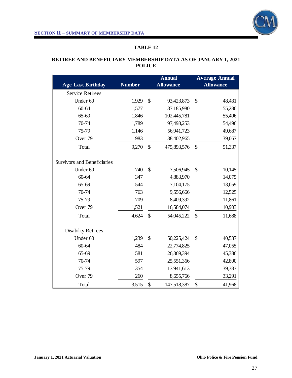

### **RETIREE AND BENEFICIARY MEMBERSHIP DATA AS OF JANUARY 1, 2021 POLICE**

| <b>Age Last Birthday</b>           | <b>Number</b> |               | <b>Annual</b><br><b>Allowance</b> |               | <b>Average Annual</b><br><b>Allowance</b> |
|------------------------------------|---------------|---------------|-----------------------------------|---------------|-------------------------------------------|
| <b>Service Retirees</b>            |               |               |                                   |               |                                           |
| Under 60                           | 1,929         | \$            | 93,423,873                        | \$            | 48,431                                    |
| 60-64                              | 1,577         |               | 87,185,980                        |               | 55,286                                    |
| 65-69                              | 1,846         |               | 102,445,781                       |               | 55,496                                    |
| 70-74                              | 1,789         |               | 97,493,253                        |               | 54,496                                    |
| 75-79                              | 1,146         |               | 56,941,723                        |               | 49,687                                    |
| Over <sub>79</sub>                 | 983           |               | 38,402,965                        |               | 39,067                                    |
| Total                              | 9,270         | $\mathcal{S}$ | 475,893,576                       | \$            | 51,337                                    |
| <b>Survivors and Beneficiaries</b> |               |               |                                   |               |                                           |
| Under 60                           | 740           | \$            | 7,506,945                         | $\mathcal{S}$ | 10,145                                    |
| 60-64                              | 347           |               | 4,883,970                         |               | 14,075                                    |
| 65-69                              | 544           |               | 7,104,175                         |               | 13,059                                    |
| 70-74                              | 763           |               | 9,556,666                         |               | 12,525                                    |
| 75-79                              | 709           |               | 8,409,392                         |               | 11,861                                    |
| Over <sub>79</sub>                 | 1,521         |               | 16,584,074                        |               | 10,903                                    |
| Total                              | 4,624         | $\mathcal{S}$ | 54,045,222                        | $\mathcal{S}$ | 11,688                                    |
| <b>Disability Retirees</b>         |               |               |                                   |               |                                           |
| Under 60                           | 1,239         | \$            | 50,225,424                        | \$            | 40,537                                    |
| 60-64                              | 484           |               | 22,774,825                        |               | 47,055                                    |
| $65 - 69$                          | 581           |               | 26,369,394                        |               | 45,386                                    |
| 70-74                              | 597           |               | 25,551,366                        |               | 42,800                                    |
| 75-79                              | 354           |               | 13,941,613                        |               | 39,383                                    |
| Over <sub>79</sub>                 | 260           |               | 8,655,766                         |               | 33,291                                    |
| Total                              | 3,515         | \$            | 147,518,387                       | \$            | 41,968                                    |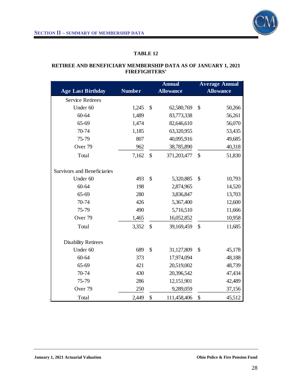

### **RETIREE AND BENEFICIARY MEMBERSHIP DATA AS OF JANUARY 1, 2021 FIREFIGHTERS'**

|                                    |               |               | <b>Annual</b>    |               | <b>Average Annual</b> |
|------------------------------------|---------------|---------------|------------------|---------------|-----------------------|
| <b>Age Last Birthday</b>           | <b>Number</b> |               | <b>Allowance</b> |               | <b>Allowance</b>      |
| <b>Service Retirees</b>            |               |               |                  |               |                       |
| Under 60                           | 1,245         | $\mathcal{S}$ | 62,580,769       | \$            | 50,266                |
| 60-64                              | 1,489         |               | 83,773,338       |               | 56,261                |
| 65-69                              | 1,474         |               | 82,646,610       |               | 56,070                |
| 70-74                              | 1,185         |               | 63,320,955       |               | 53,435                |
| 75-79                              | 807           |               | 40,095,916       |               | 49,685                |
| Over <sub>79</sub>                 | 962           |               | 38,785,890       |               | 40,318                |
| Total                              | 7,162         | \$            | 371,203,477      | \$            | 51,830                |
| <b>Survivors and Beneficiaries</b> |               |               |                  |               |                       |
| Under 60                           | 493           | $\mathcal{S}$ | 5,320,885        | \$            | 10,793                |
| 60-64                              | 198           |               | 2,874,965        |               | 14,520                |
| 65-69                              | 280           |               | 3,836,847        |               | 13,703                |
| 70-74                              | 426           |               | 5,367,400        |               | 12,600                |
| 75-79                              | 490           |               | 5,716,510        |               | 11,666                |
| Over <sub>79</sub>                 | 1,465         |               | 16,052,852       |               | 10,958                |
| Total                              | 3,352         | $\mathbb{S}$  | 39,169,459       | $\mathcal{S}$ | 11,685                |
| <b>Disability Retirees</b>         |               |               |                  |               |                       |
| Under 60                           | 689           | $\mathcal{S}$ | 31,127,809       | \$            | 45,178                |
| 60-64                              | 373           |               | 17,974,094       |               | 48,188                |
| 65-69                              | 421           |               | 20,519,002       |               | 48,739                |
| 70-74                              | 430           |               | 20,396,542       |               | 47,434                |
| 75-79                              | 286           |               | 12,151,901       |               | 42,489                |
| Over <sub>79</sub>                 | 250           |               | 9,289,059        |               | 37,156                |
| Total                              | 2,449         | \$            | 111,458,406      | \$            | 45,512                |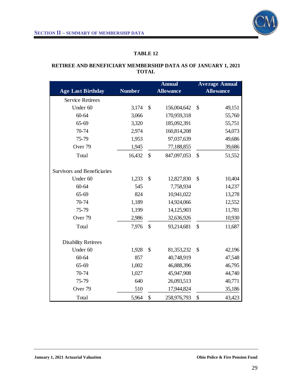

### **RETIREE AND BENEFICIARY MEMBERSHIP DATA AS OF JANUARY 1, 2021 TOTAL**

|                                    |               | <b>Annual</b> |                  | <b>Average Annual</b> |                  |
|------------------------------------|---------------|---------------|------------------|-----------------------|------------------|
| <b>Age Last Birthday</b>           | <b>Number</b> |               | <b>Allowance</b> |                       | <b>Allowance</b> |
| <b>Service Retirees</b>            |               |               |                  |                       |                  |
| Under 60                           | 3,174         | \$            | 156,004,642      | $\mathcal{S}$         | 49,151           |
| $60 - 64$                          | 3,066         |               | 170,959,318      |                       | 55,760           |
| 65-69                              | 3,320         |               | 185,092,391      |                       | 55,751           |
| 70-74                              | 2,974         |               | 160,814,208      |                       | 54,073           |
| 75-79                              | 1,953         |               | 97,037,639       |                       | 49,686           |
| Over <sub>79</sub>                 | 1,945         |               | 77,188,855       |                       | 39,686           |
| Total                              | 16,432        | $\mathcal{S}$ | 847,097,053      | $\mathcal{S}$         | 51,552           |
| <b>Survivors and Beneficiaries</b> |               |               |                  |                       |                  |
| Under 60                           | 1,233         | \$            | 12,827,830       | $\mathcal{S}$         | 10,404           |
| $60 - 64$                          | 545           |               | 7,758,934        |                       | 14,237           |
| 65-69                              | 824           |               | 10,941,022       |                       | 13,278           |
| 70-74                              | 1,189         |               | 14,924,066       |                       | 12,552           |
| 75-79                              | 1,199         |               | 14,125,903       |                       | 11,781           |
| Over <sub>79</sub>                 | 2,986         |               | 32,636,926       |                       | 10,930           |
| Total                              | 7,976         | \$            | 93,214,681       | \$                    | 11,687           |
| <b>Disability Retirees</b>         |               |               |                  |                       |                  |
| Under 60                           | 1,928         | \$            | 81,353,232       | $\mathcal{S}$         | 42,196           |
| $60 - 64$                          | 857           |               | 40,748,919       |                       | 47,548           |
| $65 - 69$                          | 1,002         |               | 46,888,396       |                       | 46,795           |
| 70-74                              | 1,027         |               | 45,947,908       |                       | 44,740           |
| 75-79                              | 640           |               | 26,093,513       |                       | 40,771           |
| Over <sub>79</sub>                 | 510           |               | 17,944,824       |                       | 35,186           |
| Total                              | 5,964         | \$            | 258,976,793      | \$                    | 43,423           |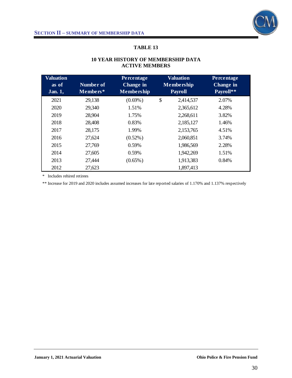

| <b>Valuation</b><br>as of<br><b>Jan. 1,</b> | Number of<br>Members* | Percentage<br><b>Change in</b><br><b>Membership</b> | <b>Valuation</b><br><b>Membership</b><br><b>Payroll</b> | Percentage<br><b>Change</b> in<br>Payroll** |
|---------------------------------------------|-----------------------|-----------------------------------------------------|---------------------------------------------------------|---------------------------------------------|
| 2021                                        | 29,138                | $(0.69\%)$                                          | \$<br>2,414,537                                         | 2.07%                                       |
| 2020                                        | 29,340                | 1.51%                                               | 2,365,612                                               | 4.28%                                       |
| 2019                                        | 28,904                | 1.75%                                               | 2,268,611                                               | 3.82%                                       |
| 2018                                        | 28,408                | 0.83%                                               | 2,185,127                                               | 1.46%                                       |
| 2017                                        | 28,175                | 1.99%                                               | 2,153,765                                               | 4.51%                                       |
| 2016                                        | 27,624                | $(0.52\%)$                                          | 2,060,851                                               | 3.74%                                       |
| 2015                                        | 27,769                | 0.59%                                               | 1,986,569                                               | 2.28%                                       |
| 2014                                        | 27,605                | 0.59%                                               | 1,942,269                                               | 1.51%                                       |
| 2013                                        | 27,444                | $(0.65\%)$                                          | 1,913,383                                               | 0.84%                                       |
| 2012                                        | 27,623                |                                                     | 1,897,413                                               |                                             |

# **10 YEAR HISTORY OF MEMBERSHIP DATA ACTIVE MEMBERS**

\* Includes rehired retirees

\*\* Increase for 2019 and 2020 includes assumed increases for late reported salaries of 1.170% and 1.137% respectively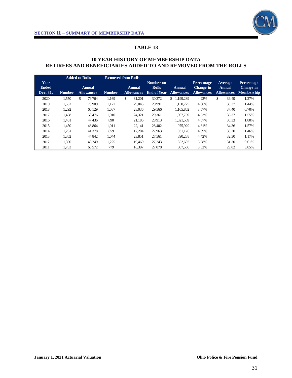

### **10 YEAR HISTORY OF MEMBERSHIP DATA RETIREES AND BENEFICIARIES ADDED TO AND REMOVED FROM THE ROLLS**

|                                  |               | <b>Added to Rolls</b>       |               | <b>Removed from Rolls</b>   |                                                 |                                    |                                                     |                                        |                                                     |
|----------------------------------|---------------|-----------------------------|---------------|-----------------------------|-------------------------------------------------|------------------------------------|-----------------------------------------------------|----------------------------------------|-----------------------------------------------------|
| Year<br><b>Ended</b><br>Dec. 31, | <b>Number</b> | Annual<br><b>Allowances</b> | <b>Number</b> | Annual<br><b>Allowances</b> | Number on<br><b>Rolls</b><br><b>End of Year</b> | <b>Annual</b><br><b>Allowances</b> | <b>Percentage</b><br>Change in<br><b>Allowances</b> | Average<br>Annual<br><b>Allowances</b> | <b>Percentage</b><br>Change in<br><b>Membership</b> |
| 2020                             | 1,550         | \$<br>79.764                | 1,169         | \$<br>31,201                | 30,372                                          | \$<br>1,199,289                    | 4.22%                                               | \$<br>39.49                            | 1.27%                                               |
| 2019                             | 1,552         | 73.909                      | 1.127         | 29.045                      | 29.991                                          | 1.150.725                          | 4.06%                                               | 38.37                                  | 1.44%                                               |
| 2018                             | 1.292         | 66.129                      | 1.087         | 28,036                      | 29.566                                          | 1.105.862                          | 3.57%                                               | 37.40                                  | 0.70%                                               |
| 2017                             | 1,458         | 50.476                      | 1.010         | 24,321                      | 29,361                                          | 1.067.769                          | 4.53%                                               | 36.37                                  | 1.55%                                               |
| 2016                             | 1.401         | 47.436                      | 890           | 21.186                      | 28,913                                          | 1.021.509                          | 4.67%                                               | 35.33                                  | 1.80%                                               |
| 2015                             | 1.450         | 48.864                      | 1.011         | 22.141                      | 28.402                                          | 975.929                            | 4.81%                                               | 34.36                                  | 1.57%                                               |
| 2014                             | 1,261         | 41.378                      | 859           | 17.204                      | 27,963                                          | 931.176                            | 4.59%                                               | 33.30                                  | 1.46%                                               |
| 2013                             | 1.362         | 44.842                      | 1.044         | 23,851                      | 27,561                                          | 890.288                            | 4.42%                                               | 32.30                                  | 1.17%                                               |
| 2012                             | 1.390         | 48.249                      | 1,225         | 19.469                      | 27.243                                          | 852.602                            | 5.58%                                               | 31.30                                  | 0.61%                                               |
| 2011                             | 1,783         | 65,572                      | 779           | 16.397                      | 27,078                                          | 807,550                            | 8.52%                                               | 29.82                                  | 3.85%                                               |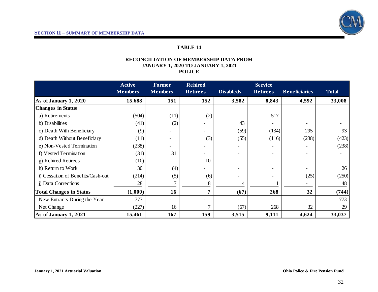

#### **RECONCILIATION OF MEMBERSHIP DATA FROM JANUARY 1, 2020 TO JANUARY 1, 2021 POLICE**

|                                   | <b>Active</b>  | <b>Former</b>  | <b>Rehired</b>  |                  | <b>Service</b>  |                          |              |
|-----------------------------------|----------------|----------------|-----------------|------------------|-----------------|--------------------------|--------------|
|                                   | <b>Members</b> | <b>Members</b> | <b>Retirees</b> | <b>Disableds</b> | <b>Retirees</b> | <b>Beneficiaries</b>     | <b>Total</b> |
| As of January 1, 2020             | 15,688         | 151            | 152             | 3,582            | 8,843           | 4,592                    | 33,008       |
| <b>Changes in Status</b>          |                |                |                 |                  |                 |                          |              |
| a) Retirements                    | (504)          | (11)           | (2)             |                  | 517             |                          |              |
| b) Disabilities                   | (41)           | (2)            |                 | 43               |                 |                          |              |
| c) Death With Beneficiary         | (9)            |                |                 | (59)             | (134)           | 295                      | 93           |
| d) Death Without Beneficiary      | (11)           | -              | (3)             | (55)             | (116)           | (238)                    | (423)        |
| e) Non-Vested Termination         | (238)          |                |                 |                  |                 |                          | (238)        |
| f) Vested Termination             | (31)           | 31             |                 |                  |                 |                          |              |
| g) Rehired Retirees               | (10)           |                | 10              |                  |                 |                          |              |
| h) Return to Work                 | 30             | (4)            |                 |                  |                 |                          | 26           |
| i) Cessation of Benefits/Cash-out | (214)          | (5)            | (6)             |                  |                 | (25)                     | (250)        |
| j) Data Corrections               | 28             |                |                 |                  |                 |                          | 48           |
| <b>Total Changes in Status</b>    | (1,000)        | 16             | 7               | (67)             | 268             | 32                       | (744)        |
| New Entrants During the Year      | 773            | $\blacksquare$ |                 |                  |                 | $\overline{\phantom{0}}$ | 773          |
| Net Change                        | (227)          | 16             |                 | (67)             | 268             | 32                       | 29           |
| As of January 1, 2021             | 15,461         | 167            | 159             | 3,515            | 9,111           | 4,624                    | 33,037       |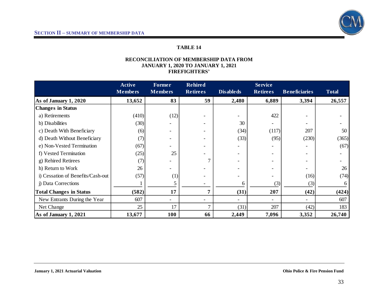

#### **RECONCILIATION OF MEMBERSHIP DATA FROM JANUARY 1, 2020 TO JANUARY 1, 2021 FIREFIGHTERS'**

|                                   | <b>Active</b>  | Former                   | <b>Rehired</b>  |                  | <b>Service</b>  |                      |              |
|-----------------------------------|----------------|--------------------------|-----------------|------------------|-----------------|----------------------|--------------|
|                                   | <b>Members</b> | <b>Members</b>           | <b>Retirees</b> | <b>Disableds</b> | <b>Retirees</b> | <b>Beneficiaries</b> | <b>Total</b> |
| As of January 1, 2020             | 13,652         | 83                       | 59              | 2,480            | 6,889           | 3,394                | 26,557       |
| <b>Changes in Status</b>          |                |                          |                 |                  |                 |                      |              |
| a) Retirements                    | (410)          | (12)                     |                 |                  | 422             |                      |              |
| b) Disabilities                   | (30)           |                          |                 | 30               |                 |                      |              |
| c) Death With Beneficiary         | (6)            |                          |                 | (34)             | (117)           | 207                  | 50           |
| d) Death Without Beneficiary      | (7)            | -                        |                 | (33)             | (95)            | (230)                | (365)        |
| e) Non-Vested Termination         | (67)           |                          |                 |                  |                 |                      | (67)         |
| f) Vested Termination             | (25)           | 25                       |                 |                  |                 |                      |              |
| g) Rehired Retirees               | (7)            |                          |                 |                  |                 |                      |              |
| h) Return to Work                 | 26             |                          |                 |                  |                 |                      | 26           |
| i) Cessation of Benefits/Cash-out | (57)           | (1)                      |                 |                  |                 | (16)                 | (74)         |
| j) Data Corrections               |                |                          |                 | 6                | (3)             | (3)                  |              |
| <b>Total Changes in Status</b>    | (582)          | 17                       | 7               | (31)             | 207             | (42)                 | (424)        |
| New Entrants During the Year      | 607            | $\overline{\phantom{0}}$ |                 |                  |                 |                      | 607          |
| Net Change                        | 25             | 17                       |                 | (31)             | 207             | (42)                 | 183          |
| As of January 1, 2021             | 13,677         | 100                      | 66              | 2,449            | 7,096           | 3,352                | 26,740       |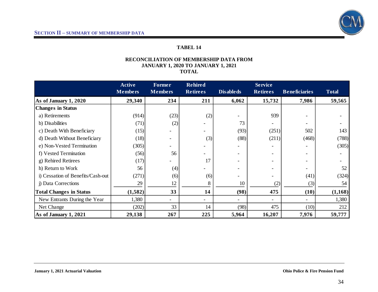

## **TABEL 14**

#### **RECONCILIATION OF MEMBERSHIP DATA FROM JANUARY 1, 2020 TO JANUARY 1, 2021 TOTAL**

|                                   | <b>Active</b>  | <b>Former</b>            | <b>Rehired</b>           |                  | <b>Service</b>  |                      |              |
|-----------------------------------|----------------|--------------------------|--------------------------|------------------|-----------------|----------------------|--------------|
|                                   | <b>Members</b> | <b>Members</b>           | <b>Retirees</b>          | <b>Disableds</b> | <b>Retirees</b> | <b>Beneficiaries</b> | <b>Total</b> |
| As of January 1, 2020             | 29,340         | 234                      | 211                      | 6,062            | 15,732          | 7,986                | 59,565       |
| <b>Changes in Status</b>          |                |                          |                          |                  |                 |                      |              |
| a) Retirements                    | (914)          | (23)                     | (2)                      |                  | 939             |                      |              |
| b) Disabilities                   | (71)           | (2)                      |                          | 73               |                 |                      |              |
| c) Death With Beneficiary         | (15)           |                          |                          | (93)             | (251)           | 502                  | 143          |
| d) Death Without Beneficiary      | (18)           | -                        | (3)                      | (88)             | (211)           | (468)                | (788)        |
| e) Non-Vested Termination         | (305)          |                          |                          |                  |                 |                      | (305)        |
| f) Vested Termination             | (56)           | 56                       |                          |                  |                 |                      |              |
| g) Rehired Retirees               | (17)           |                          | 17                       |                  |                 |                      |              |
| h) Return to Work                 | 56             | (4)                      |                          |                  |                 |                      | 52           |
| i) Cessation of Benefits/Cash-out | (271)          | (6)                      | (6)                      |                  |                 | (41)                 | (324)        |
| j) Data Corrections               | 29             | 12                       |                          | 10               | (2)             | (3)                  | 54           |
| <b>Total Changes in Status</b>    | (1,582)        | 33                       | 14                       | (98)             | 475             | (10)                 | (1, 168)     |
| New Entrants During the Year      | 1,380          | $\overline{\phantom{0}}$ | $\overline{\phantom{a}}$ |                  |                 |                      | 1,380        |
| Net Change                        | (202)          | 33                       | 14                       | (98)             | 475             | (10)                 | 212          |
| As of January 1, 2021             | 29,138         | 267                      | 225                      | 5,964            | 16,207          | 7,976                | 59,777       |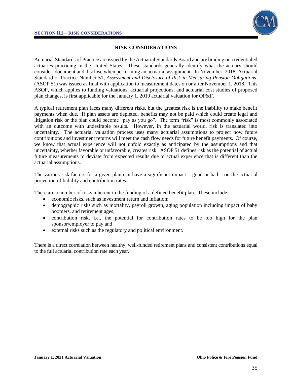

### **RISK CONSIDERATIONS**

Actuarial Standards of Practice are issued by the Actuarial Standards Board and are binding on credentialed actuaries practicing in the United States. These standards generally identify what the actuary should consider, document and disclose when performing an actuarial assignment. In November, 2018, Actuarial Standard of Practice Number 51, *Assessment and Disclosure of Risk in Measuring Pension Obligations*, (ASOP 51) was issued as final with application to measurement dates on or after November 1, 2018. This ASOP, which applies to funding valuations, actuarial projections, and actuarial cost studies of proposed plan changes, is first applicable for the January 1, 2019 actuarial valuation for OP&F.

A typical retirement plan faces many different risks, but the greatest risk is the inability to make benefit payments when due. If plan assets are depleted, benefits may not be paid which could create legal and litigation risk or the plan could become "pay as you go". The term "risk" is most commonly associated with an outcome with undesirable results. However, in the actuarial world, risk is translated into uncertainty. The actuarial valuation process uses many actuarial assumptions to project how future contributions and investment returns will meet the cash flow needs for future benefit payments. Of course, we know that actual experience will not unfold exactly as anticipated by the assumptions and that uncertainty, whether favorable or unfavorable, creates risk. ASOP 51 defines risk as the potential of actual future measurements to deviate from expected results due to actual experience that is different than the actuarial assumptions.

The various risk factors for a given plan can have a significant impact  $-$  good or bad  $-$  on the actuarial projection of liability and contribution rates.

There are a number of risks inherent in the funding of a defined benefit plan. These include:

- economic risks, such as investment return and inflation;
- demographic risks such as mortality, payroll growth, aging population including impact of baby boomers, and retirement ages;
- contribution risk, i.e., the potential for contribution rates to be too high for the plan sponsor/employer to pay and
- external risks such as the regulatory and political environment.

There is a direct correlation between healthy, well-funded retirement plans and consistent contributions equal to the full actuarial contribution rate each year.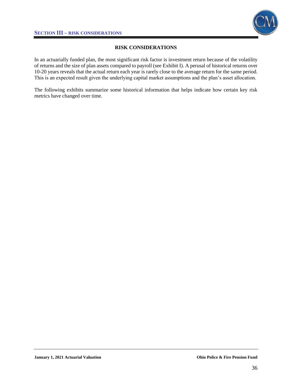

# **RISK CONSIDERATIONS**

In an actuarially funded plan, the most significant risk factor is investment return because of the volatility of returns and the size of plan assets compared to payroll (see Exhibit I). A perusal of historical returns over 10-20 years reveals that the actual return each year is rarely close to the average return for the same period. This is an expected result given the underlying capital market assumptions and the plan's asset allocation.

The following exhibits summarize some historical information that helps indicate how certain key risk metrics have changed over time.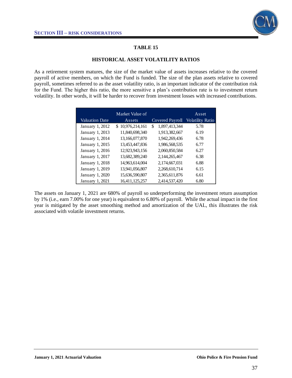

#### **HISTORICAL ASSET VOLATILITY RATIOS**

As a retirement system matures, the size of the market value of assets increases relative to the covered payroll of active members, on which the Fund is funded. The size of the plan assets relative to covered payroll, sometimes referred to as the asset volatility ratio, is an important indicator of the contribution risk for the Fund. The higher this ratio, the more sensitive a plan's contribution rate is to investment return volatility. In other words, it will be harder to recover from investment losses with increased contributions.

|                       | Market Value of  |                     | Asset                   |
|-----------------------|------------------|---------------------|-------------------------|
| <b>Valuation Date</b> | Assets           | Covered Payroll     | <b>Volatility Ratio</b> |
| January 1, 2012       | \$10,976,214,161 | \$<br>1,897,413,344 | 5.78                    |
| January 1, 2013       | 11,840,698,340   | 1,913,382,667       | 6.19                    |
| January 1, 2014       | 13,166,077,870   | 1,942,269,436       | 6.78                    |
| January 1, 2015       | 13,453,447,836   | 1,986,568,535       | 6.77                    |
| January 1, 2016       | 12,923,943,156   | 2,060,850,584       | 6.27                    |
| January 1, 2017       | 13,682,389,240   | 2,144,265,467       | 6.38                    |
| January 1, 2018       | 14,963,614,004   | 2,174,667,031       | 6.88                    |
| January 1, 2019       | 13,941,056,807   | 2,268,610,714       | 6.15                    |
| January 1, 2020       | 15,636,590,807   | 2,365,611,876       | 6.61                    |
| January 1, 2021       | 16,411,125,257   | 2,414,537,420       | 6.80                    |

The assets on January 1, 2021 are 680% of payroll so underperforming the investment return assumption by 1% (i.e., earn 7.00% for one year) is equivalent to 6.80% of payroll. While the actual impact in the first year is mitigated by the asset smoothing method and amortization of the UAL, this illustrates the risk associated with volatile investment returns.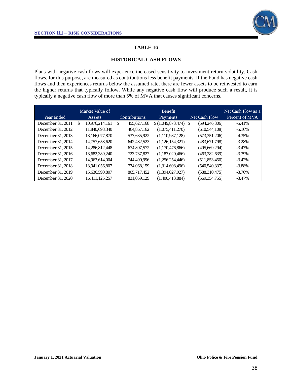

#### **HISTORICAL CASH FLOWS**

Plans with negative cash flows will experience increased sensitivity to investment return volatility. Cash flows, for this purpose, are measured as contributions less benefit payments. If the Fund has negative cash flows and then experiences returns below the assumed rate, there are fewer assets to be reinvested to earn the higher returns that typically follow. While any negative cash flow will produce such a result, it is typically a negative cash flow of more than 5% of MVA that causes significant concerns.

| Year Ended        |   | Market Value of<br>Assets | Contributions     | <b>Benefit</b><br>Payments | Net Cash Flow   | Net Cash Flow as a<br>Percent of MVA |
|-------------------|---|---------------------------|-------------------|----------------------------|-----------------|--------------------------------------|
| December 31, 2011 | S | 10,976,214,161            | \$<br>455,627,168 | $(1,049,873,474)$ \$       | (594, 246, 306) | $-5.41%$                             |
| December 31, 2012 |   | 11,840,698,340            | 464,867,162       | (1,075,411,270)            | (610, 544, 108) | $-5.16%$                             |
| December 31, 2013 |   | 13,166,077,870            | 537,635,922       | (1,110,987,128)            | (573,351,206)   | $-4.35%$                             |
| December 31, 2014 |   | 14,757,658,620            | 642,482,523       | (1,126,154,321)            | (483, 671, 798) | $-3.28%$                             |
| December 31, 2015 |   | 14.286.812.448            | 674,807,572       | (1,170,476,866)            | (495, 669, 294) | $-3.47\%$                            |
| December 31, 2016 |   | 13.682.389.240            | 723,737,827       | (1,187,020,466)            | (463, 282, 639) | $-3.39\%$                            |
| December 31, 2017 |   | 14,963,614,004            | 744,400,996       | (1,256,254,446)            | (511, 853, 450) | $-3.42\%$                            |
| December 31, 2018 |   | 13,941,056,807            | 774,068,159       | (1,314,608,496)            | (540, 540, 337) | $-3.88\%$                            |
| December 31, 2019 |   | 15,636,590,807            | 805,717,452       | (1,394,027,927)            | (588, 310, 475) | $-3.76%$                             |
| December 31, 2020 |   | 16,411,125,257            | 831,059,129       | (1.400.413.884)            | (569,354,755)   | $-3.47\%$                            |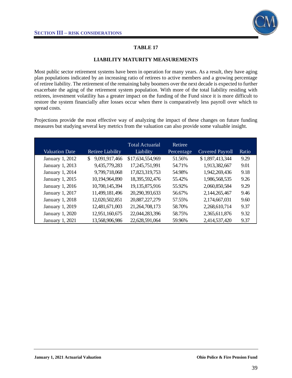

#### **LIABILITY MATURITY MEASUREMENTS**

Most public sector retirement systems have been in operation for many years. As a result, they have aging plan populations indicated by an increasing ratio of retirees to active members and a growing percentage of retiree liability. The retirement of the remaining baby boomers over the next decade is expected to further exacerbate the aging of the retirement system population. With more of the total liability residing with retirees, investment volatility has a greater impact on the funding of the Fund since it is more difficult to restore the system financially after losses occur when there is comparatively less payroll over which to spread costs.

Projections provide the most effective way of analyzing the impact of these changes on future funding measures but studying several key metrics from the valuation can also provide some valuable insight.

| <b>Valuation Date</b> | <b>Retiree Liability</b> | <b>Total Actuarial</b><br>Liability | Retiree<br>Percentage | <b>Covered Payroll</b> | Ratio |
|-----------------------|--------------------------|-------------------------------------|-----------------------|------------------------|-------|
| January 1, 2012       | 9,091,917,466<br>\$      | \$17,634,554,969                    | 51.56%                | \$1,897,413,344        | 9.29  |
| January 1, 2013       | 9,435,779,283            | 17,245,751,991                      | 54.71%                | 1,913,382,667          | 9.01  |
| January 1, 2014       | 9,799,718,068            | 17,823,319,753                      | 54.98%                | 1,942,269,436          | 9.18  |
| January 1, 2015       | 10,194,964,890           | 18,395,592,476                      | 55.42%                | 1,986,568,535          | 9.26  |
| January 1, 2016       | 10,700,145,394           | 19,135,875,916                      | 55.92%                | 2,060,850,584          | 9.29  |
| January 1, 2017       | 11,499,181,496           | 20,290,393,633                      | 56.67%                | 2,144,265,467          | 9.46  |
| January 1, 2018       | 12,020,502,851           | 20,887,227,279                      | 57.55%                | 2,174,667,031          | 9.60  |
| January 1, 2019       | 12,481,671,003           | 21,264,708,173                      | 58.70%                | 2,268,610,714          | 9.37  |
| January 1, 2020       | 12,951,160,675           | 22,044,283,396                      | 58.75%                | 2,365,611,876          | 9.32  |
| January 1, 2021       | 13,568,906,986           | 22,628,591,064                      | 59.96%                | 2,414,537,420          | 9.37  |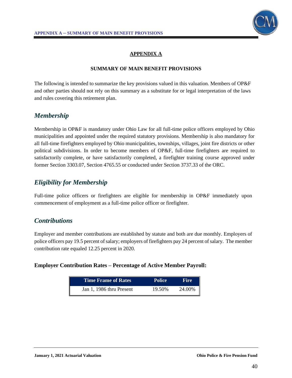

# **APPENDIX A**

#### **SUMMARY OF MAIN BENEFIT PROVISIONS**

The following is intended to summarize the key provisions valued in this valuation. Members of OP&F and other parties should not rely on this summary as a substitute for or legal interpretation of the laws and rules covering this retirement plan.

# *Membership*

Membership in OP&F is mandatory under Ohio Law for all full-time police officers employed by Ohio municipalities and appointed under the required statutory provisions. Membership is also mandatory for all full-time firefighters employed by Ohio municipalities, townships, villages, joint fire districts or other political subdivisions. In order to become members of OP&F, full-time firefighters are required to satisfactorily complete, or have satisfactorily completed, a firefighter training course approved under former Section 3303.07, Section 4765.55 or conducted under Section 3737.33 of the ORC.

# *Eligibility for Membership*

Full-time police officers or firefighters are eligible for membership in OP&F immediately upon commencement of employment as a full-time police officer or firefighter.

# *Contributions*

Employer and member contributions are established by statute and both are due monthly. Employers of police officers pay 19.5 percent of salary; employers of firefighters pay 24 percent of salary. The member contribution rate equaled 12.25 percent in 2020.

### **Employer Contribution Rates – Percentage of Active Member Payroll:**

| Time Frame of Rates      | <b>Police</b> | <b>Fire</b> |
|--------------------------|---------------|-------------|
| Jan 1, 1986 thru Present | 19.50%        | 24.00%      |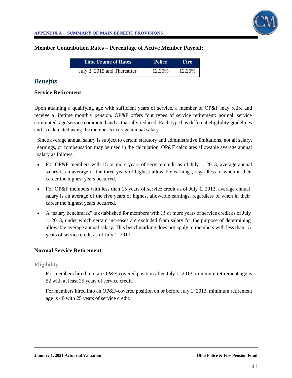

### **Member Contribution Rates – Percentage of Active Member Payroll:**

| Time Frame of Rates         | <b>Police</b> | <b>Fire</b> |
|-----------------------------|---------------|-------------|
| July 2, 2015 and Thereafter | 12.25%        | 12.25%      |

# *Benefits*

### **Service Retirement**

Upon attaining a qualifying age with sufficient years of service, a member of OP&F may retire and receive a lifetime monthly pension. OP&F offers four types of service retirement: normal, service commuted, age/service commuted and actuarially reduced. Each type has different eligibility guidelines and is calculated using the member's average annual salary.

Since average annual salary is subject to certain statutory and administrative limitations, not all salary, earnings, or compensation may be used in the calculation. OP&F calculates allowable average annual salary as follows:

- For OP&F members with 15 or more years of service credit as of July 1, 2013, average annual salary is an average of the three years of highest allowable earnings, regardless of when in their career the highest years occurred.
- For OP&F members with less than 15 years of service credit as of July 1, 2013, average annual salary is an average of the five years of highest allowable earnings, regardless of when in their career the highest years occurred.
- A "salary benchmark" is established for members with 15 or more years of service credit as of July 1, 2013, under which certain increases are excluded from salary for the purpose of determining allowable average annual salary. This benchmarking does not apply to members with less than 15 years of service credit as of July 1, 2013.

### **Normal Service Retirement**

#### **Eligibility**

For members hired into an OP&F-covered position after July 1, 2013, minimum retirement age is 52 with at least 25 years of service credit.

For members hired into an OP&F-covered position on or before July 1, 2013, minimum retirement age is 48 with 25 years of service credit.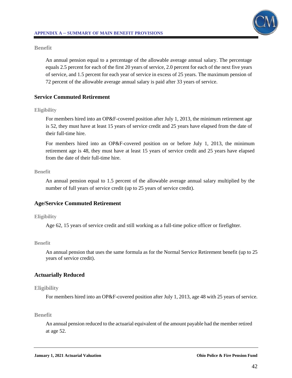

### **Benefit**

An annual pension equal to a percentage of the allowable average annual salary. The percentage equals 2.5 percent for each of the first 20 years of service, 2.0 percent for each of the next five years of service, and 1.5 percent for each year of service in excess of 25 years. The maximum pension of 72 percent of the allowable average annual salary is paid after 33 years of service.

# **Service Commuted Retirement**

### **Eligibility**

For members hired into an OP&F-covered position after July 1, 2013, the minimum retirement age is 52, they must have at least 15 years of service credit and 25 years have elapsed from the date of their full-time hire.

For members hired into an OP&F-covered position on or before July 1, 2013, the minimum retirement age is 48, they must have at least 15 years of service credit and 25 years have elapsed from the date of their full-time hire.

### **Benefit**

An annual pension equal to 1.5 percent of the allowable average annual salary multiplied by the number of full years of service credit (up to 25 years of service credit).

# **Age/Service Commuted Retirement**

### **Eligibility**

Age 62, 15 years of service credit and still working as a full-time police officer or firefighter.

### **Benefit**

An annual pension that uses the same formula as for the Normal Service Retirement benefit (up to 25 years of service credit).

# **Actuarially Reduced**

### **Eligibility**

For members hired into an OP&F-covered position after July 1, 2013, age 48 with 25 years of service.

### **Benefit**

An annual pension reduced to the actuarial equivalent of the amount payable had the member retired at age 52.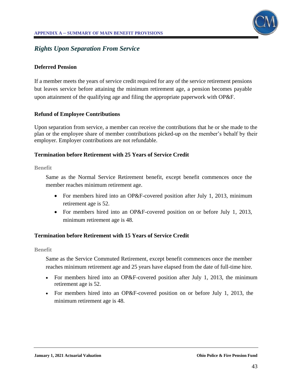

# *Rights Upon Separation From Service*

### **Deferred Pension**

If a member meets the years of service credit required for any of the service retirement pensions but leaves service before attaining the minimum retirement age, a pension becomes payable upon attainment of the qualifying age and filing the appropriate paperwork with OP&F.

### **Refund of Employee Contributions**

Upon separation from service, a member can receive the contributions that he or she made to the plan or the employee share of member contributions picked-up on the member's behalf by their employer. Employer contributions are not refundable.

### **Termination before Retirement with 25 Years of Service Credit**

**Benefit**

Same as the Normal Service Retirement benefit, except benefit commences once the member reaches minimum retirement age.

- For members hired into an OP&F-covered position after July 1, 2013, minimum retirement age is 52.
- For members hired into an OP&F-covered position on or before July 1, 2013, minimum retirement age is 48.

# **Termination before Retirement with 15 Years of Service Credit**

#### **Benefit**

Same as the Service Commuted Retirement, except benefit commences once the member reaches minimum retirement age and 25 years have elapsed from the date of full-time hire.

- For members hired into an OP&F-covered position after July 1, 2013, the minimum retirement age is 52.
- For members hired into an OP&F-covered position on or before July 1, 2013, the minimum retirement age is 48.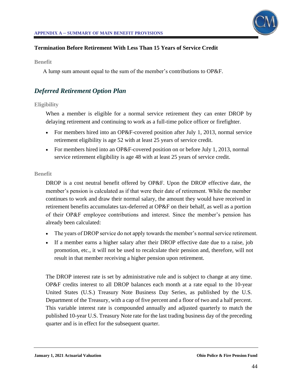

# **Termination Before Retirement With Less Than 15 Years of Service Credit**

**Benefit**

A lump sum amount equal to the sum of the member's contributions to OP&F.

# *Deferred Retirement Option Plan*

# **Eligibility**

When a member is eligible for a normal service retirement they can enter DROP by delaying retirement and continuing to work as a full-time police officer or firefighter.

- For members hired into an OP&F-covered position after July 1, 2013, normal service retirement eligibility is age 52 with at least 25 years of service credit.
- For members hired into an OP&F-covered position on or before July 1, 2013, normal service retirement eligibility is age 48 with at least 25 years of service credit.

### **Benefit**

DROP is a cost neutral benefit offered by OP&F. Upon the DROP effective date, the member's pension is calculated as if that were their date of retirement. While the member continues to work and draw their normal salary, the amount they would have received in retirement benefits accumulates tax-deferred at OP&F on their behalf, as well as a portion of their OP&F employee contributions and interest. Since the member's pension has already been calculated:

- The years of DROP service do not apply towards the member's normal service retirement.
- If a member earns a higher salary after their DROP effective date due to a raise, job promotion, etc., it will not be used to recalculate their pension and, therefore, will not result in that member receiving a higher pension upon retirement.

The DROP interest rate is set by administrative rule and is subject to change at any time. OP&F credits interest to all DROP balances each month at a rate equal to the 10-year United States (U.S.) Treasury Note Business Day Series, as published by the U.S. Department of the Treasury, with a cap of five percent and a floor of two and a half percent. This variable interest rate is compounded annually and adjusted quarterly to match the published 10-year U.S. Treasury Note rate for the last trading business day of the preceding quarter and is in effect for the subsequent quarter.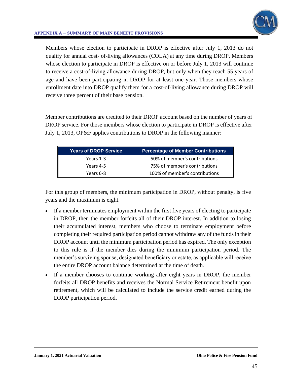

## **APPENDIX A – SUMMARY OF MAIN BENEFIT PROVISIONS**

Members whose election to participate in DROP is effective after July 1, 2013 do not qualify for annual cost- of-living allowances (COLA) at any time during DROP. Members whose election to participate in DROP is effective on or before July 1, 2013 will continue to receive a cost-of-living allowance during DROP, but only when they reach 55 years of age and have been participating in DROP for at least one year. Those members whose enrollment date into DROP qualify them for a cost-of-living allowance during DROP will receive three percent of their base pension.

Member contributions are credited to their DROP account based on the number of years of DROP service. For those members whose election to participate in DROP is effective after July 1, 2013, OP&F applies contributions to DROP in the following manner:

| <b>Years of DROP Service</b> | <b>Percentage of Member Contributions</b> |
|------------------------------|-------------------------------------------|
| Years 1-3                    | 50% of member's contributions             |
| Years 4-5                    | 75% of member's contributions             |
| Years 6-8                    | 100% of member's contributions            |

For this group of members, the minimum participation in DROP, without penalty, is five years and the maximum is eight.

- If a member terminates employment within the first five years of electing to participate in DROP, then the member forfeits all of their DROP interest. In addition to losing their accumulated interest, members who choose to terminate employment before completing their required participation period cannot withdraw any of the funds in their DROP account until the minimum participation period has expired. The only exception to this rule is if the member dies during the minimum participation period. The member's surviving spouse, designated beneficiary or estate, as applicable will receive the entire DROP account balance determined at the time of death.
- If a member chooses to continue working after eight years in DROP, the member forfeits all DROP benefits and receives the Normal Service Retirement benefit upon retirement, which will be calculated to include the service credit earned during the DROP participation period.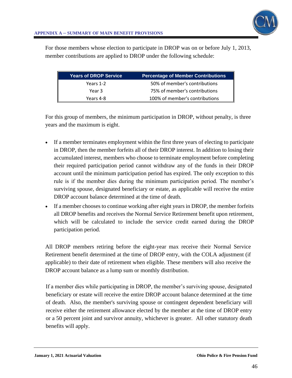

For those members whose election to participate in DROP was on or before July 1, 2013, member contributions are applied to DROP under the following schedule:

| <b>Years of DROP Service</b> | <b>Percentage of Member Contributions</b> |
|------------------------------|-------------------------------------------|
| Years 1-2                    | 50% of member's contributions             |
| Year 3                       | 75% of member's contributions             |
| Years 4-8                    | 100% of member's contributions            |

For this group of members, the minimum participation in DROP, without penalty, is three years and the maximum is eight.

- If a member terminates employment within the first three years of electing to participate in DROP, then the member forfeits all of their DROP interest. In addition to losing their accumulated interest, members who choose to terminate employment before completing their required participation period cannot withdraw any of the funds in their DROP account until the minimum participation period has expired. The only exception to this rule is if the member dies during the minimum participation period. The member's surviving spouse, designated beneficiary or estate, as applicable will receive the entire DROP account balance determined at the time of death.
- If a member chooses to continue working after eight years in DROP, the member forfeits all DROP benefits and receives the Normal Service Retirement benefit upon retirement, which will be calculated to include the service credit earned during the DROP participation period.

All DROP members retiring before the eight-year max receive their Normal Service Retirement benefit determined at the time of DROP entry, with the COLA adjustment (if applicable) to their date of retirement when eligible. These members will also receive the DROP account balance as a lump sum or monthly distribution.

If a member dies while participating in DROP, the member's surviving spouse, designated beneficiary or estate will receive the entire DROP account balance determined at the time of death. Also, the member's surviving spouse or contingent dependent beneficiary will receive either the retirement allowance elected by the member at the time of DROP entry or a 50 percent joint and survivor annuity, whichever is greater. All other statutory death benefits will apply.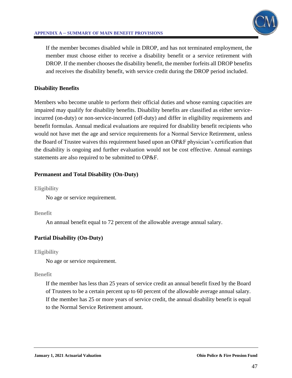

If the member becomes disabled while in DROP, and has not terminated employment, the member must choose either to receive a disability benefit or a service retirement with DROP. If the member chooses the disability benefit, the member forfeits all DROP benefits and receives the disability benefit, with service credit during the DROP period included.

# **Disability Benefits**

Members who become unable to perform their official duties and whose earning capacities are impaired may qualify for disability benefits. Disability benefits are classified as either serviceincurred (on-duty) or non-service-incurred (off-duty) and differ in eligibility requirements and benefit formulas. Annual medical evaluations are required for disability benefit recipients who would not have met the age and service requirements for a Normal Service Retirement, unless the Board of Trustee waives this requirement based upon an OP&F physician's certification that the disability is ongoing and further evaluation would not be cost effective. Annual earnings statements are also required to be submitted to OP&F.

# **Permanent and Total Disability (On-Duty)**

## **Eligibility**

No age or service requirement.

# **Benefit**

An annual benefit equal to 72 percent of the allowable average annual salary.

# **Partial Disability (On-Duty)**

# **Eligibility**

No age or service requirement.

# **Benefit**

If the member has less than 25 years of service credit an annual benefit fixed by the Board of Trustees to be a certain percent up to 60 percent of the allowable average annual salary. If the member has 25 or more years of service credit, the annual disability benefit is equal to the Normal Service Retirement amount.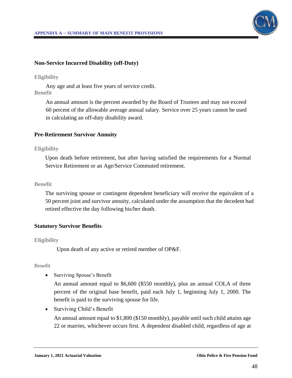

## **Non-Service Incurred Disability (off-Duty)**

### **Eligibility**

Any age and at least five years of service credit. **Benefit**

An annual amount is the percent awarded by the Board of Trustees and may not exceed 60 percent of the allowable average annual salary. Service over 25 years cannot be used in calculating an off-duty disability award.

### **Pre-Retirement Survivor Annuity**

### **Eligibility**

Upon death before retirement, but after having satisfied the requirements for a Normal Service Retirement or an Age/Service Commuted retirement.

#### **Benefit**

The surviving spouse or contingent dependent beneficiary will receive the equivalent of a 50 percent joint and survivor annuity, calculated under the assumption that the decedent had retired effective the day following his/her death.

### **Statutory Survivor Benefits**

### **Eligibility**

Upon death of any active or retired member of OP&F.

### **Benefit**

• Surviving Spouse's Benefit

An annual amount equal to \$6,600 (\$550 monthly), plus an annual COLA of three percent of the original base benefit, paid each July 1, beginning July 1, 2000. The benefit is paid to the surviving spouse for life.

• Surviving Child's Benefit

An annual amount equal to \$1,800 (\$150 monthly), payable until such child attains age 22 or marries, whichever occurs first. A dependent disabled child, regardless of age at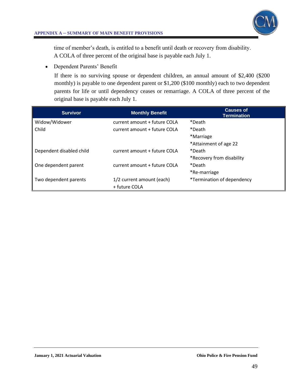

### **APPENDIX A – SUMMARY OF MAIN BENEFIT PROVISIONS**

time of member's death, is entitled to a benefit until death or recovery from disability. A COLA of three percent of the original base is payable each July 1.

• Dependent Parents' Benefit

If there is no surviving spouse or dependent children, an annual amount of \$2,400 (\$200 monthly) is payable to one dependent parent or \$1,200 (\$100 monthly) each to two dependent parents for life or until dependency ceases or remarriage. A COLA of three percent of the original base is payable each July 1.

| <b>Survivor</b>          | <b>Monthly Benefit</b>       | <b>Causes of</b><br><b>Termination</b> |
|--------------------------|------------------------------|----------------------------------------|
| Widow/Widower            | current amount + future COLA | *Death                                 |
| Child                    | current amount + future COLA | *Death                                 |
|                          |                              | *Marriage                              |
|                          |                              | *Attainment of age 22                  |
| Dependent disabled child | current amount + future COLA | *Death                                 |
|                          |                              | *Recovery from disability              |
| One dependent parent     | current amount + future COLA | *Death                                 |
|                          |                              | *Re-marriage                           |
| Two dependent parents    | 1/2 current amount (each)    | *Termination of dependency             |
|                          | + future COLA                |                                        |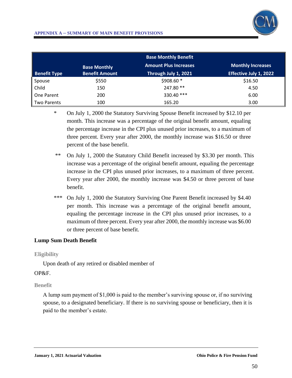

### **APPENDIX A – SUMMARY OF MAIN BENEFIT PROVISIONS**

|                     |                       | <b>Base Monthly Benefit</b>  |                          |
|---------------------|-----------------------|------------------------------|--------------------------|
|                     | <b>Base Monthly</b>   | <b>Amount Plus Increases</b> | <b>Monthly Increases</b> |
| <b>Benefit Type</b> | <b>Benefit Amount</b> | Through July 1, 2021         | Effective July 1, 2022   |
| Spouse              | \$550                 | $$908.60*$                   | \$16.50                  |
| Child               | 150                   | 247.80 **                    | 4.50                     |
| One Parent          | 200                   | 330.40 ***                   | 6.00                     |
| Two Parents         | 100                   | 165.20                       | 3.00                     |

\* On July 1, 2000 the Statutory Surviving Spouse Benefit increased by \$12.10 per month. This increase was a percentage of the original benefit amount, equaling the percentage increase in the CPI plus unused prior increases, to a maximum of three percent. Every year after 2000, the monthly increase was \$16.50 or three percent of the base benefit.

- \*\* On July 1, 2000 the Statutory Child Benefit increased by \$3.30 per month. This increase was a percentage of the original benefit amount, equaling the percentage increase in the CPI plus unused prior increases, to a maximum of three percent. Every year after 2000, the monthly increase was \$4.50 or three percent of base benefit.
- \*\*\* On July 1, 2000 the Statutory Surviving One Parent Benefit increased by \$4.40 per month. This increase was a percentage of the original benefit amount, equaling the percentage increase in the CPI plus unused prior increases, to a maximum of three percent. Every year after 2000, the monthly increase was \$6.00 or three percent of base benefit.

# **Lump Sum Death Benefit**

### **Eligibility**

Upon death of any retired or disabled member of

# OP&F.

### **Benefit**

A lump sum payment of \$1,000 is paid to the member's surviving spouse or, if no surviving spouse, to a designated beneficiary. If there is no surviving spouse or beneficiary, then it is paid to the member's estate.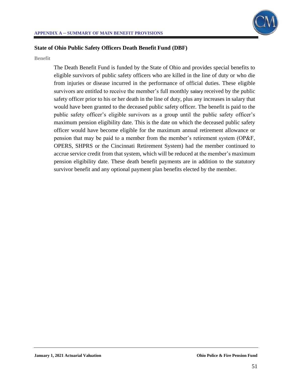

# **State of Ohio Public Safety Officers Death Benefit Fund (DBF)**

**Benefit**

The Death Benefit Fund is funded by the State of Ohio and provides special benefits to eligible survivors of public safety officers who are killed in the line of duty or who die from injuries or disease incurred in the performance of official duties. These eligible survivors are entitled to receive the member's full monthly salary received by the public safety officer prior to his or her death in the line of duty, plus any increases in salary that would have been granted to the deceased public safety officer. The benefit is paid to the public safety officer's eligible survivors as a group until the public safety officer's maximum pension eligibility date. This is the date on which the deceased public safety officer would have become eligible for the maximum annual retirement allowance or pension that may be paid to a member from the member's retirement system (OP&F, OPERS, SHPRS or the Cincinnati Retirement System) had the member continued to accrue service credit from that system, which will be reduced at the member's maximum pension eligibility date. These death benefit payments are in addition to the statutory survivor benefit and any optional payment plan benefits elected by the member.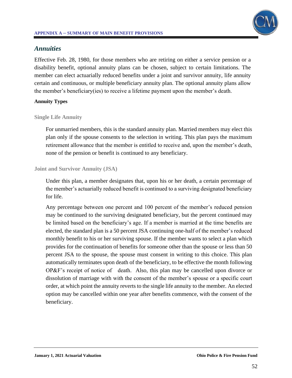# *Annuities*

Effective Feb. 28, 1980, for those members who are retiring on either a service pension or a disability benefit, optional annuity plans can be chosen, subject to certain limitations. The member can elect actuarially reduced benefits under a joint and survivor annuity, life annuity certain and continuous, or multiple beneficiary annuity plan. The optional annuity plans allow the member's beneficiary(ies) to receive a lifetime payment upon the member's death.

# **Annuity Types**

# **Single Life Annuity**

For unmarried members, this is the standard annuity plan. Married members may elect this plan only if the spouse consents to the selection in writing. This plan pays the maximum retirement allowance that the member is entitled to receive and, upon the member's death, none of the pension or benefit is continued to any beneficiary.

# **Joint and Survivor Annuity (JSA)**

Under this plan, a member designates that, upon his or her death, a certain percentage of the member's actuarially reduced benefit is continued to a surviving designated beneficiary for life.

Any percentage between one percent and 100 percent of the member's reduced pension may be continued to the surviving designated beneficiary, but the percent continued may be limited based on the beneficiary's age. If a member is married at the time benefits are elected, the standard plan is a 50 percent JSA continuing one-half of the member's reduced monthly benefit to his or her surviving spouse. If the member wants to select a plan which provides for the continuation of benefits for someone other than the spouse or less than 50 percent JSA to the spouse, the spouse must consent in writing to this choice. This plan automatically terminates upon death of the beneficiary, to be effective the month following OP&F's receipt of notice of death. Also, this plan may be cancelled upon divorce or dissolution of marriage with with the consent of the member's spouse or a specific court order, at which point the annuity reverts to the single life annuity to the member. An elected option may be cancelled within one year after benefits commence, with the consent of the beneficiary.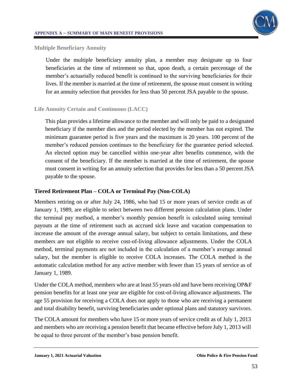

### **Multiple Beneficiary Annuity**

Under the multiple beneficiary annuity plan, a member may designate up to four beneficiaries at the time of retirement so that, upon death, a certain percentage of the member's actuarially reduced benefit is continued to the surviving beneficiaries for their lives. If the member is married at the time of retirement, the spouse must consent in writing for an annuity selection that provides for less than 50 percent JSA payable to the spouse.

# **Life Annuity Certain and Continuous (LACC)**

This plan provides a lifetime allowance to the member and will only be paid to a designated beneficiary if the member dies and the period elected by the member has not expired. The minimum guarantee period is five years and the maximum is 20 years. 100 percent of the member's reduced pension continues to the beneficiary for the guarantee period selected. An elected option may be cancelled within one-year after benefits commence, with the consent of the beneficiary. If the member is married at the time of retirement, the spouse must consent in writing for an annuity selection that provides for less than a 50 percent JSA payable to the spouse.

# **Tiered Retirement Plan – COLA or Terminal Pay (Non-COLA)**

Members retiring on or after July 24, 1986, who had 15 or more years of service credit as of January 1, 1989, are eligible to select between two different pension calculation plans. Under the terminal pay method, a member's monthly pension benefit is calculated using terminal payouts at the time of retirement such as accrued sick leave and vacation compensation to increase the amount of the average annual salary, but subject to certain limitations, and these members are not eligible to receive cost-of-living allowance adjustments. Under the COLA method, terminal payments are not included in the calculation of a member's average annual salary, but the member is eligible to receive COLA increases. The COLA method is the automatic calculation method for any active member with fewer than 15 years of service as of January 1, 1989.

Under the COLA method, members who are at least 55 years old and have been receiving OP&F pension benefits for at least one year are eligible for cost-of-living allowance adjustments. The age 55 provision for receiving a COLA does not apply to those who are receiving a permanent and total disability benefit, surviving beneficiaries under optional plans and statutory survivors.

The COLA amount for members who have 15 or more years of service credit as of July 1, 2013 and members who are receiving a pension benefit that became effective before July 1, 2013 will be equal to three percent of the member's base pension benefit.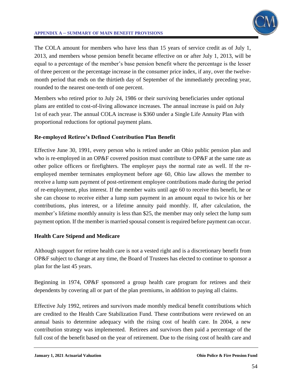

# **APPENDIX A – SUMMARY OF MAIN BENEFIT PROVISIONS**

The COLA amount for members who have less than 15 years of service credit as of July 1, 2013, and members whose pension benefit became effective on or after July 1, 2013, will be equal to a percentage of the member's base pension benefit where the percentage is the lesser of three percent or the percentage increase in the consumer price index, if any, over the twelvemonth period that ends on the thirtieth day of September of the immediately preceding year, rounded to the nearest one-tenth of one percent.

Members who retired prior to July 24, 1986 or their surviving beneficiaries under optional plans are entitled to cost-of-living allowance increases. The annual increase is paid on July 1st of each year. The annual COLA increase is \$360 under a Single Life Annuity Plan with proportional reductions for optional payment plans.

# **Re-employed Retiree's Defined Contribution Plan Benefit**

Effective June 30, 1991, every person who is retired under an Ohio public pension plan and who is re-employed in an OP&F covered position must contribute to OP&F at the same rate as other police officers or firefighters. The employer pays the normal rate as well. If the reemployed member terminates employment before age 60, Ohio law allows the member to receive a lump sum payment of post-retirement employee contributions made during the period of re-employment, plus interest. If the member waits until age 60 to receive this benefit, he or she can choose to receive either a lump sum payment in an amount equal to twice his or her contributions, plus interest, or a lifetime annuity paid monthly. If, after calculation, the member's lifetime monthly annuity is less than \$25, the member may only select the lump sum payment option. If the member is married spousal consent is required before payment can occur.

# **Health Care Stipend and Medicare**

Although support for retiree health care is not a vested right and is a discretionary benefit from OP&F subject to change at any time, the Board of Trustees has elected to continue to sponsor a plan for the last 45 years.

Beginning in 1974, OP&F sponsored a group health care program for retirees and their dependents by covering all or part of the plan premiums, in addition to paying all claims.

Effective July 1992, retirees and survivors made monthly medical benefit contributions which are credited to the Health Care Stabilization Fund. These contributions were reviewed on an annual basis to determine adequacy with the rising cost of health care. In 2004, a new contribution strategy was implemented. Retirees and survivors then paid a percentage of the full cost of the benefit based on the year of retirement. Due to the rising cost of health care and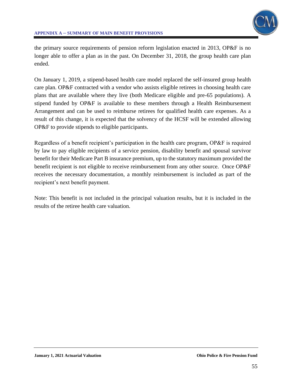

the primary source requirements of pension reform legislation enacted in 2013, OP&F is no longer able to offer a plan as in the past. On December 31, 2018, the group health care plan ended.

On January 1, 2019, a stipend-based health care model replaced the self-insured group health care plan. OP&F contracted with a vendor who assists eligible retirees in choosing health care plans that are available where they live (both Medicare eligible and pre-65 populations). A stipend funded by OP&F is available to these members through a Health Reimbursement Arrangement and can be used to reimburse retirees for qualified health care expenses. As a result of this change, it is expected that the solvency of the HCSF will be extended allowing OP&F to provide stipends to eligible participants.

Regardless of a benefit recipient's participation in the health care program, OP&F is required by law to pay eligible recipients of a service pension, disability benefit and spousal survivor benefit for their Medicare Part B insurance premium, up to the statutory maximum provided the benefit recipient is not eligible to receive reimbursement from any other source. Once OP&F receives the necessary documentation, a monthly reimbursement is included as part of the recipient's next benefit payment.

Note: This benefit is not included in the principal valuation results, but it is included in the results of the retiree health care valuation.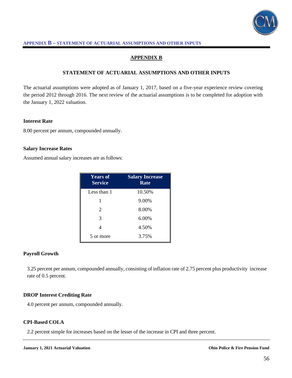

## **APPENDIX B**

#### **STATEMENT OF ACTUARIAL ASSUMPTIONS AND OTHER INPUTS**

The actuarial assumptions were adopted as of January 1, 2017, based on a five-year experience review covering the period 2012 through 2016. The next review of the actuarial assumptions is to be completed for adoption with the January 1, 2022 valuation.

#### **Interest Rate**

8.00 percent per annum, compounded annually.

#### **Salary Increase Rates**

Assumed annual salary increases are as follows:

| <b>Years of</b><br><b>Service</b> | <b>Salary Increase</b><br>Rate |
|-----------------------------------|--------------------------------|
| Less than 1                       | 10.50%                         |
|                                   | 9.00%                          |
| 2                                 | 8.00%                          |
| 3                                 | 6.00%                          |
|                                   | 4.50%                          |
| 5 or more                         | 3.75%                          |

#### **Payroll Growth**

3.25 percent per annum, compounded annually, consisting of inflation rate of 2.75 percent plus productivity increase rate of 0.5 percent.

#### **DROP Interest Crediting Rate**

4.0 percent per annum, compounded annually.

#### **CPI-Based COLA**

2.2 percent simple for increases based on the lesser of the increase in CPI and three percent.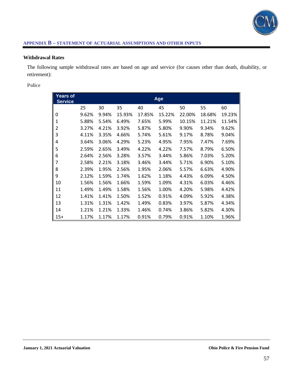

### **Withdrawal Rates**

The following sample withdrawal rates are based on age and service (for causes other than death, disability, or retirement):

**Police**

| Years of       |       |       |        |        |        |        |        |        |  |  |
|----------------|-------|-------|--------|--------|--------|--------|--------|--------|--|--|
| <b>Service</b> |       |       | Age    |        |        |        |        |        |  |  |
|                | 25    | 30    | 35     | 40     | 45     | 50     | 55     | 60     |  |  |
| 0              | 9.62% | 9.94% | 15.93% | 17.85% | 15.22% | 22.00% | 18.68% | 19.23% |  |  |
| 1              | 5.88% | 5.54% | 6.49%  | 7.65%  | 5.99%  | 10.15% | 11.21% | 11.54% |  |  |
| 2              | 3.27% | 4.21% | 3.92%  | 5.87%  | 5.80%  | 9.90%  | 9.34%  | 9.62%  |  |  |
| 3              | 4.11% | 3.35% | 4.66%  | 5.74%  | 5.61%  | 9.17%  | 8.78%  | 9.04%  |  |  |
| 4              | 3.64% | 3.06% | 4.29%  | 5.23%  | 4.95%  | 7.95%  | 7.47%  | 7.69%  |  |  |
| 5              | 2.59% | 2.65% | 3.49%  | 4.22%  | 4.22%  | 7.57%  | 8.79%  | 6.50%  |  |  |
| 6              | 2.64% | 2.56% | 3.28%  | 3.57%  | 3.44%  | 5.86%  | 7.03%  | 5.20%  |  |  |
| 7              | 2.58% | 2.21% | 3.18%  | 3.46%  | 3.44%  | 5.71%  | 6.90%  | 5.10%  |  |  |
| 8              | 2.39% | 1.95% | 2.56%  | 1.95%  | 2.06%  | 5.57%  | 6.63%  | 4.90%  |  |  |
| 9              | 2.12% | 1.59% | 1.74%  | 1.62%  | 1.18%  | 4.43%  | 6.09%  | 4.50%  |  |  |
| 10             | 1.56% | 1.56% | 1.66%  | 1.59%  | 1.09%  | 4.31%  | 6.03%  | 4.46%  |  |  |
| 11             | 1.49% | 1.49% | 1.58%  | 1.56%  | 1.00%  | 4.20%  | 5.98%  | 4.42%  |  |  |
| 12             | 1.41% | 1.41% | 1.50%  | 1.52%  | 0.91%  | 4.09%  | 5.92%  | 4.38%  |  |  |
| 13             | 1.31% | 1.31% | 1.42%  | 1.49%  | 0.83%  | 3.97%  | 5.87%  | 4.34%  |  |  |
| 14             | 1.21% | 1.21% | 1.33%  | 1.46%  | 0.74%  | 3.86%  | 5.82%  | 4.30%  |  |  |
| $15+$          | 1.17% | 1.17% | 1.17%  | 0.91%  | 0.79%  | 0.91%  | 1.10%  | 1.96%  |  |  |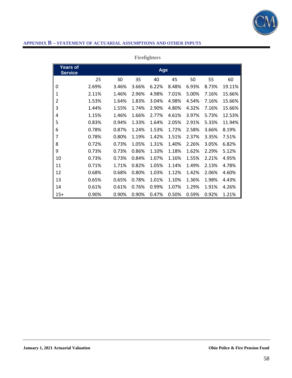

|                                   |       |       |       | <b>Firengniers</b> |       |       |       |        |
|-----------------------------------|-------|-------|-------|--------------------|-------|-------|-------|--------|
| <b>Years of</b><br><b>Service</b> |       |       |       | Age                |       |       |       |        |
|                                   | 25    | 30    | 35    | 40                 | 45    | 50    | 55    | 60     |
| 0                                 | 2.69% | 3.46% | 3.66% | 6.22%              | 8.48% | 6.93% | 8.73% | 19.11% |
| 1                                 | 2.11% | 1.46% | 2.96% | 4.98%              | 7.01% | 5.00% | 7.16% | 15.66% |
| 2                                 | 1.53% | 1.64% | 1.83% | 3.04%              | 4.98% | 4.54% | 7.16% | 15.66% |
| 3                                 | 1.44% | 1.55% | 1.74% | 2.90%              | 4.80% | 4.32% | 7.16% | 15.66% |
| 4                                 | 1.15% | 1.46% | 1.66% | 2.77%              | 4.61% | 3.97% | 5.73% | 12.53% |
| 5                                 | 0.83% | 0.94% | 1.33% | 1.64%              | 2.05% | 2.91% | 5.33% | 11.94% |
| 6                                 | 0.78% | 0.87% | 1.24% | 1.53%              | 1.72% | 2.58% | 3.66% | 8.19%  |
| 7                                 | 0.78% | 0.80% | 1.19% | 1.42%              | 1.51% | 2.37% | 3.35% | 7.51%  |
| 8                                 | 0.72% | 0.73% | 1.05% | 1.31%              | 1.40% | 2.26% | 3.05% | 6.82%  |
| 9                                 | 0.73% | 0.73% | 0.86% | 1.10%              | 1.18% | 1.62% | 2.29% | 5.12%  |
| 10                                | 0.73% | 0.73% | 0.84% | 1.07%              | 1.16% | 1.55% | 2.21% | 4.95%  |
| 11                                | 0.71% | 1.71% | 0.82% | 1.05%              | 1.14% | 1.49% | 2.13% | 4.78%  |
| 12                                | 0.68% | 0.68% | 0.80% | 1.03%              | 1.12% | 1.42% | 2.06% | 4.60%  |
| 13                                | 0.65% | 0.65% | 0.78% | 1.01%              | 1.10% | 1.36% | 1.98% | 4.43%  |
| 14                                | 0.61% | 0.61% | 0.76% | 0.99%              | 1.07% | 1.29% | 1.91% | 4.26%  |
| $15+$                             | 0.90% | 0.90% | 0.90% | 0.47%              | 0.50% | 0.59% | 0.92% | 1.21%  |

# **Firefight**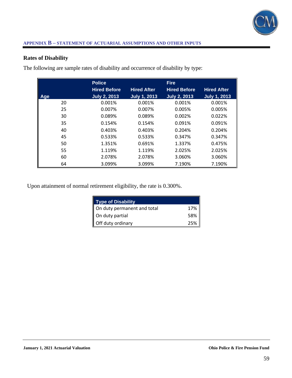

# **Rates of Disability**

|     | <b>Police</b>       |                     | <b>Fire</b>         |                     |
|-----|---------------------|---------------------|---------------------|---------------------|
|     | <b>Hired Before</b> | <b>Hired After</b>  | <b>Hired Before</b> | <b>Hired After</b>  |
| Age | <b>July 2, 2013</b> | <b>July 1, 2013</b> | <b>July 2, 2013</b> | <b>July 1, 2013</b> |
| 20  | 0.001%              | 0.001%              | 0.001%              | 0.001%              |
| 25  | 0.007%              | 0.007%              | 0.005%              | 0.005%              |
| 30  | 0.089%              | 0.089%              | 0.002%              | 0.022%              |
| 35  | 0.154%              | 0.154%              | 0.091%              | 0.091%              |
| 40  | 0.403%              | 0.403%              | 0.204%              | 0.204%              |
| 45  | 0.533%              | 0.533%              | 0.347%              | 0.347%              |
| 50  | 1.351%              | 0.691%              | 1.337%              | 0.475%              |
| 55  | 1.119%              | 1.119%              | 2.025%              | 2.025%              |
| 60  | 2.078%              | 2.078%              | 3.060%              | 3.060%              |
| 64  | 3.099%              | 3.099%              | 7.190%              | 7.190%              |

The following are sample rates of disability and occurrence of disability by type:

Upon attainment of normal retirement eligibility, the rate is 0.300%.

| <b>Type of Disability</b>   |     |
|-----------------------------|-----|
| On duty permanent and total | 17% |
| On duty partial             | 58% |
| Off duty ordinary           | 25% |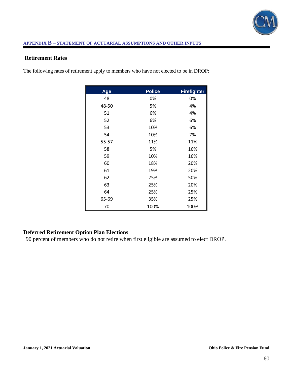

# **Retirement Rates**

The following rates of retirement apply to members who have not elected to be in DROP:

| Age   | <b>Police</b> | <b>Firefighter</b> |
|-------|---------------|--------------------|
| 48    | 0%            | 0%                 |
| 48-50 | 5%            | 4%                 |
| 51    | 6%            | 4%                 |
| 52    | 6%            | 6%                 |
| 53    | 10%           | 6%                 |
| 54    | 10%           | 7%                 |
| 55-57 | 11%           | 11%                |
| 58    | 5%            | 16%                |
| 59    | 10%           | 16%                |
| 60    | 18%           | 20%                |
| 61    | 19%           | 20%                |
| 62    | 25%           | 50%                |
| 63    | 25%           | 20%                |
| 64    | 25%           | 25%                |
| 65-69 | 35%           | 25%                |
| 70    | 100%          | 100%               |

# **Deferred Retirement Option Plan Elections**

90 percent of members who do not retire when first eligible are assumed to elect DROP.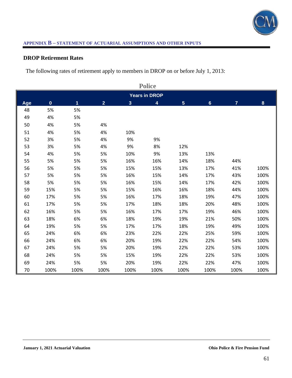

# **DROP Retirement Rates**

The following rates of retirement apply to members in DROP on or before July 1, 2013:

|     | <b>Police</b> |      |                |                |                         |                         |                |                |      |
|-----|---------------|------|----------------|----------------|-------------------------|-------------------------|----------------|----------------|------|
|     |               |      |                |                | <b>Years in DROP</b>    |                         |                |                |      |
| Age | $\mathbf 0$   | 1    | $\overline{2}$ | 3 <sup>1</sup> | $\overline{\mathbf{4}}$ | $\overline{\mathbf{5}}$ | $6\phantom{a}$ | $\overline{7}$ | 8    |
| 48  | 5%            | 5%   |                |                |                         |                         |                |                |      |
| 49  | 4%            | 5%   |                |                |                         |                         |                |                |      |
| 50  | 4%            | 5%   | 4%             |                |                         |                         |                |                |      |
| 51  | 4%            | 5%   | 4%             | 10%            |                         |                         |                |                |      |
| 52  | 3%            | 5%   | 4%             | 9%             | 9%                      |                         |                |                |      |
| 53  | 3%            | 5%   | 4%             | 9%             | 8%                      | 12%                     |                |                |      |
| 54  | 4%            | 5%   | 5%             | 10%            | 9%                      | 13%                     | 13%            |                |      |
| 55  | 5%            | 5%   | 5%             | 16%            | 16%                     | 14%                     | 18%            | 44%            |      |
| 56  | 5%            | 5%   | 5%             | 15%            | 15%                     | 13%                     | 17%            | 41%            | 100% |
| 57  | 5%            | 5%   | 5%             | 16%            | 15%                     | 14%                     | 17%            | 43%            | 100% |
| 58  | 5%            | 5%   | 5%             | 16%            | 15%                     | 14%                     | 17%            | 42%            | 100% |
| 59  | 15%           | 5%   | 5%             | 15%            | 16%                     | 16%                     | 18%            | 44%            | 100% |
| 60  | 17%           | 5%   | 5%             | 16%            | 17%                     | 18%                     | 19%            | 47%            | 100% |
| 61  | 17%           | 5%   | 5%             | 17%            | 18%                     | 18%                     | 20%            | 48%            | 100% |
| 62  | 16%           | 5%   | 5%             | 16%            | 17%                     | 17%                     | 19%            | 46%            | 100% |
| 63  | 18%           | 6%   | 6%             | 18%            | 19%                     | 19%                     | 21%            | 50%            | 100% |
| 64  | 19%           | 5%   | 5%             | 17%            | 17%                     | 18%                     | 19%            | 49%            | 100% |
| 65  | 24%           | 6%   | 6%             | 23%            | 22%                     | 22%                     | 25%            | 59%            | 100% |
| 66  | 24%           | 6%   | 6%             | 20%            | 19%                     | 22%                     | 22%            | 54%            | 100% |
| 67  | 24%           | 5%   | 5%             | 20%            | 19%                     | 22%                     | 22%            | 53%            | 100% |
| 68  | 24%           | 5%   | 5%             | 15%            | 19%                     | 22%                     | 22%            | 53%            | 100% |
| 69  | 24%           | 5%   | 5%             | 20%            | 19%                     | 22%                     | 22%            | 47%            | 100% |
| 70  | 100%          | 100% | 100%           | 100%           | 100%                    | 100%                    | 100%           | 100%           | 100% |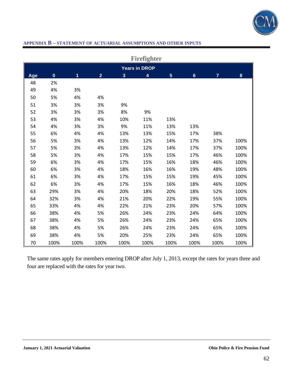

|     |              |      |                |                         | Firefighter          |                |                |                |      |
|-----|--------------|------|----------------|-------------------------|----------------------|----------------|----------------|----------------|------|
|     |              |      |                |                         | <b>Years in DROP</b> |                |                |                |      |
| Age | $\mathbf{0}$ | 1    | $\overline{2}$ | $\overline{\mathbf{3}}$ | 4                    | $5\phantom{.}$ | $6\phantom{1}$ | $\overline{7}$ | 8    |
| 48  | 2%           |      |                |                         |                      |                |                |                |      |
| 49  | 4%           | 3%   |                |                         |                      |                |                |                |      |
| 50  | 5%           | 4%   | 4%             |                         |                      |                |                |                |      |
| 51  | 3%           | 3%   | 3%             | 9%                      |                      |                |                |                |      |
| 52  | 3%           | 3%   | 3%             | 8%                      | 9%                   |                |                |                |      |
| 53  | 4%           | 3%   | 4%             | 10%                     | 11%                  | 13%            |                |                |      |
| 54  | 4%           | 3%   | 3%             | 9%                      | 11%                  | 13%            | 13%            |                |      |
| 55  | 6%           | 4%   | 4%             | 13%                     | 13%                  | 15%            | 17%            | 38%            |      |
| 56  | 5%           | 3%   | 4%             | 13%                     | 12%                  | 14%            | 17%            | 37%            | 100% |
| 57  | 5%           | 3%   | 4%             | 13%                     | 12%                  | 14%            | 17%            | 37%            | 100% |
| 58  | 5%           | 3%   | 4%             | 17%                     | 15%                  | 15%            | 17%            | 46%            | 100% |
| 59  | 6%           | 3%   | 4%             | 17%                     | 15%                  | 16%            | 18%            | 46%            | 100% |
| 60  | 6%           | 3%   | 4%             | 18%                     | 16%                  | 16%            | 19%            | 48%            | 100% |
| 61  | 6%           | 3%   | 4%             | 17%                     | 15%                  | 15%            | 19%            | 45%            | 100% |
| 62  | 6%           | 3%   | 4%             | 17%                     | 15%                  | 16%            | 18%            | 46%            | 100% |
| 63  | 29%          | 3%   | 4%             | 20%                     | 18%                  | 20%            | 18%            | 52%            | 100% |
| 64  | 32%          | 3%   | 4%             | 21%                     | 20%                  | 22%            | 19%            | 55%            | 100% |
| 65  | 33%          | 4%   | 4%             | 22%                     | 21%                  | 23%            | 20%            | 57%            | 100% |
| 66  | 38%          | 4%   | 5%             | 26%                     | 24%                  | 23%            | 24%            | 64%            | 100% |
| 67  | 38%          | 4%   | 5%             | 26%                     | 24%                  | 23%            | 24%            | 65%            | 100% |
| 68  | 38%          | 4%   | 5%             | 26%                     | 24%                  | 23%            | 24%            | 65%            | 100% |
| 69  | 38%          | 4%   | 5%             | 20%                     | 25%                  | 23%            | 24%            | 65%            | 100% |
| 70  | 100%         | 100% | 100%           | 100%                    | 100%                 | 100%           | 100%           | 100%           | 100% |

The same rates apply for members entering DROP after July 1, 2013, except the rates for years three and four are replaced with the rates for year two.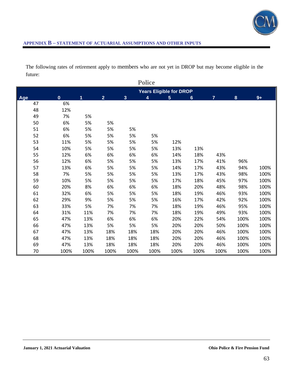

The following rates of retirement apply to members who are not yet in DROP but may become eligible in the future:

|     |          |      |                |      | <b>Police</b>                  |                 |                |      |      |      |
|-----|----------|------|----------------|------|--------------------------------|-----------------|----------------|------|------|------|
|     |          |      |                |      | <b>Years Eligible for DROP</b> |                 |                |      |      |      |
| Age | $\bf{0}$ | 1    | $\overline{2}$ | 3    | $\overline{4}$                 | $5\phantom{.0}$ | $6\phantom{1}$ | 7    | 8    | $9+$ |
| 47  | 6%       |      |                |      |                                |                 |                |      |      |      |
| 48  | 12%      |      |                |      |                                |                 |                |      |      |      |
| 49  | 7%       | 5%   |                |      |                                |                 |                |      |      |      |
| 50  | 6%       | 5%   | 5%             |      |                                |                 |                |      |      |      |
| 51  | 6%       | 5%   | 5%             | 5%   |                                |                 |                |      |      |      |
| 52  | 6%       | 5%   | 5%             | 5%   | 5%                             |                 |                |      |      |      |
| 53  | 11%      | 5%   | 5%             | 5%   | 5%                             | 12%             |                |      |      |      |
| 54  | 10%      | 5%   | 5%             | 5%   | 5%                             | 13%             | 13%            |      |      |      |
| 55  | 12%      | 6%   | 6%             | 6%   | 6%                             | 14%             | 18%            | 43%  |      |      |
| 56  | 12%      | 6%   | 5%             | 5%   | 5%                             | 13%             | 17%            | 41%  | 96%  |      |
| 57  | 13%      | 6%   | 5%             | 5%   | 5%                             | 14%             | 17%            | 43%  | 94%  | 100% |
| 58  | 7%       | 5%   | 5%             | 5%   | 5%                             | 13%             | 17%            | 43%  | 98%  | 100% |
| 59  | 10%      | 5%   | 5%             | 5%   | 5%                             | 17%             | 18%            | 45%  | 97%  | 100% |
| 60  | 20%      | 8%   | 6%             | 6%   | 6%                             | 18%             | 20%            | 48%  | 98%  | 100% |
| 61  | 32%      | 6%   | 5%             | 5%   | 5%                             | 18%             | 19%            | 46%  | 93%  | 100% |
| 62  | 29%      | 9%   | 5%             | 5%   | 5%                             | 16%             | 17%            | 42%  | 92%  | 100% |
| 63  | 33%      | 5%   | 7%             | 7%   | 7%                             | 18%             | 19%            | 46%  | 95%  | 100% |
| 64  | 31%      | 11%  | 7%             | 7%   | 7%                             | 18%             | 19%            | 49%  | 93%  | 100% |
| 65  | 47%      | 13%  | 6%             | 6%   | 6%                             | 20%             | 22%            | 54%  | 100% | 100% |
| 66  | 47%      | 13%  | 5%             | 5%   | 5%                             | 20%             | 20%            | 50%  | 100% | 100% |
| 67  | 47%      | 13%  | 18%            | 18%  | 18%                            | 20%             | 20%            | 46%  | 100% | 100% |
| 68  | 47%      | 13%  | 18%            | 18%  | 18%                            | 20%             | 20%            | 46%  | 100% | 100% |
| 69  | 47%      | 13%  | 18%            | 18%  | 18%                            | 20%             | 20%            | 46%  | 100% | 100% |
| 70  | 100%     | 100% | 100%           | 100% | 100%                           | 100%            | 100%           | 100% | 100% | 100% |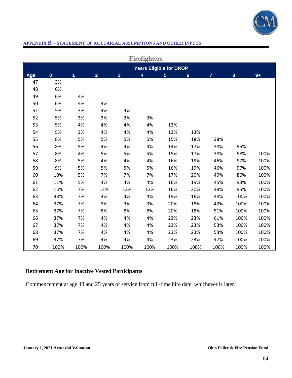

|     | <b>Firefighters</b>            |      |                |                         |                         |                |                |                |          |      |  |
|-----|--------------------------------|------|----------------|-------------------------|-------------------------|----------------|----------------|----------------|----------|------|--|
|     | <b>Years Eligible for DROP</b> |      |                |                         |                         |                |                |                |          |      |  |
| Age | $\mathbf 0$                    | 1    | $\overline{2}$ | $\overline{\mathbf{3}}$ | $\overline{\mathbf{4}}$ | $5\phantom{a}$ | $6\phantom{1}$ | $\overline{7}$ | $\bf{8}$ | $9+$ |  |
| 47  | 3%                             |      |                |                         |                         |                |                |                |          |      |  |
| 48  | 6%                             |      |                |                         |                         |                |                |                |          |      |  |
| 49  | 6%                             | 4%   |                |                         |                         |                |                |                |          |      |  |
| 50  | 6%                             | 4%   | 4%             |                         |                         |                |                |                |          |      |  |
| 51  | 5%                             | 3%   | 4%             | 4%                      |                         |                |                |                |          |      |  |
| 52  | 5%                             | 3%   | 3%             | 3%                      | 3%                      |                |                |                |          |      |  |
| 53  | 5%                             | 4%   | 4%             | 4%                      | 4%                      | 13%            |                |                |          |      |  |
| 54  | 5%                             | 3%   | 4%             | 4%                      | 4%                      | 13%            | 13%            |                |          |      |  |
| 55  | 8%                             | 5%   | 5%             | 5%                      | 5%                      | 15%            | 18%            | 38%            |          |      |  |
| 56  | 8%                             | 5%   | 4%             | 4%                      | 4%                      | 14%            | 17%            | 38%            | 95%      |      |  |
| 57  | 8%                             | 4%   | 5%             | 5%                      | 5%                      | 15%            | 17%            | 38%            | 98%      | 100% |  |
| 58  | 8%                             | 5%   | 4%             | 4%                      | 4%                      | 16%            | 19%            | 46%            | 97%      | 100% |  |
| 59  | 9%                             | 5%   | 5%             | 5%                      | 5%                      | 16%            | 19%            | 46%            | 97%      | 100% |  |
| 60  | 10%                            | 5%   | 7%             | 7%                      | 7%                      | 17%            | 20%            | 49%            | 86%      | 100% |  |
| 61  | 11%                            | 5%   | 4%             | 4%                      | 4%                      | 16%            | 19%            | 45%            | 93%      | 100% |  |
| 62  | 15%                            | 7%   | 12%            | 12%                     | 12%                     | 16%            | 20%            | 49%            | 95%      | 100% |  |
| 63  | 33%                            | 7%   | 4%             | 4%                      | 4%                      | 19%            | 16%            | 48%            | 100%     | 100% |  |
| 64  | 37%                            | 7%   | 3%             | 3%                      | 3%                      | 20%            | 18%            | 49%            | 100%     | 100% |  |
| 65  | 37%                            | 7%   | 8%             | 8%                      | 8%                      | 20%            | 18%            | 51%            | 100%     | 100% |  |
| 66  | 37%                            | 7%   | 4%             | 4%                      | 4%                      | 23%            | 23%            | 61%            | 100%     | 100% |  |
| 67  | 37%                            | 7%   | 4%             | 4%                      | 4%                      | 23%            | 23%            | 53%            | 100%     | 100% |  |
| 68  | 37%                            | 7%   | 4%             | 4%                      | 4%                      | 23%            | 23%            | 53%            | 100%     | 100% |  |
| 69  | 37%                            | 7%   | 4%             | 4%                      | 4%                      | 23%            | 23%            | 47%            | 100%     | 100% |  |
| 70  | 100%                           | 100% | 100%           | 100%                    | 100%                    | 100%           | 100%           | 100%           | 100%     | 100% |  |

# **Retirement Age for Inactive Vested Participants**

Commencement at age 48 and 25 years of service from full-time hire date, whichever is later.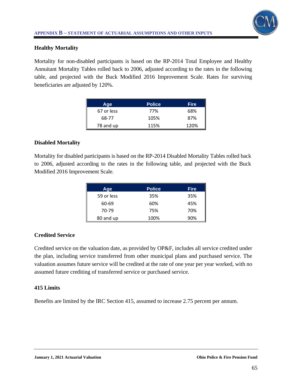

# **Healthy Mortality**

Mortality for non-disabled participants is based on the RP-2014 Total Employee and Healthy Annuitant Mortality Tables rolled back to 2006, adjusted according to the rates in the following table, and projected with the Buck Modified 2016 Improvement Scale. Rates for surviving beneficiaries are adjusted by 120%.

| Age        | <b>Police</b> | <b>Fire</b> |
|------------|---------------|-------------|
| 67 or less | 77%           | 68%         |
| 68-77      | 105%          | 87%         |
| 78 and up  | 115%          | 120%        |

# **Disabled Mortality**

Mortality for disabled participants is based on the RP-2014 Disabled Mortality Tables rolled back to 2006, adjusted according to the rates in the following table, and projected with the Buck Modified 2016 Improvement Scale.

| Age        | <b>Police</b> | <b>Fire</b> |
|------------|---------------|-------------|
| 59 or less | 35%           | 35%         |
| 60-69      | 60%           | 45%         |
| 70-79      | 75%           | 70%         |
| 80 and up  | 100%          | 90%         |

# **Credited Service**

Credited service on the valuation date, as provided by OP&F, includes all service credited under the plan, including service transferred from other municipal plans and purchased service. The valuation assumes future service will be credited at the rate of one year per year worked, with no assumed future crediting of transferred service or purchased service.

# **415 Limits**

Benefits are limited by the IRC Section 415, assumed to increase 2.75 percent per annum.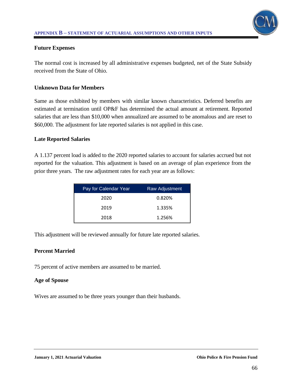

## **Future Expenses**

The normal cost is increased by all administrative expenses budgeted, net of the State Subsidy received from the State of Ohio.

### **Unknown Data for Members**

Same as those exhibited by members with similar known characteristics. Deferred benefits are estimated at termination until OP&F has determined the actual amount at retirement. Reported salaries that are less than \$10,000 when annualized are assumed to be anomalous and are reset to \$60,000. The adjustment for late reported salaries is not applied in this case.

### **Late Reported Salaries**

A 1.137 percent load is added to the 2020 reported salaries to account for salaries accrued but not reported for the valuation. This adjustment is based on an average of plan experience from the prior three years. The raw adjustment rates for each year are as follows:

| Pay for Calendar Year | Raw Adjustment |
|-----------------------|----------------|
| 2020                  | 0.820%         |
| 2019                  | 1.335%         |
| 2018                  | 1.256%         |

This adjustment will be reviewed annually for future late reported salaries.

# **Percent Married**

75 percent of active members are assumed to be married.

### **Age of Spouse**

Wives are assumed to be three years younger than their husbands.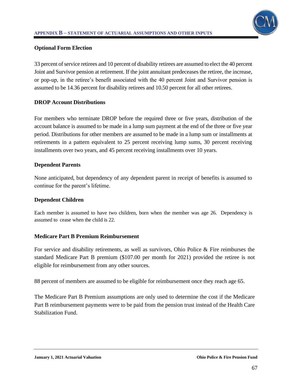

# **Optional Form Election**

33 percent of service retirees and 10 percent of disability retirees are assumed to elect the 40 percent Joint and Survivor pension at retirement. If the joint annuitant predeceases the retiree, the increase, or pop-up, in the retiree's benefit associated with the 40 percent Joint and Survivor pension is assumed to be 14.36 percent for disability retirees and 10.50 percent for all other retirees.

# **DROP Account Distributions**

For members who terminate DROP before the required three or five years, distribution of the account balance is assumed to be made in a lump sum payment at the end of the three or five year period. Distributions for other members are assumed to be made in a lump sum or installments at retirements in a pattern equivalent to 25 percent receiving lump sums, 30 percent receiving installments over two years, and 45 percent receiving installments over 10 years.

# **Dependent Parents**

None anticipated, but dependency of any dependent parent in receipt of benefits is assumed to continue for the parent's lifetime.

# **Dependent Children**

Each member is assumed to have two children, born when the member was age 26. Dependency is assumed to cease when the child is 22.

# **Medicare Part B Premium Reimbursement**

For service and disability retirements, as well as survivors, Ohio Police & Fire reimburses the standard Medicare Part B premium (\$107.00 per month for 2021) provided the retiree is not eligible for reimbursement from any other sources.

88 percent of members are assumed to be eligible for reimbursement once they reach age 65.

The Medicare Part B Premium assumptions are only used to determine the cost if the Medicare Part B reimbursement payments were to be paid from the pension trust instead of the Health Care Stabilization Fund.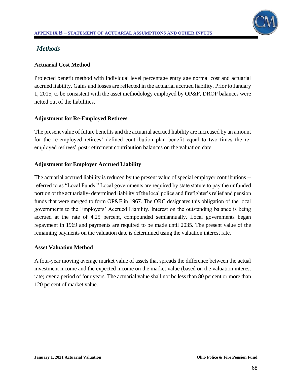

# *Methods*

# **Actuarial Cost Method**

Projected benefit method with individual level percentage entry age normal cost and actuarial accrued liability. Gains and losses are reflected in the actuarial accrued liability. Prior to January 1, 2015, to be consistent with the asset methodology employed by OP&F, DROP balances were netted out of the liabilities.

# **Adjustment for Re-Employed Retirees**

The present value of future benefits and the actuarial accrued liability are increased by an amount for the re-employed retirees' defined contribution plan benefit equal to two times the reemployed retirees' post-retirement contribution balances on the valuation date.

# **Adjustment for Employer Accrued Liability**

The actuarial accrued liability is reduced by the present value of special employer contributions - referred to as "Local Funds." Local governments are required by state statute to pay the unfunded portion of the actuarially- determined liability of the local police and firefighter's relief and pension funds that were merged to form OP&F in 1967. The ORC designates this obligation of the local governments to the Employers' Accrued Liability. Interest on the outstanding balance is being accrued at the rate of 4.25 percent, compounded semiannually. Local governments began repayment in 1969 and payments are required to be made until 2035. The present value of the remaining payments on the valuation date is determined using the valuation interest rate.

# **Asset Valuation Method**

A four-year moving average market value of assets that spreads the difference between the actual investment income and the expected income on the market value (based on the valuation interest rate) over a period of four years. The actuarial value shall not be less than 80 percent or more than 120 percent of market value.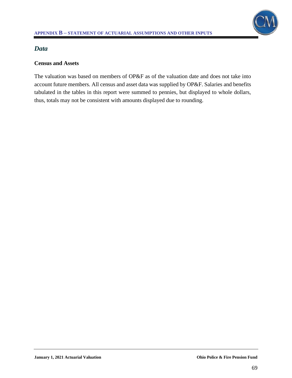# *Data*

# **Census and Assets**

The valuation was based on members of OP&F as of the valuation date and does not take into account future members. All census and asset data was supplied by OP&F. Salaries and benefits tabulated in the tables in this report were summed to pennies, but displayed to whole dollars, thus, totals may not be consistent with amounts displayed due to rounding.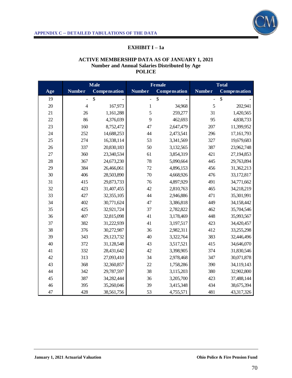

# **EXHIBIT I – 1a**

#### **ACTIVE MEMBERSHIP DATA AS OF JANUARY 1, 2021 Number and Annual Salaries Distributed by Age POLICE**

|     | <b>Male</b>    |                     | <b>Female</b>  |                     | <b>Total</b>                 |              |
|-----|----------------|---------------------|----------------|---------------------|------------------------------|--------------|
| Age | <b>Number</b>  | <b>Compensation</b> | <b>Number</b>  | <b>Compensation</b> | <b>Number</b>                | Compensation |
| 19  |                | \$                  | $\overline{a}$ | \$                  | $\qquad \qquad \blacksquare$ | \$           |
| 20  | $\overline{4}$ | 167,973             | $\mathbf{1}$   | 34,968              | 5                            | 202,941      |
| 21  | 26             | 1,161,288           | 5              | 259,277             | 31                           | 1,420,565    |
| 22  | 86             | 4,376,039           | 9              | 462,693             | 95                           | 4,838,733    |
| 23  | 160            | 8,752,472           | 47             | 2,647,479           | 207                          | 11,399,952   |
| 24  | 252            | 14,688,253          | 44             | 2,473,541           | 296                          | 17,161,793   |
| 25  | 274            | 16,338,114          | 53             | 3,341,569           | 327                          | 19,679,683   |
| 26  | 337            | 20,830,183          | 50             | 3,132,565           | 387                          | 23,962,748   |
| 27  | 360            | 23,340,534          | 61             | 3,854,319           | 421                          | 27,194,853   |
| 28  | 367            | 24,673,230          | 78             | 5,090,664           | 445                          | 29,763,894   |
| 29  | 384            | 26,466,061          | 72             | 4,896,153           | 456                          | 31,362,213   |
| 30  | 406            | 28,503,890          | 70             | 4,668,926           | 476                          | 33,172,817   |
| 31  | 415            | 29,873,733          | 76             | 4,897,929           | 491                          | 34,771,662   |
| 32  | 423            | 31,407,455          | 42             | 2,810,763           | 465                          | 34,218,219   |
| 33  | 427            | 32,355,105          | 44             | 2,946,886           | 471                          | 35,301,991   |
| 34  | 402            | 30,771,624          | 47             | 3,386,818           | 449                          | 34,158,442   |
| 35  | 425            | 32,921,724          | 37             | 2,782,822           | 462                          | 35,704,546   |
| 36  | 407            | 32,815,098          | 41             | 3,178,469           | 448                          | 35,993,567   |
| 37  | 382            | 31,222,939          | 41             | 3,197,517           | 423                          | 34,420,457   |
| 38  | 376            | 30,272,987          | 36             | 2,982,311           | 412                          | 33,255,298   |
| 39  | 343            | 29,123,732          | 40             | 3,322,764           | 383                          | 32,446,496   |
| 40  | 372            | 31,128,548          | 43             | 3,517,521           | 415                          | 34,646,070   |
| 41  | 332            | 28,431,642          | 42             | 3,398,905           | 374                          | 31,830,546   |
| 42  | 313            | 27,093,410          | 34             | 2,978,468           | 347                          | 30,071,878   |
| 43  | 368            | 32,360,857          | 22             | 1,758,286           | 390                          | 34,119,143   |
| 44  | 342            | 29,787,597          | 38             | 3,115,203           | 380                          | 32,902,800   |
| 45  | 387            | 34,282,444          | 36             | 3,205,700           | 423                          | 37,488,144   |
| 46  | 395            | 35,260,046          | 39             | 3,415,348           | 434                          | 38,675,394   |
| 47  | 428            | 38,561,756          | 53             | 4,755,571           | 481                          | 43,317,326   |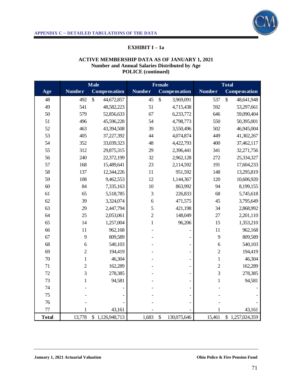

# **EXHIBIT I – 1a**

## **ACTIVE MEMBERSHIP DATA AS OF JANUARY 1, 2021 Number and Annual Salaries Distributed by Age POLICE (continued)**

|              |                | <b>Male</b>      |                | <b>Female</b>                |                  | <b>Total</b>     |
|--------------|----------------|------------------|----------------|------------------------------|------------------|------------------|
| Age          | <b>Number</b>  | Compensation     | <b>Number</b>  | Compensation                 | <b>Number</b>    | Compensation     |
| 48           | 492            | \$<br>44,672,857 | 45             | \$<br>3,969,091              | 537              | \$<br>48,641,948 |
| 49           | 541            | 48,582,223       | 51             | 4,715,438                    | 592              | 53,297,661       |
| 50           | 579            | 52,856,633       | 67             | 6,233,772                    | 646              | 59,090,404       |
| 51           | 496            | 45,596,228       | 54             | 4,798,773                    | 550              | 50,395,001       |
| 52           | 463            | 43,394,508       | 39             | 3,550,496                    | 502              | 46,945,004       |
| 53           | 405            | 37,227,392       | 44             | 4,074,874                    | 449              | 41,302,267       |
| 54           | 352            | 33,039,323       | 48             | 4,422,793                    | 400              | 37,462,117       |
| 55           | 312            | 29,875,315       | 29             | 2,396,441                    | 341              | 32,271,756       |
| 56           | 240            | 22,372,199       | 32             | 2,962,128                    | 272              | 25,334,327       |
| 57           | 168            | 15,489,641       | 23             | 2,114,592                    | 191              | 17,604,233       |
| 58           | 137            | 12,344,226       | $11\,$         | 951,592                      | 148              | 13,295,819       |
| 59           | 108            | 9,462,553        | 12             | 1,144,367                    | 120              | 10,606,920       |
| 60           | 84             | 7,335,163        | 10             | 863,992                      | 94               | 8,199,155        |
| 61           | 65             | 5,518,785        | 3              | 226,833                      | 68               | 5,745,618        |
| 62           | 39             | 3,324,074        | 6              | 471,575                      | 45               | 3,795,649        |
| 63           | 29             | 2,447,794        | 5              | 421,198                      | 34               | 2,868,992        |
| 64           | 25             | 2,053,061        | $\overline{2}$ | 148,049                      | $27\,$           | 2,201,110        |
| 65           | 14             | 1,257,004        | $\mathbf{1}$   | 96,206                       | 15               | 1,353,210        |
| 66           | $11\,$         | 962,168          |                |                              | 11               | 962,168          |
| 67           | 9              | 809,589          |                |                              | 9                | 809,589          |
| 68           | 6              | 540,103          |                |                              | $\boldsymbol{6}$ | 540,103          |
| 69           | $\overline{2}$ | 194,419          |                |                              | $\overline{2}$   | 194,419          |
| $70\,$       | $\mathbf{1}$   | 46,304           |                |                              | $\mathbf{1}$     | 46,304           |
| 71           | $\overline{c}$ | 162,289          |                |                              | $\overline{c}$   | 162,289          |
| 72           | $\overline{3}$ | 278,385          |                |                              | $\overline{3}$   | 278,385          |
| 73           | $\mathbf{1}$   | 94,581           |                |                              | $\mathbf{1}$     | 94,581           |
| 74           |                |                  |                |                              |                  |                  |
| 75           |                |                  |                |                              |                  |                  |
| 76           |                |                  |                |                              |                  |                  |
| 77           | 1              | 43,161           |                |                              | $\mathbf{1}$     | 43,161           |
| <b>Total</b> | 13,778         | \$1,126,948,713  | 1,683          | $\mathcal{S}$<br>130,075,646 | 15,461           | \$1,257,024,359  |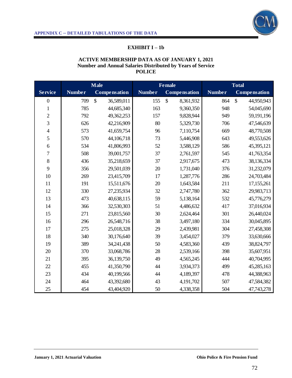

# **EXHIBIT I – 1b**

#### **ACTIVE MEMBERSHIP DATA AS OF JANUARY 1, 2021 Number and Annual Salaries Distributed by Years of Service POLICE**

|                          | <b>Male</b>   |                            | <b>Female</b> |                           | <b>Total</b>  |                                  |
|--------------------------|---------------|----------------------------|---------------|---------------------------|---------------|----------------------------------|
| <b>Service</b>           | <b>Number</b> | <b>Compensation</b>        | <b>Number</b> | <b>Compensation</b>       | <b>Number</b> | <b>Compensation</b>              |
| $\boldsymbol{0}$         | 709           | $\mathbb{S}$<br>36,589,011 | 155           | $\mathbb{S}$<br>8,361,932 | 864           | $\mathbf{\hat{S}}$<br>44,950,943 |
| $\,1$                    | 785           | 44,685,340                 | 163           | 9,360,350                 | 948           | 54,045,690                       |
| $\overline{c}$           | 792           | 49,362,253                 | 157           | 9,828,944                 | 949           | 59,191,196                       |
| $\overline{3}$           | 626           | 42,216,909                 | 80            | 5,329,730                 | 706           | 47,546,639                       |
| $\overline{\mathcal{L}}$ | 573           | 41,659,754                 | 96            | 7,110,754                 | 669           | 48,770,508                       |
| 5                        | 570           | 44,106,718                 | 73            | 5,446,908                 | 643           | 49,553,626                       |
| $\boldsymbol{6}$         | 534           | 41,806,993                 | 52            | 3,588,129                 | 586           | 45,395,121                       |
| $\overline{7}$           | 508           | 39,001,757                 | 37            | 2,761,597                 | 545           | 41,763,354                       |
| $\,8$                    | 436           | 35,218,659                 | 37            | 2,917,675                 | 473           | 38,136,334                       |
| 9                        | 356           | 29,501,039                 | 20            | 1,731,040                 | 376           | 31,232,079                       |
| 10                       | 269           | 23,415,709                 | 17            | 1,287,776                 | 286           | 24,703,484                       |
| 11                       | 191           | 15,511,676                 | 20            | 1,643,584                 | 211           | 17,155,261                       |
| 12                       | 330           | 27,235,934                 | 32            | 2,747,780                 | 362           | 29,983,713                       |
| 13                       | 473           | 40,638,115                 | 59            | 5,138,164                 | 532           | 45,776,279                       |
| 14                       | 366           | 32,530,303                 | 51            | 4,486,632                 | 417           | 37,016,934                       |
| 15                       | 271           | 23,815,560                 | 30            | 2,624,464                 | 301           | 26,440,024                       |
| 16                       | 296           | 26,548,716                 | 38            | 3,497,180                 | 334           | 30,045,895                       |
| 17                       | 275           | 25,018,328                 | 29            | 2,439,981                 | 304           | 27,458,308                       |
| 18                       | 340           | 30,176,640                 | 39            | 3,454,027                 | 379           | 33,630,666                       |
| 19                       | 389           | 34,241,438                 | 50            | 4,583,360                 | 439           | 38,824,797                       |
| 20                       | 370           | 33,068,786                 | 28            | 2,539,166                 | 398           | 35,607,951                       |
| 21                       | 395           | 36,139,750                 | 49            | 4,565,245                 | 444           | 40,704,995                       |
| 22                       | 455           | 41,350,790                 | 44            | 3,934,373                 | 499           | 45,285,163                       |
| 23                       | 434           | 40,199,566                 | 44            | 4,189,397                 | 478           | 44,388,963                       |
| 24                       | 464           | 43,392,680                 | 43            | 4,191,702                 | 507           | 47,584,382                       |
| 25                       | 454           | 43,404,920                 | 50            | 4,338,358                 | 504           | 47,743,278                       |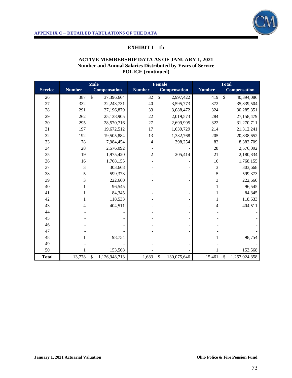

# **EXHIBIT I – 1b**

#### **ACTIVE MEMBERSHIP DATA AS OF JANUARY 1, 2021 Number and Annual Salaries Distributed by Years of Service POLICE (continued)**

|                |               | <b>Male</b>                 |                | <b>Female</b>              |                | <b>Total</b>                |
|----------------|---------------|-----------------------------|----------------|----------------------------|----------------|-----------------------------|
| <b>Service</b> | <b>Number</b> | <b>Compensation</b>         | <b>Number</b>  | <b>Compensation</b>        | <b>Number</b>  | <b>Compensation</b>         |
| 26             | 387           | $\mathsf{\$}$<br>37,396,664 | 32             | $\mathsf{\$}$<br>2,997,422 | 419            | $\mathsf{\$}$<br>40,394,086 |
| 27             | 332           | 32, 243, 731                | 40             | 3,595,773                  | 372            | 35,839,504                  |
| 28             | 291           | 27,196,879                  | 33             | 3,088,472                  | 324            | 30,285,351                  |
| 29             | 262           | 25,138,905                  | 22             | 2,019,573                  | 284            | 27,158,479                  |
| 30             | 295           | 28,570,716                  | 27             | 2,699,995                  | 322            | 31,270,711                  |
| 31             | 197           | 19,672,512                  | 17             | 1,639,729                  | 214            | 21,312,241                  |
| 32             | 192           | 19,505,884                  | 13             | 1,332,768                  | 205            | 20,838,652                  |
| 33             | 78            | 7,984,454                   | $\overline{4}$ | 398,254                    | 82             | 8,382,709                   |
| 34             | 28            | 2,576,092                   |                |                            | 28             | 2,576,092                   |
| 35             | 19            | 1,975,420                   | $\overline{c}$ | 205,414                    | 21             | 2,180,834                   |
| 36             | 16            | 1,768,155                   |                |                            | 16             | 1,768,155                   |
| 37             | 3             | 303,668                     |                |                            | 3              | 303,668                     |
| 38             | 5             | 599,373                     |                |                            | 5              | 599,373                     |
| 39             | 3             | 222,660                     |                |                            | 3              | 222,660                     |
| 40             | 1             | 96,545                      |                |                            | 1              | 96,545                      |
| 41             |               | 84,345                      |                |                            | 1              | 84,345                      |
| 42             | 1             | 118,533                     |                |                            | 1              | 118,533                     |
| 43             | 4             | 404,511                     |                |                            | $\overline{4}$ | 404,511                     |
| 44             |               |                             |                |                            |                |                             |
| 45             |               |                             |                |                            |                |                             |
| 46             |               |                             |                |                            |                |                             |
| 47             |               |                             |                |                            |                |                             |
| 48             |               | 98,754                      |                |                            |                | 98,754                      |
| 49             |               |                             |                |                            |                |                             |
| 50             |               | 153,568                     |                |                            |                | 153,568                     |
| <b>Total</b>   | 13,778        | \$<br>1,126,948,713         | 1,683          | 130,075,646<br>\$          | 15,461         | \$<br>1,257,024,358         |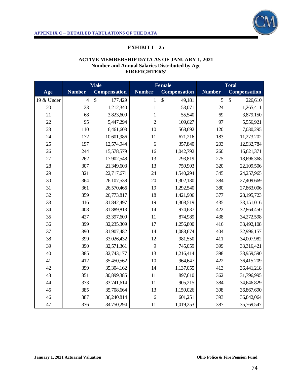

# **EXHIBIT I – 2a**

#### **ACTIVE MEMBERSHIP DATA AS OF JANUARY 1, 2021 Number and Annual Salaries Distributed by Age FIREFIGHTERS'**

|            | <b>Male</b>    |                     | <b>Female</b>  |                                     | <b>Total</b>  |                     |
|------------|----------------|---------------------|----------------|-------------------------------------|---------------|---------------------|
| Age        | <b>Number</b>  | <b>Compensation</b> | <b>Number</b>  | Compensation                        | <b>Number</b> | <b>Compensation</b> |
| 19 & Under | $\overline{4}$ | \$<br>177,429       | $\mathbf{1}$   | $\boldsymbol{\mathsf{S}}$<br>49,181 | 5             | \$<br>226,610       |
| 20         | 23             | 1,212,340           | $\mathbf{1}$   | 53,071                              | 24            | 1,265,411           |
| 21         | 68             | 3,823,609           | $\mathbf{1}$   | 55,540                              | 69            | 3,879,150           |
| 22         | 95             | 5,447,294           | $\overline{2}$ | 109,627                             | 97            | 5,556,921           |
| 23         | 110            | 6,461,603           | 10             | 568,692                             | 120           | 7,030,295           |
| 24         | 172            | 10,601,986          | 11             | 671,216                             | 183           | 11,273,202          |
| 25         | 197            | 12,574,944          | 6              | 357,840                             | 203           | 12,932,784          |
| 26         | 244            | 15,578,579          | 16             | 1,042,792                           | 260           | 16,621,371          |
| 27         | 262            | 17,902,548          | 13             | 793,819                             | 275           | 18,696,368          |
| 28         | 307            | 21,349,603          | 13             | 759,903                             | 320           | 22,109,506          |
| 29         | 321            | 22,717,671          | 24             | 1,540,294                           | 345           | 24,257,965          |
| 30         | 364            | 26,107,538          | 20             | 1,302,130                           | 384           | 27,409,669          |
| 31         | 361            | 26,570,466          | 19             | 1,292,540                           | 380           | 27,863,006          |
| 32         | 359            | 26,773,817          | 18             | 1,421,906                           | 377           | 28,195,723          |
| 33         | 416            | 31,842,497          | 19             | 1,308,519                           | 435           | 33,151,016          |
| 34         | 408            | 31,889,813          | 14             | 974,637                             | 422           | 32,864,450          |
| 35         | 427            | 33,397,609          | 11             | 874,989                             | 438           | 34,272,598          |
| 36         | 399            | 32,235,309          | 17             | 1,256,800                           | 416           | 33,492,108          |
| 37         | 390            | 31,907,482          | 14             | 1,088,674                           | 404           | 32,996,157          |
| 38         | 399            | 33,026,432          | 12             | 981,550                             | 411           | 34,007,982          |
| 39         | 390            | 32,571,361          | 9              | 745,059                             | 399           | 33,316,421          |
| 40         | 385            | 32,743,177          | 13             | 1,216,414                           | 398           | 33,959,590          |
| 41         | 412            | 35,450,562          | 10             | 964,647                             | 422           | 36,415,209          |
| 42         | 399            | 35,304,162          | 14             | 1,137,055                           | 413           | 36,441,218          |
| 43         | 351            | 30,899,385          | 11             | 897,610                             | 362           | 31,796,995          |
| 44         | 373            | 33,741,614          | 11             | 905,215                             | 384           | 34,646,829          |
| 45         | 385            | 35,708,664          | 13             | 1,159,026                           | 398           | 36,867,690          |
| 46         | 387            | 36,240,814          | 6              | 601,251                             | 393           | 36,842,064          |
| 47         | 376            | 34,750,294          | 11             | 1,019,253                           | 387           | 35,769,547          |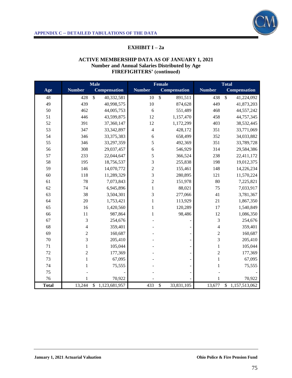

# **EXHIBIT I – 2a**

#### **ACTIVE MEMBERSHIP DATA AS OF JANUARY 1, 2021 Number and Annual Salaries Distributed by Age FIREFIGHTERS' (continued)**

|              | <b>Male</b>    |                             | <b>Female</b>  |                                         | <b>Total</b>   |                               |
|--------------|----------------|-----------------------------|----------------|-----------------------------------------|----------------|-------------------------------|
| Age          | <b>Number</b>  | <b>Compensation</b>         | <b>Number</b>  | <b>Compensation</b>                     | <b>Number</b>  | <b>Compensation</b>           |
| 48           | 428            | $\mathsf{\$}$<br>40,332,581 | 10             | $\mathcal{S}$<br>891,511                | 438            | $\overline{\$}$<br>41,224,092 |
| 49           | 439            | 40,998,575                  | 10             | 874,628                                 | 449            | 41,873,203                    |
| 50           | 462            | 44,005,753                  | 6              | 551,489                                 | 468            | 44,557,242                    |
| 51           | 446            | 43,599,875                  | 12             | 1,157,470                               | 458            | 44,757,345                    |
| 52           | 391            | 37,360,147                  | 12             | 1,172,299                               | 403            | 38,532,445                    |
| 53           | 347            | 33, 342, 897                | $\overline{4}$ | 428,172                                 | 351            | 33,771,069                    |
| 54           | 346            | 33, 375, 383                | $\sqrt{6}$     | 658,499                                 | 352            | 34,033,882                    |
| 55           | 346            | 33,297,359                  | 5              | 492,369                                 | 351            | 33,789,728                    |
| 56           | 308            | 29,037,457                  | 6              | 546,929                                 | 314            | 29,584,386                    |
| 57           | 233            | 22,044,647                  | 5              | 366,524                                 | 238            | 22,411,172                    |
| 58           | 195            | 18,756,537                  | 3              | 255,838                                 | 198            | 19,012,375                    |
| 59           | 146            | 14,070,772                  | $\overline{c}$ | 155,461                                 | 148            | 14,226,234                    |
| 60           | 118            | 11,289,329                  | 3              | 280,895                                 | 121            | 11,570,224                    |
| 61           | 78             | 7,073,843                   | $\sqrt{2}$     | 151,978                                 | 80             | 7,225,821                     |
| 62           | 74             | 6,945,896                   | $\mathbf{1}$   | 88,021                                  | 75             | 7,033,917                     |
| 63           | 38             | 3,504,301                   | 3              | 277,066                                 | 41             | 3,781,367                     |
| 64           | 20             | 1,753,421                   | $\mathbf{1}$   | 113,929                                 | 21             | 1,867,350                     |
| 65           | 16             | 1,420,560                   | $\mathbf{1}$   | 120,289                                 | 17             | 1,540,849                     |
| 66           | $11\,$         | 987,864                     | $\mathbf{1}$   | 98,486                                  | 12             | 1,086,350                     |
| 67           | 3              | 254,676                     |                |                                         | 3              | 254,676                       |
| 68           | $\overline{4}$ | 359,401                     |                |                                         | $\overline{4}$ | 359,401                       |
| 69           | $\overline{c}$ | 160,687                     |                |                                         | $\overline{c}$ | 160,687                       |
| 70           | $\overline{3}$ | 205,410                     |                |                                         | $\overline{3}$ | 205,410                       |
| 71           | $\mathbf{1}$   | 105,044                     |                |                                         | $\mathbf{1}$   | 105,044                       |
| 72           | $\overline{c}$ | 177,369                     |                |                                         | $\overline{c}$ | 177,369                       |
| 73           | $\mathbf{1}$   | 67,095                      |                |                                         | $\mathbf{1}$   | 67,095                        |
| 74           | $\mathbf{1}$   | 75,555                      |                |                                         | 1              | 75,555                        |
| 75           |                |                             |                |                                         |                |                               |
| 76           | $\mathbf{1}$   | 70,922                      |                |                                         | $\mathbf{1}$   | 70,922                        |
| <b>Total</b> | 13,244         | \$1,123,681,957             | 433            | $\boldsymbol{\mathsf{S}}$<br>33,831,105 | 13,677         | \$1,157,513,062               |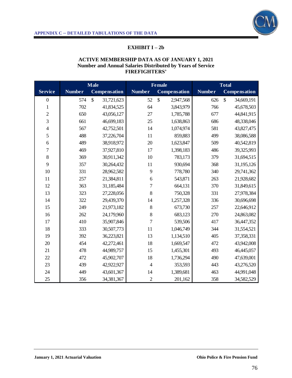

# **EXHIBIT I – 2b**

#### **ACTIVE MEMBERSHIP DATA AS OF JANUARY 1, 2021 Number and Annual Salaries Distributed by Years of Service FIREFIGHTERS'**

|                  | <b>Male</b>   |                             |                | <b>Female</b>       |               | Total               |  |
|------------------|---------------|-----------------------------|----------------|---------------------|---------------|---------------------|--|
| <b>Service</b>   | <b>Number</b> | Compensation                | <b>Number</b>  | <b>Compensation</b> | <b>Number</b> | <b>Compensation</b> |  |
| $\boldsymbol{0}$ | 574           | $\mathcal{S}$<br>31,721,623 | 52             | \$<br>2,947,568     | 626           | \$<br>34,669,191    |  |
| $\mathbf{1}$     | 702           | 41,834,525                  | 64             | 3,843,979           | 766           | 45,678,503          |  |
| $\overline{c}$   | 650           | 43,056,127                  | 27             | 1,785,788           | 677           | 44,841,915          |  |
| 3                | 661           | 46,699,183                  | 25             | 1,638,863           | 686           | 48,338,046          |  |
| $\overline{4}$   | 567           | 42,752,501                  | 14             | 1,074,974           | 581           | 43,827,475          |  |
| 5                | 488           | 37,226,704                  | 11             | 859,883             | 499           | 38,086,588          |  |
| 6                | 489           | 38,918,972                  | 20             | 1,623,847           | 509           | 40,542,819          |  |
| $\overline{7}$   | 469           | 37,927,810                  | 17             | 1,398,183           | 486           | 39,325,993          |  |
| 8                | 369           | 30,911,342                  | 10             | 783,173             | 379           | 31,694,515          |  |
| 9                | 357           | 30,264,432                  | 11             | 930,694             | 368           | 31,195,126          |  |
| 10               | 331           | 28,962,582                  | 9              | 778,780             | 340           | 29,741,362          |  |
| 11               | 257           | 21,384,811                  | 6              | 543,871             | 263           | 21,928,682          |  |
| 12               | 363           | 31,185,484                  | 7              | 664,131             | 370           | 31,849,615          |  |
| 13               | 323           | 27,228,056                  | 8              | 750,328             | 331           | 27,978,384          |  |
| 14               | 322           | 29,439,370                  | 14             | 1,257,328           | 336           | 30,696,698          |  |
| 15               | 249           | 21,973,182                  | 8              | 673,730             | 257           | 22,646,912          |  |
| 16               | 262           | 24,179,960                  | 8              | 683,123             | 270           | 24,863,082          |  |
| 17               | 410           | 35,907,846                  | $\overline{7}$ | 539,506             | 417           | 36,447,352          |  |
| 18               | 333           | 30,507,773                  | 11             | 1,046,749           | 344           | 31,554,521          |  |
| 19               | 392           | 36,223,821                  | 13             | 1,134,510           | 405           | 37,358,331          |  |
| 20               | 454           | 42,272,461                  | 18             | 1,669,547           | 472           | 43,942,008          |  |
| 21               | 478           | 44,989,757                  | 15             | 1,455,301           | 493           | 46,445,057          |  |
| 22               | 472           | 45,902,707                  | 18             | 1,736,294           | 490           | 47,639,001          |  |
| 23               | 439           | 42,922,927                  | $\overline{4}$ | 353,593             | 443           | 43,276,520          |  |
| 24               | 449           | 43,601,367                  | 14             | 1,389,681           | 463           | 44,991,048          |  |
| 25               | 356           | 34,381,367                  | $\overline{c}$ | 201,162             | 358           | 34,582,529          |  |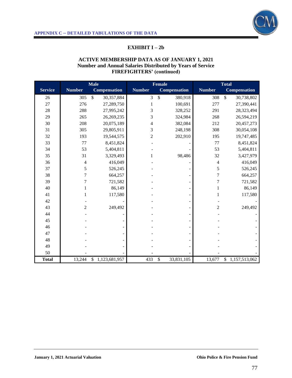

# **EXHIBIT I – 2b**

#### **ACTIVE MEMBERSHIP DATA AS OF JANUARY 1, 2021 Number and Annual Salaries Distributed by Years of Service FIREFIGHTERS' (continued)**

|                |                | <b>Male</b>                   |                | <b>Female</b>            |                | <b>Total</b>                  |
|----------------|----------------|-------------------------------|----------------|--------------------------|----------------|-------------------------------|
| <b>Service</b> | <b>Number</b>  | <b>Compensation</b>           | <b>Number</b>  | <b>Compensation</b>      | <b>Number</b>  | <b>Compensation</b>           |
| 26             | 305            | $\mathbb{S}$<br>30,357,884    | 3              | $\mathcal{S}$<br>380,918 | 308            | $\mathsf{\$}$<br>30,738,802   |
| 27             | 276            | 27,289,750                    | 1              | 100,691                  | 277            | 27,390,441                    |
| 28             | 288            | 27,995,242                    | 3              | 328,252                  | 291            | 28,323,494                    |
| 29             | 265            | 26,269,235                    | 3              | 324,984                  | 268            | 26,594,219                    |
| 30             | 208            | 20,075,189                    | 4              | 382,084                  | 212            | 20,457,273                    |
| 31             | 305            | 29,805,911                    | 3              | 248,198                  | 308            | 30,054,108                    |
| 32             | 193            | 19,544,575                    | $\overline{c}$ | 202,910                  | 195            | 19,747,485                    |
| 33             | 77             | 8,451,824                     |                |                          | 77             | 8,451,824                     |
| 34             | 53             | 5,404,811                     |                |                          | 53             | 5,404,811                     |
| 35             | 31             | 3,329,493                     |                | 98,486                   | 32             | 3,427,979                     |
| 36             | 4              | 416,049                       |                |                          | 4              | 416,049                       |
| 37             | 5              | 526,245                       |                |                          | 5              | 526,245                       |
| 38             | $\overline{7}$ | 664,257                       |                |                          | $\overline{7}$ | 664,257                       |
| 39             | 7              | 721,582                       |                |                          | 7              | 721,582                       |
| 40             | 1              | 86,149                        |                |                          | 1              | 86,149                        |
| 41             |                | 117,580                       |                |                          |                | 117,580                       |
| 42             |                |                               |                |                          |                |                               |
| 43             | $\overline{2}$ | 249,492                       |                |                          | $\overline{c}$ | 249,492                       |
| 44             |                |                               |                |                          |                |                               |
| 45             |                |                               |                |                          |                |                               |
| 46             |                |                               |                |                          |                |                               |
| 47             |                |                               |                |                          |                |                               |
| 48             |                |                               |                |                          |                |                               |
| 49             |                |                               |                |                          |                |                               |
| 50             |                |                               |                |                          |                |                               |
| <b>Total</b>   | 13,244         | 1,123,681,957<br>$\mathbb{S}$ | 433            | \$<br>33,831,105         | 13,677         | 1,157,513,062<br>$\mathbb{S}$ |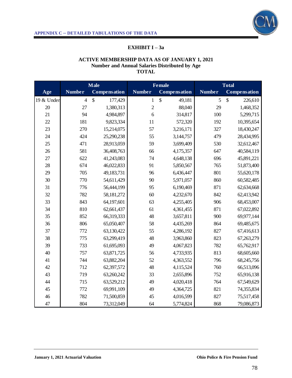

# **EXHIBIT I – 3a**

## **ACTIVE MEMBERSHIP DATA AS OF JANUARY 1, 2021 Number and Annual Salaries Distributed by Age TOTAL**

|            | <b>Male</b>    |                          | <b>Female</b>  |                     | <b>Total</b>  |                     |
|------------|----------------|--------------------------|----------------|---------------------|---------------|---------------------|
| Age        | <b>Number</b>  | Compensation             | <b>Number</b>  | <b>Compensation</b> | <b>Number</b> | <b>Compensation</b> |
| 19 & Under | $\overline{4}$ | $\mathcal{S}$<br>177,429 | $\mathbf{1}$   | \$<br>49,181        | 5             | \$<br>226,610       |
| 20         | 27             | 1,380,313                | $\overline{c}$ | 88,040              | 29            | 1,468,352           |
| 21         | 94             | 4,984,897                | 6              | 314,817             | 100           | 5,299,715           |
| 22         | 181            | 9,823,334                | 11             | 572,320             | 192           | 10,395,654          |
| 23         | 270            | 15,214,075               | 57             | 3,216,171           | 327           | 18,430,247          |
| 24         | 424            | 25,290,238               | 55             | 3,144,757           | 479           | 28,434,995          |
| 25         | 471            | 28,913,059               | 59             | 3,699,409           | 530           | 32,612,467          |
| 26         | 581            | 36,408,763               | 66             | 4,175,357           | 647           | 40,584,119          |
| 27         | 622            | 41,243,083               | 74             | 4,648,138           | 696           | 45,891,221          |
| 28         | 674            | 46,022,833               | 91             | 5,850,567           | 765           | 51,873,400          |
| 29         | 705            | 49,183,731               | 96             | 6,436,447           | 801           | 55,620,178          |
| 30         | 770            | 54,611,429               | 90             | 5,971,057           | 860           | 60,582,485          |
| 31         | 776            | 56,444,199               | 95             | 6,190,469           | 871           | 62,634,668          |
| 32         | 782            | 58,181,272               | 60             | 4,232,670           | 842           | 62,413,942          |
| 33         | 843            | 64,197,601               | 63             | 4,255,405           | 906           | 68,453,007          |
| 34         | 810            | 62,661,437               | 61             | 4,361,455           | 871           | 67,022,892          |
| 35         | 852            | 66,319,333               | 48             | 3,657,811           | 900           | 69,977,144          |
| 36         | 806            | 65,050,407               | 58             | 4,435,269           | 864           | 69,485,675          |
| 37         | 772            | 63,130,422               | 55             | 4,286,192           | 827           | 67,416,613          |
| 38         | 775            | 63,299,419               | 48             | 3,963,860           | 823           | 67,263,279          |
| 39         | 733            | 61,695,093               | 49             | 4,067,823           | 782           | 65,762,917          |
| 40         | 757            | 63,871,725               | 56             | 4,733,935           | 813           | 68,605,660          |
| 41         | 744            | 63,882,204               | 52             | 4,363,552           | 796           | 68,245,756          |
| 42         | 712            | 62,397,572               | 48             | 4,115,524           | 760           | 66,513,096          |
| 43         | 719            | 63,260,242               | 33             | 2,655,896           | 752           | 65,916,138          |
| 44         | 715            | 63,529,212               | 49             | 4,020,418           | 764           | 67,549,629          |
| 45         | 772            | 69,991,109               | 49             | 4,364,725           | 821           | 74,355,834          |
| 46         | 782            | 71,500,859               | 45             | 4,016,599           | 827           | 75,517,458          |
| 47         | 804            | 73,312,049               | 64             | 5,774,824           | 868           | 79,086,873          |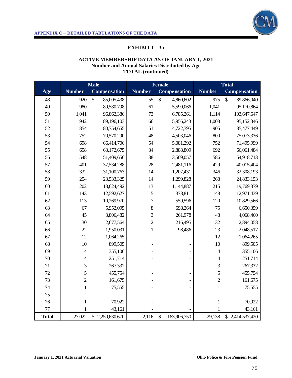

# **EXHIBIT I – 3a**

#### **ACTIVE MEMBERSHIP DATA AS OF JANUARY 1, 2021 Number and Annual Salaries Distributed by Age TOTAL (continued)**

|              |                | <b>Male</b>         |                | <b>Female</b>         |                | <b>Total</b>               |
|--------------|----------------|---------------------|----------------|-----------------------|----------------|----------------------------|
| Age          | <b>Number</b>  | <b>Compensation</b> | <b>Number</b>  | Compensation          | <b>Number</b>  | Compensation               |
| 48           | 920            | \$<br>85,005,438    | 55             | \$<br>4,860,602       | 975            | $\mathbb{S}$<br>89,866,040 |
| 49           | 980            | 89,580,798          | 61             | 5,590,066             | 1,041          | 95,170,864                 |
| 50           | 1,041          | 96,862,386          | 73             | 6,785,261             | 1,114          | 103,647,647                |
| 51           | 942            | 89,196,103          | 66             | 5,956,243             | 1,008          | 95,152,346                 |
| 52           | 854            | 80,754,655          | 51             | 4,722,795             | 905            | 85,477,449                 |
| 53           | 752            | 70,570,290          | 48             | 4,503,046             | 800            | 75,073,336                 |
| 54           | 698            | 66,414,706          | 54             | 5,081,292             | 752            | 71,495,999                 |
| 55           | 658            | 63,172,675          | 34             | 2,888,809             | 692            | 66,061,484                 |
| 56           | 548            | 51,409,656          | 38             | 3,509,057             | 586            | 54,918,713                 |
| 57           | 401            | 37,534,288          | 28             | 2,481,116             | 429            | 40,015,404                 |
| 58           | 332            | 31,100,763          | 14             | 1,207,431             | 346            | 32,308,193                 |
| 59           | 254            | 23,533,325          | 14             | 1,299,828             | 268            | 24,833,153                 |
| 60           | 202            | 18,624,492          | 13             | 1,144,887             | 215            | 19,769,379                 |
| 61           | 143            | 12,592,627          | 5              | 378,811               | 148            | 12,971,439                 |
| 62           | 113            | 10,269,970          | $\overline{7}$ | 559,596               | 120            | 10,829,566                 |
| 63           | 67             | 5,952,095           | 8              | 698,264               | 75             | 6,650,359                  |
| 64           | 45             | 3,806,482           | 3              | 261,978               | 48             | 4,068,460                  |
| 65           | 30             | 2,677,564           | $\overline{c}$ | 216,495               | 32             | 2,894,058                  |
| 66           | 22             | 1,950,031           | $\mathbf{1}$   | 98,486                | 23             | 2,048,517                  |
| 67           | 12             | 1,064,265           |                |                       | 12             | 1,064,265                  |
| 68           | 10             | 899,505             |                |                       | 10             | 899,505                    |
| 69           | $\overline{4}$ | 355,106             |                |                       | $\overline{4}$ | 355,106                    |
| $70\,$       | $\overline{4}$ | 251,714             |                |                       | $\overline{4}$ | 251,714                    |
| 71           | 3              | 267,332             |                |                       | 3              | 267,332                    |
| 72           | 5              | 455,754             |                |                       | 5              | 455,754                    |
| 73           | $\overline{c}$ | 161,675             |                |                       | $\overline{2}$ | 161,675                    |
| 74           | $\mathbf{1}$   | 75,555              |                |                       | $\mathbf{1}$   | 75,555                     |
| 75           |                |                     |                |                       |                |                            |
| 76           | $\mathbf{1}$   | 70,922              |                |                       | $\mathbf{1}$   | 70,922                     |
| $77 \,$      | 1              | 43,161              |                |                       | 1              | 43,161                     |
| <b>Total</b> | 27,022         | \$2,250,630,670     | 2,116          | $\$\,$<br>163,906,750 | 29,138         | \$2,414,537,420            |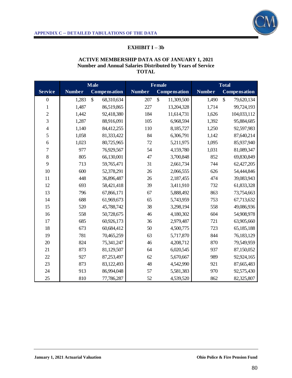

# **EXHIBIT I – 3b**

#### **ACTIVE MEMBERSHIP DATA AS OF JANUARY 1, 2021 Number and Annual Salaries Distributed by Years of Service TOTAL**

|                  | <b>Male</b>   |                  |               | <b>Female</b>              |               | Total                      |  |
|------------------|---------------|------------------|---------------|----------------------------|---------------|----------------------------|--|
| <b>Service</b>   | <b>Number</b> | Compensation     | <b>Number</b> | <b>Compensation</b>        | <b>Number</b> | <b>Compensation</b>        |  |
| $\boldsymbol{0}$ | 1,283         | \$<br>68,310,634 | 207           | $\mathbb{S}$<br>11,309,500 | 1,490         | $\mathbb{S}$<br>79,620,134 |  |
| $\mathbf{1}$     | 1,487         | 86,519,865       | 227           | 13,204,328                 | 1,714         | 99,724,193                 |  |
| $\overline{c}$   | 1,442         | 92,418,380       | 184           | 11,614,731                 | 1,626         | 104,033,112                |  |
| 3                | 1,287         | 88,916,091       | 105           | 6,968,594                  | 1,392         | 95,884,685                 |  |
| $\overline{4}$   | 1,140         | 84,412,255       | 110           | 8,185,727                  | 1,250         | 92,597,983                 |  |
| 5                | 1,058         | 81,333,422       | 84            | 6,306,791                  | 1,142         | 87,640,214                 |  |
| 6                | 1,023         | 80,725,965       | 72            | 5,211,975                  | 1,095         | 85,937,940                 |  |
| $\overline{7}$   | 977           | 76,929,567       | 54            | 4,159,780                  | 1,031         | 81,089,347                 |  |
| 8                | 805           | 66,130,001       | 47            | 3,700,848                  | 852           | 69,830,849                 |  |
| 9                | 713           | 59,765,471       | 31            | 2,661,734                  | 744           | 62,427,205                 |  |
| 10               | 600           | 52,378,291       | 26            | 2,066,555                  | 626           | 54,444,846                 |  |
| 11               | 448           | 36,896,487       | 26            | 2,187,455                  | 474           | 39,083,943                 |  |
| 12               | 693           | 58,421,418       | 39            | 3,411,910                  | 732           | 61,833,328                 |  |
| 13               | 796           | 67,866,171       | 67            | 5,888,492                  | 863           | 73,754,663                 |  |
| 14               | 688           | 61,969,673       | 65            | 5,743,959                  | 753           | 67,713,632                 |  |
| 15               | 520           | 45,788,742       | 38            | 3,298,194                  | 558           | 49,086,936                 |  |
| 16               | 558           | 50,728,675       | 46            | 4,180,302                  | 604           | 54,908,978                 |  |
| 17               | 685           | 60,926,173       | 36            | 2,979,487                  | 721           | 63,905,660                 |  |
| 18               | 673           | 60,684,412       | 50            | 4,500,775                  | 723           | 65,185,188                 |  |
| 19               | 781           | 70,465,259       | 63            | 5,717,870                  | 844           | 76,183,129                 |  |
| 20               | 824           | 75,341,247       | 46            | 4,208,712                  | 870           | 79,549,959                 |  |
| 21               | 873           | 81,129,507       | 64            | 6,020,545                  | 937           | 87,150,052                 |  |
| 22               | 927           | 87,253,497       | 62            | 5,670,667                  | 989           | 92,924,165                 |  |
| 23               | 873           | 83,122,493       | 48            | 4,542,990                  | 921           | 87,665,483                 |  |
| 24               | 913           | 86,994,048       | 57            | 5,581,383                  | 970           | 92,575,430                 |  |
| 25               | 810           | 77,786,287       | 52            | 4,539,520                  | 862           | 82,325,807                 |  |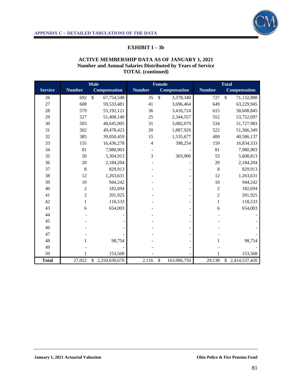

## **EXHIBIT I – 3b**

#### **ACTIVE MEMBERSHIP DATA AS OF JANUARY 1, 2021 Number and Annual Salaries Distributed by Years of Service TOTAL (continued)**

|                |                | <b>Male</b>                   |               | <b>Female</b>              |                | <b>Total</b>               |
|----------------|----------------|-------------------------------|---------------|----------------------------|----------------|----------------------------|
| <b>Service</b> | <b>Number</b>  | <b>Compensation</b>           | <b>Number</b> | <b>Compensation</b>        | <b>Number</b>  | <b>Compensation</b>        |
| 26             | 692            | $\mathcal{S}$<br>67,754,548   | 35            | $\mathcal{S}$<br>3,378,340 | 727            | $\mathbb{S}$<br>71,132,888 |
| 27             | 608            | 59,533,481                    | 41            | 3,696,464                  | 649            | 63,229,945                 |
| 28             | 579            | 55,192,121                    | 36            | 3,416,724                  | 615            | 58,608,845                 |
| 29             | 527            | 51,408,140                    | 25            | 2,344,557                  | 552            | 53,752,697                 |
| 30             | 503            | 48,645,905                    | 31            | 3,082,079                  | 534            | 51,727,983                 |
| 31             | 502            | 49,478,423                    | 20            | 1,887,926                  | 522            | 51,366,349                 |
| 32             | 385            | 39,050,459                    | 15            | 1,535,677                  | 400            | 40,586,137                 |
| 33             | 155            | 16,436,278                    | 4             | 398,254                    | 159            | 16,834,533                 |
| 34             | 81             | 7,980,903                     |               |                            | 81             | 7,980,903                  |
| 35             | 50             | 5,304,913                     | 3             | 303,900                    | 53             | 5,608,813                  |
| 36             | 20             | 2,184,204                     |               |                            | $20\,$         | 2,184,204                  |
| 37             | $\,8\,$        | 829,913                       |               |                            | 8              | 829,913                    |
| 38             | 12             | 1,263,631                     |               |                            | 12             | 1,263,631                  |
| 39             | $10\,$         | 944,242                       |               |                            | 10             | 944,242                    |
| 40             | $\overline{c}$ | 182,694                       |               |                            | $\overline{c}$ | 182,694                    |
| 41             | $\overline{c}$ | 201,925                       |               |                            | $\overline{c}$ | 201,925                    |
| 42             | 1              | 118,533                       |               |                            | $\mathbf{1}$   | 118,533                    |
| 43             | 6              | 654,003                       |               |                            | 6              | 654,003                    |
| 44             |                |                               |               |                            |                |                            |
| 45             |                |                               |               |                            |                |                            |
| 46             |                |                               |               |                            |                |                            |
| 47             |                |                               |               |                            |                |                            |
| 48             | 1              | 98,754                        |               |                            | 1              | 98,754                     |
| 49             |                |                               |               |                            |                |                            |
| 50             |                | 153,568                       |               |                            |                | 153,568                    |
| <b>Total</b>   | 27,022         | $\mathbb{S}$<br>2,250,630,670 | 2,116         | \$<br>163,906,750          | 29,138         | \$2,414,537,420            |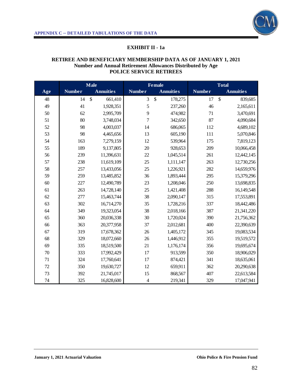

# **EXHIBIT II - 1a**

#### **RETIREE AND BENEFICIARY MEMBERSHIP DATA AS OF JANUARY 1, 2021 Number and Annual Retirement Allowances Distributed by Age POLICE SERVICE RETIREES**

|     | <b>Male</b>   |                          |                | <b>Female</b>            | <b>Total</b>  |                          |
|-----|---------------|--------------------------|----------------|--------------------------|---------------|--------------------------|
| Age | <b>Number</b> | <b>Annuities</b>         | <b>Number</b>  | <b>Annuities</b>         | <b>Number</b> | <b>Annuities</b>         |
| 48  | 14            | $\mathcal{S}$<br>661,410 | 3              | $\mathcal{S}$<br>178,275 | 17            | $\mathcal{S}$<br>839,685 |
| 49  | 41            | 1,928,351                | 5              | 237,260                  | 46            | 2,165,611                |
| 50  | 62            | 2,995,709                | 9              | 474,982                  | 71            | 3,470,691                |
| 51  | 80            | 3,748,034                | $\overline{7}$ | 342,650                  | 87            | 4,090,684                |
| 52  | 98            | 4,003,037                | 14             | 686,065                  | 112           | 4,689,102                |
| 53  | 98            | 4,465,656                | 13             | 605,190                  | 111           | 5,070,846                |
| 54  | 163           | 7,279,159                | 12             | 539,964                  | 175           | 7,819,123                |
| 55  | 189           | 9,137,805                | 20             | 928,653                  | 209           | 10,066,458               |
| 56  | 239           | 11,396,631               | 22             | 1,045,514                | 261           | 12,442,145               |
| 57  | 238           | 11,619,109               | 25             | 1,111,147                | 263           | 12,730,256               |
| 58  | 257           | 13,433,056               | 25             | 1,226,921                | 282           | 14,659,976               |
| 59  | 259           | 13,485,852               | 36             | 1,893,444                | 295           | 15,379,296               |
| 60  | 227           | 12,490,789               | 23             | 1,208,046                | 250           | 13,698,835               |
| 61  | 263           | 14,728,140               | 25             | 1,421,408                | 288           | 16,149,548               |
| 62  | 277           | 15,463,744               | 38             | 2,090,147                | 315           | 17,553,891               |
| 63  | 302           | 16,714,270               | 35             | 1,728,216                | 337           | 18,442,486               |
| 64  | 349           | 19,323,054               | 38             | 2,018,166                | 387           | 21,341,220               |
| 65  | 360           | 20,036,338               | 30             | 1,720,024                | 390           | 21,756,362               |
| 66  | 363           | 20,377,958               | 37             | 2,012,681                | 400           | 22,390,639               |
| 67  | 319           | 17,678,362               | 26             | 1,405,172                | 345           | 19,083,534               |
| 68  | 329           | 18,072,660               | 26             | 1,446,912                | 355           | 19,519,572               |
| 69  | 335           | 18,519,500               | 21             | 1,176,174                | 356           | 19,695,674               |
| 70  | 333           | 17,992,429               | 17             | 913,599                  | 350           | 18,906,029               |
| 71  | 324           | 17,760,641               | 17             | 874,421                  | 341           | 18,635,061               |
| 72  | 350           | 19,630,727               | 12             | 659,911                  | 362           | 20,290,638               |
| 73  | 392           | 21,745,017               | 15             | 868,567                  | 407           | 22,613,584               |
| 74  | 325           | 16,828,600               | $\overline{4}$ | 219,341                  | 329           | 17,047,941               |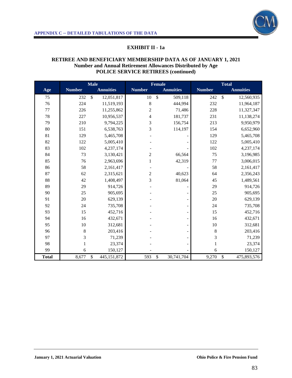

# **EXHIBIT II - 1a**

#### **RETIREE AND BENEFICIARY MEMBERSHIP DATA AS OF JANUARY 1, 2021 Number and Annual Retirement Allowances Distributed by Age POLICE SERVICE RETIREES (continued)**

|              |               | <b>Male</b>                 |                | <b>Female</b>                       |               | <b>Total</b>                  |
|--------------|---------------|-----------------------------|----------------|-------------------------------------|---------------|-------------------------------|
| Age          | <b>Number</b> | <b>Annuities</b>            | <b>Number</b>  | <b>Annuities</b>                    | <b>Number</b> | <b>Annuities</b>              |
| 75           | 232           | $\mathsf{\$}$<br>12,051,817 | 10             | $\overline{\mathcal{S}}$<br>509,118 | 242           | $\overline{\$}$<br>12,560,935 |
| 76           | 224           | 11,519,193                  | 8              | 444,994                             | 232           | 11,964,187                    |
| 77           | 226           | 11,255,862                  | $\overline{c}$ | 71,486                              | 228           | 11,327,347                    |
| 78           | 227           | 10,956,537                  | $\overline{4}$ | 181,737                             | 231           | 11,138,274                    |
| 79           | 210           | 9,794,225                   | 3              | 156,754                             | 213           | 9,950,979                     |
| 80           | 151           | 6,538,763                   | 3              | 114,197                             | 154           | 6,652,960                     |
| 81           | 129           | 5,465,708                   |                |                                     | 129           | 5,465,708                     |
| 82           | 122           | 5,005,410                   |                |                                     | 122           | 5,005,410                     |
| 83           | 102           | 4,237,174                   |                |                                     | 102           | 4,237,174                     |
| 84           | 73            | 3,130,421                   | $\overline{c}$ | 66,564                              | 75            | 3,196,985                     |
| 85           | 76            | 2,963,696                   | $\mathbf{1}$   | 42,319                              | 77            | 3,006,015                     |
| 86           | 58            | 2,161,417                   |                |                                     | 58            | 2,161,417                     |
| 87           | 62            | 2,315,621                   | $\overline{c}$ | 40,623                              | 64            | 2,356,243                     |
| 88           | 42            | 1,408,497                   | 3              | 81,064                              | 45            | 1,489,561                     |
| 89           | 29            | 914,726                     |                |                                     | 29            | 914,726                       |
| 90           | 25            | 905,695                     |                | $\overline{\phantom{a}}$            | 25            | 905,695                       |
| 91           | 20            | 629,139                     |                | $\blacksquare$                      | 20            | 629,139                       |
| 92           | 24            | 735,708                     |                | $\overline{\phantom{a}}$            | 24            | 735,708                       |
| 93           | 15            | 452,716                     |                | $\qquad \qquad \blacksquare$        | 15            | 452,716                       |
| 94           | 16            | 432,671                     |                | $\qquad \qquad \blacksquare$        | 16            | 432,671                       |
| 95           | $10\,$        | 312,681                     |                | $\qquad \qquad \blacksquare$        | $10\,$        | 312,681                       |
| 96           | 8             | 203,416                     |                | $\overline{\phantom{a}}$            | $\,8\,$       | 203,416                       |
| 97           | 3             | 71,239                      |                | $\qquad \qquad \blacksquare$        | 3             | 71,239                        |
| 98           | $\mathbf{1}$  | 23,374                      |                | $\overline{\phantom{a}}$            | $\mathbf{1}$  | 23,374                        |
| 99           | 6             | 150,127                     |                |                                     | 6             | 150,127                       |
| <b>Total</b> | 8,677         | \$<br>445,151,872           | 593            | \$<br>30,741,704                    | 9,270         | \$<br>475,893,576             |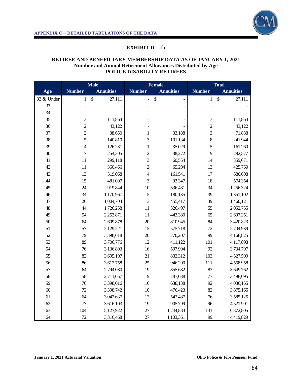

## **EXHIBIT II – 1b**

#### **RETIREE AND BENEFICIARY MEMBERSHIP DATA AS OF JANUARY 1, 2021 Number and Annual Retirement Allowances Distributed by Age POLICE DISABILITY RETIREES**

|            |                  | Male                                |                | <b>Female</b>            |                | <b>Total</b>     |
|------------|------------------|-------------------------------------|----------------|--------------------------|----------------|------------------|
| Age        | <b>Number</b>    | <b>Annuities</b>                    | <b>Number</b>  | <b>Annuities</b>         | <b>Number</b>  | <b>Annuities</b> |
| 32 & Under | $\mathbf{1}$     | $\boldsymbol{\mathsf{S}}$<br>27,111 | $\overline{a}$ | \$<br>$\overline{a}$     | $\mathbf{1}$   | \$<br>27,111     |
| 33         |                  |                                     |                | $\overline{\phantom{0}}$ |                |                  |
| 34         |                  |                                     |                |                          |                |                  |
| 35         | 3                | 111,864                             |                |                          | 3              | 111,864          |
| 36         | $\overline{c}$   | 43,122                              |                |                          | $\overline{2}$ | 43,122           |
| 37         | $\overline{2}$   | 38,650                              | $\mathbf{1}$   | 33,188                   | 3              | 71,838           |
| 38         | 5                | 140,810                             | 3              | 101,134                  | 8              | 241,944          |
| 39         | $\overline{4}$   | 126,231                             | $\mathbf{1}$   | 35,029                   | 5              | 161,260          |
| 40         | $\boldsymbol{7}$ | 254,305                             | $\overline{c}$ | 38,272                   | 9              | 292,577          |
| 41         | 11               | 299,118                             | 3              | 60,554                   | 14             | 359,671          |
| 42         | 11               | 360,466                             | $\overline{c}$ | 65,294                   | 13             | 425,760          |
| 43         | 13               | 519,068                             | $\overline{4}$ | 161,541                  | 17             | 680,608          |
| 44         | 15               | 481,007                             | 3              | 93,347                   | 18             | 574,354          |
| 45         | 24               | 919,844                             | 10             | 336,481                  | 34             | 1,256,324        |
| 46         | 34               | 1,170,967                           | 5              | 180,135                  | 39             | 1,351,102        |
| 47         | 26               | 1,004,704                           | 13             | 455,417                  | 39             | 1,460,121        |
| 48         | 44               | 1,726,258                           | 11             | 326,497                  | 55             | 2,052,755        |
| 49         | 54               | 2,253,871                           | 11             | 443,380                  | 65             | 2,697,251        |
| 50         | 64               | 2,609,878                           | 20             | 810,945                  | 84             | 3,420,823        |
| 51         | 57               | 2,129,221                           | 15             | 575,718                  | 72             | 2,704,939        |
| 52         | 79               | 3,398,618                           | 20             | 770,207                  | 99             | 4,168,825        |
| 53         | 89               | 3,706,776                           | 12             | 411,122                  | 101            | 4,117,898        |
| 54         | 76               | 3,136,803                           | 16             | 597,994                  | 92             | 3,734,797        |
| 55         | 82               | 3,695,197                           | 21             | 832,312                  | 103            | 4,527,509        |
| 56         | 86               | 3,612,758                           | 25             | 946,200                  | 111            | 4,558,958        |
| 57         | 64               | 2,794,080                           | 19             | 855,682                  | 83             | 3,649,762        |
| 58         | 58               | 2,711,057                           | 19             | 787,038                  | 77             | 3,498,095        |
| 59         | 76               | 3,398,016                           | 16             | 638,138                  | 92             | 4,036,155        |
| 60         | 72               | 3,398,742                           | 10             | 476,423                  | 82             | 3,875,165        |
| 61         | 64               | 3,042,637                           | 12             | 542,487                  | 76             | 3,585,125        |
| 62         | $77\,$           | 3,616,103                           | 19             | 905,799                  | 96             | 4,521,901        |
| 63         | 104              | 5,127,922                           | 27             | 1,244,883                | 131            | 6,372,805        |
| 64         | 72               | 3,316,468                           | 27             | 1,103,361                | 99             | 4,419,829        |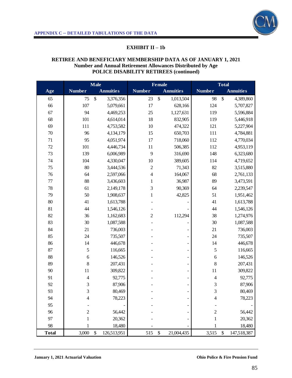

# **EXHIBIT II – 1b**

#### **RETIREE AND BENEFICIARY MEMBERSHIP DATA AS OF JANUARY 1, 2021 Number and Annual Retirement Allowances Distributed by Age POLICE DISABILITY RETIREES (continued)**

|              |                | <b>Male</b>         |                | <b>Female</b>                |                          | <b>Total</b>      |
|--------------|----------------|---------------------|----------------|------------------------------|--------------------------|-------------------|
| Age          | <b>Number</b>  | <b>Annuities</b>    | <b>Number</b>  | <b>Annuities</b>             | <b>Number</b>            | <b>Annuities</b>  |
| 65           | 75             | $\$\,$<br>3,376,356 | 23             | $\$$<br>1,013,504            | 98                       | \$<br>4,389,860   |
| 66           | 107            | 5,079,661           | 17             | 628,166                      | 124                      | 5,707,827         |
| 67           | 94             | 4,469,253           | 25             | 1,127,631                    | 119                      | 5,596,884         |
| 68           | 101            | 4,614,014           | 18             | 832,905                      | 119                      | 5,446,918         |
| 69           | 111            | 4,753,582           | $10\,$         | 474,322                      | 121                      | 5,227,904         |
| 70           | 96             | 4,134,179           | 15             | 650,703                      | 111                      | 4,784,881         |
| 71           | 95             | 4,051,974           | 17             | 718,060                      | 112                      | 4,770,034         |
| 72           | 101            | 4,446,734           | 11             | 506,385                      | 112                      | 4,953,119         |
| 73           | 139            | 6,006,989           | 9              | 316,690                      | 148                      | 6,323,680         |
| 74           | 104            | 4,330,047           | $10\,$         | 389,605                      | 114                      | 4,719,652         |
| 75           | 80             | 3,444,536           | $\overline{c}$ | 71,343                       | 82                       | 3,515,880         |
| 76           | 64             | 2,597,066           | $\overline{4}$ | 164,067                      | 68                       | 2,761,133         |
| 77           | 88             | 3,436,603           | $\,1$          | 36,987                       | 89                       | 3,473,591         |
| 78           | 61             | 2,149,178           | 3              | 90,369                       | 64                       | 2,239,547         |
| 79           | 50             | 1,908,637           | $\mathbf 1$    | 42,825                       | 51                       | 1,951,462         |
| 80           | 41             | 1,613,788           |                |                              | 41                       | 1,613,788         |
| 81           | 44             | 1,546,126           |                |                              | 44                       | 1,546,126         |
| 82           | 36             | 1,162,683           | $\overline{c}$ | 112,294                      | 38                       | 1,274,976         |
| 83           | 30             | 1,087,588           |                |                              | 30                       | 1,087,588         |
| 84           | 21             | 736,003             |                |                              | 21                       | 736,003           |
| 85           | 24             | 735,507             |                | -                            | 24                       | 735,507           |
| 86           | 14             | 446,678             |                |                              | 14                       | 446,678           |
| 87           | 5              | 116,665             |                | $\qquad \qquad \blacksquare$ | 5                        | 116,665           |
| 88           | 6              | 146,526             |                | $\overline{\phantom{0}}$     | $\sqrt{6}$               | 146,526           |
| 89           | $\,8\,$        | 207,431             |                | -                            | 8                        | 207,431           |
| 90           | 11             | 309,822             |                | $\overline{\phantom{0}}$     | 11                       | 309,822           |
| 91           | $\overline{4}$ | 92,775              |                | $\overline{\phantom{0}}$     | $\overline{4}$           | 92,775            |
| 92           | 3              | 87,906              |                |                              | 3                        | 87,906            |
| 93           | 3              | 80,469              |                | $\qquad \qquad \blacksquare$ | 3                        | 80,469            |
| 94           | 4              | 78,223              |                |                              | $\overline{\mathcal{L}}$ | 78,223            |
| 95           |                |                     |                |                              |                          |                   |
| 96           | 2              | 56,442              |                |                              | $\overline{c}$           | 56,442            |
| 97           |                | 20,362              |                |                              | 1                        | 20,362            |
| 98           |                | 18,480              |                |                              | 1                        | 18,480            |
| <b>Total</b> | 3,000          | $\$$<br>126,513,951 | 515            | $\mathbb{S}$<br>21,004,435   | 3,515                    | \$<br>147,518,387 |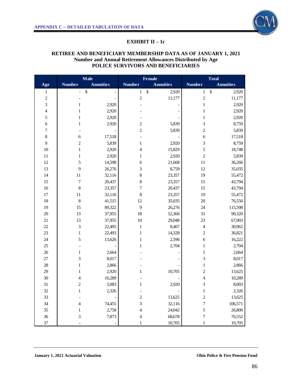

#### **EXHIBIT II – 1c**

# **RETIREE AND BENEFICIARY MEMBERSHIP DATA AS OF JANUARY 1, 2021 Number and Annual Retirement Allowances Distributed by Age POLICE SURVIVORS AND BENEFICIARIES**

|                  |                          | <b>Male</b>       |                          | <b>Female</b>              |                          | <b>Total</b>                       |
|------------------|--------------------------|-------------------|--------------------------|----------------------------|--------------------------|------------------------------------|
| Age              | <b>Number</b>            | <b>Annuities</b>  | <b>Number</b>            | <b>Annuities</b>           | <b>Number</b>            | <b>Annuities</b>                   |
| 1                | $\overline{\phantom{0}}$ | $\boldsymbol{\$}$ | $\mathbf{1}$             | $\boldsymbol{\$}$<br>2,920 | $\mathbf{1}$             | $\boldsymbol{\mathsf{S}}$<br>2,920 |
| $\sqrt{2}$       |                          |                   | $\overline{c}$           | 11,177                     | $\overline{c}$           | 11,177                             |
| $\mathfrak{Z}$   | $\mathbf{1}$             | 2,920             |                          |                            | $\,$ 1 $\,$              | 2,920                              |
| $\overline{4}$   | $\mathbf{1}$             | 2,920             |                          |                            | $\,1$                    | 2,920                              |
| $\sqrt{5}$       | $\,1$                    | 2,920             |                          |                            | $\mathbf{1}$             | 2,920                              |
| $\boldsymbol{6}$ | $\mathbf{1}$             | 2,920             | $\boldsymbol{2}$         | 5,839                      | 3                        | 8,759                              |
| $\boldsymbol{7}$ |                          |                   | $\overline{c}$           | 5,839                      | $\overline{c}$           | 5,839                              |
| $\,8\,$          | 6                        | 17,518            | $\overline{\phantom{a}}$ |                            | 6                        | 17,518                             |
| 9                | $\overline{c}$           | 5,839             | $\,1$                    | 2,920                      | 3                        | 8,759                              |
| 10               | $\,1$                    | 2,920             | $\overline{4}$           | 15,829                     | 5                        | 18,748                             |
| $11\,$           | $\mathbf{1}$             | 2,920             | $\mathbf{1}$             | 2,920                      | $\overline{c}$           | 5,839                              |
| 12               | 5                        | 14,598            | 6                        | 21,668                     | 11                       | 36,266                             |
| 13               | 9                        | 26,276            | 3                        | 8,759                      | 12                       | 35,035                             |
| 14               | 11                       | 32,116            | 8                        | 23,357                     | 19                       | 55,472                             |
| 15               | $\boldsymbol{7}$         | 20,437            | 8                        | 23,357                     | 15                       | 43,794                             |
| 16               | $\,$ 8 $\,$              | 23,357            | 7                        | 20,437                     | 15                       | 43,794                             |
| 17               | 11                       | 32,116            | 8                        | 23,357                     | 19                       | 55,472                             |
| 18               | 8                        | 41,515            | 12                       | 35,035                     | 20                       | 76,550                             |
| 19               | 15                       | 89,322            | 9                        | 26,276                     | 24                       | 115,598                            |
| $20\,$           | 13                       | 37,955            | 18                       | 52,366                     | 31                       | 90,320                             |
| 21               | 13                       | 37,955            | 10                       | 29,048                     | 23                       | 67,003                             |
| $22\,$           | 3                        | 22,495            | $\,1\,$                  | 8,467                      | 4                        | 30,962                             |
| $23\,$           | $\,1$                    | 22,493            | $\mathbf{1}$             | 14,328                     | $\overline{\mathbf{c}}$  | 36,821                             |
| $24\,$           | 5                        | 13,626            | $\mathbf{1}$             | 2,596                      | 6                        | 16,222                             |
| $25\,$           |                          |                   | $\mathbf{1}$             | 2,704                      | $\,1$                    | 2,704                              |
| 26               | $\mathbf{1}$             | 2,664             |                          |                            | $\mathbf{1}$             | 2,664                              |
| $27\,$           | 3                        | 8,017             |                          |                            | 3                        | 8,017                              |
| $28\,$           | $\,1\,$                  | 2,866             |                          |                            | $\,1$                    | 2,866                              |
| 29               | $\mathbf{1}$             | 2,920             | $\mathbf{1}$             | 10,705                     | $\overline{c}$           | 13,625                             |
| 30               | $\overline{4}$           | 10,289            |                          |                            | $\overline{\mathcal{L}}$ | 10,289                             |
| 31               | $\overline{c}$           | 5,083             | $\mathbf{1}$             | 2,920                      | 3                        | 8,003                              |
| 32               | 1                        | 2,326             |                          |                            | 1                        | 2,326                              |
| 33               |                          |                   | $\overline{c}$           | 13,625                     | $\overline{c}$           | 13,625                             |
| 34               | $\overline{\mathcal{L}}$ | 74,455            | 3                        | 32,116                     | 7                        | 106,571                            |
| 35               | $\mathbf{1}$             | 2,758             | $\overline{\mathcal{L}}$ | 24,042                     | 5                        | 26,800                             |
| 36               | $\mathfrak{Z}$           | 7,873             | $\overline{4}$           | 68,678                     | 7                        | 76,552                             |
| $37\,$           |                          |                   |                          | 10,705                     | 1                        | 10,705                             |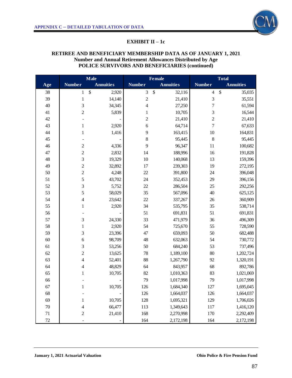

## **EXHIBIT II – 1c**

# **RETIREE AND BENEFICIARY MEMBERSHIP DATA AS OF JANUARY 1, 2021 Number and Annual Retirement Allowances Distributed by Age POLICE SURVIVORS AND BENEFICIARIES (continued)**

|     |                          | <b>Male</b>      |                | <b>Female</b>    |                | <b>Total</b>     |
|-----|--------------------------|------------------|----------------|------------------|----------------|------------------|
| Age | <b>Number</b>            | <b>Annuities</b> | <b>Number</b>  | <b>Annuities</b> | <b>Number</b>  | <b>Annuities</b> |
| 38  | 1                        | \$<br>2,920      | 3              | \$<br>32,116     | $\overline{4}$ | \$<br>35,035     |
| 39  | $\,1$                    | 14,140           | $\overline{c}$ | 21,410           | 3              | 35,551           |
| 40  | 3                        | 34,345           | $\overline{4}$ | 27,250           | $\overline{7}$ | 61,594           |
| 41  | $\overline{c}$           | 5,839            | $\,1$          | 10,705           | 3              | 16,544           |
| 42  |                          |                  | $\overline{c}$ | 21,410           | $\overline{c}$ | 21,410           |
| 43  | $\mathbf{1}$             | 2,920            | 6              | 64,714           | $\overline{7}$ | 67,633           |
| 44  | $\mathbf{1}$             | 1,416            | 9              | 163,415          | 10             | 164,831          |
| 45  |                          |                  | $\,$ 8 $\,$    | 95,445           | 8              | 95,445           |
| 46  | $\overline{c}$           | 4,336            | 9              | 96,347           | 11             | 100,682          |
| 47  | $\overline{c}$           | 2,832            | 14             | 188,996          | 16             | 191,828          |
| 48  | 3                        | 19,329           | 10             | 140,068          | 13             | 159,396          |
| 49  | $\overline{c}$           | 32,892           | 17             | 239,303          | 19             | 272,195          |
| 50  | $\overline{c}$           | 4,248            | 22             | 391,800          | 24             | 396,048          |
| 51  | 5                        | 43,702           | 24             | 352,453          | 29             | 396,156          |
| 52  | 3                        | 5,752            | 22             | 286,504          | 25             | 292,256          |
| 53  | 5                        | 58,029           | 35             | 567,096          | 40             | 625,125          |
| 54  | $\overline{4}$           | 23,642           | 22             | 337,267          | 26             | 360,909          |
| 55  | $\mathbf{1}$             | 2,920            | 34             | 535,795          | 35             | 538,714          |
| 56  | $\overline{a}$           |                  | 51             | 691,831          | 51             | 691,831          |
| 57  | 3                        | 24,330           | 33             | 471,979          | 36             | 496,309          |
| 58  | $\,1$                    | 2,920            | 54             | 725,670          | 55             | 728,590          |
| 59  | 3                        | 23,396           | 47             | 659,093          | 50             | 682,488          |
| 60  | 6                        | 98,709           | 48             | 632,063          | 54             | 730,772          |
| 61  | 3                        | 53,256           | 50             | 684,240          | 53             | 737,496          |
| 62  | $\overline{c}$           | 13,625           | 78             | 1,189,100        | 80             | 1,202,724        |
| 63  | $\overline{\mathcal{L}}$ | 52,401           | 88             | 1,267,790        | 92             | 1,320,191        |
| 64  | $\overline{4}$           | 48,829           | 64             | 843,957          | 68             | 892,786          |
| 65  | $\mathbf{1}$             | 10,705           | 82             | 1,010,363        | 83             | 1,021,069        |
| 66  |                          |                  | 79             | 1,017,998        | 79             | 1,017,998        |
| 67  | 1                        | 10,705           | 126            | 1,684,340        | 127            | 1,695,045        |
| 68  |                          |                  | 126            | 1,664,037        | 126            | 1,664,037        |
| 69  | $\mathbf{1}$             | 10,705           | 128            | 1,695,321        | 129            | 1,706,026        |
| 70  | $\overline{\mathcal{L}}$ | 66,477           | 113            | 1,349,643        | 117            | 1,416,120        |
| 71  | $\overline{c}$           | 21,410           | 168            | 2,270,998        | 170            | 2,292,409        |
| 72  | $\overline{a}$           |                  | 164            | 2,172,198        | 164            | 2,172,198        |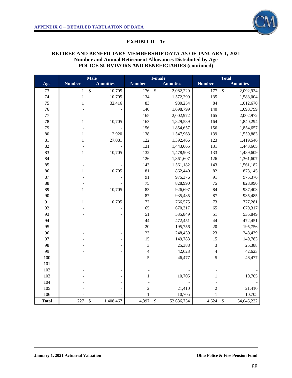

#### **EXHIBIT II – 1c**

#### **RETIREE AND BENEFICIARY MEMBERSHIP DATA AS OF JANUARY 1, 2021 Number and Annual Retirement Allowances Distributed by Age POLICE SURVIVORS AND BENEFICIARIES (continued)**

|              |               | <b>Male</b>                           |                          | Female                        |                          | <b>Total</b>                  |
|--------------|---------------|---------------------------------------|--------------------------|-------------------------------|--------------------------|-------------------------------|
| Age          | <b>Number</b> | <b>Annuities</b>                      | <b>Number</b>            | <b>Annuities</b>              | <b>Number</b>            | <b>Annuities</b>              |
| 73           | $\mathbf{1}$  | $\boldsymbol{\mathsf{S}}$<br>10,705   | 176                      | $\mathcal{S}$<br>2,082,229    | 177                      | $\mathcal{S}$<br>2,092,934    |
| 74           | $\,1$         | 10,705                                | 134                      | 1,572,299                     | 135                      | 1,583,004                     |
| 75           | $\mathbf{1}$  | 32,416                                | 83                       | 980,254                       | 84                       | 1,012,670                     |
| 76           |               |                                       | 140                      | 1,698,799                     | 140                      | 1,698,799                     |
| $77\,$       |               |                                       | 165                      | 2,002,972                     | 165                      | 2,002,972                     |
| 78           | 1             | 10,705                                | 163                      | 1,829,589                     | 164                      | 1,840,294                     |
| 79           |               |                                       | 156                      | 1,854,657                     | 156                      | 1,854,657                     |
| 80           | $\mathbf{1}$  | 2,920                                 | 138                      | 1,547,963                     | 139                      | 1,550,883                     |
| $81\,$       | $\mathbf{1}$  | 27,081                                | 122                      | 1,392,466                     | 123                      | 1,419,546                     |
| 82           |               |                                       | 131                      | 1,443,665                     | 131                      | 1,443,665                     |
| 83           | $\mathbf{1}$  | 10,705                                | 132                      | 1,478,903                     | 133                      | 1,489,609                     |
| 84           |               |                                       | 126                      | 1,361,607                     | 126                      | 1,361,607                     |
| 85           |               |                                       | 143                      | 1,561,182                     | 143                      | 1,561,182                     |
| 86           | 1             | 10,705                                | 81                       | 862,440                       | 82                       | 873,145                       |
| 87           |               |                                       | 91                       | 975,376                       | 91                       | 975,376                       |
| 88           |               |                                       | 75                       | 828,990                       | 75                       | 828,990                       |
| 89           | $\mathbf{1}$  | 10,705                                | 83                       | 926,697                       | 84                       | 937,403                       |
| 90           |               |                                       | 87                       | 935,485                       | 87                       | 935,485                       |
| 91           | 1             | 10,705                                | $72\,$                   | 766,575                       | 73                       | 777,281                       |
| 92           |               |                                       | 65                       | 670,317                       | 65                       | 670,317                       |
| 93           |               |                                       | 51                       | 535,849                       | 51                       | 535,849                       |
| 94           |               |                                       | 44                       | 472,451                       | 44                       | 472,451                       |
| 95           |               |                                       | 20                       | 195,756                       | 20                       | 195,756                       |
| 96           |               |                                       | 23                       | 248,439                       | 23                       | 248,439                       |
| 97           |               |                                       | 15                       | 149,783                       | 15                       | 149,783                       |
| 98           |               |                                       | 3                        | 25,388                        | $\overline{3}$           | 25,388                        |
| 99           |               |                                       | $\overline{\mathcal{L}}$ | 42,623                        | $\overline{\mathcal{L}}$ | 42,623                        |
| 100          |               |                                       | 5                        | 46,477                        | 5                        | 46,477                        |
| 101          |               |                                       |                          |                               |                          |                               |
| 102          |               |                                       |                          |                               |                          |                               |
| 103          |               |                                       | $\mathbf{1}$             | 10,705                        | $\mathbf{1}$             | 10,705                        |
| 104          |               |                                       |                          |                               |                          |                               |
| 105          |               |                                       | $\overline{c}$           | 21,410                        | $\overline{c}$           | 21,410                        |
| 106          |               |                                       | $\mathbf{1}$             | 10,705                        | $\mathbf{1}$             | 10,705                        |
| <b>Total</b> | 227           | $\overline{\mathcal{S}}$<br>1,408,467 | 4,397                    | $\overline{\$}$<br>52,636,754 | 4,624                    | $\overline{\$}$<br>54,045,222 |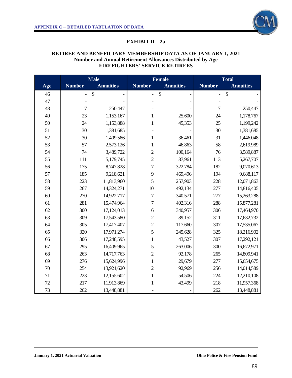# **EXHIBIT II – 2a**

#### **RETIREE AND BENEFICIARY MEMBERSHIP DATA AS OF JANUARY 1, 2021 Number and Annual Retirement Allowances Distributed by Age FIREFIGHTERS' SERVICE RETIREES**

|        |                | <b>Male</b>      | <b>Female</b>            |                  | <b>Total</b>   |                  |
|--------|----------------|------------------|--------------------------|------------------|----------------|------------------|
| Age    | <b>Number</b>  | <b>Annuities</b> | <b>Number</b>            | <b>Annuities</b> | <b>Number</b>  | <b>Annuities</b> |
| 46     | $\overline{a}$ | \$               | $\overline{\phantom{0}}$ | \$               | $\overline{a}$ | \$               |
| 47     |                |                  |                          |                  |                |                  |
| 48     | $\overline{7}$ | 250,447          |                          |                  | $\overline{7}$ | 250,447          |
| 49     | 23             | 1,153,167        | $\mathbf{1}$             | 25,600           | 24             | 1,178,767        |
| 50     | 24             | 1,153,888        | $\mathbf{1}$             | 45,353           | 25             | 1,199,242        |
| 51     | 30             | 1,381,685        |                          |                  | 30             | 1,381,685        |
| 52     | 30             | 1,409,586        | $\mathbf{1}$             | 36,461           | 31             | 1,446,048        |
| 53     | 57             | 2,573,126        | $\mathbf{1}$             | 46,863           | 58             | 2,619,989        |
| 54     | 74             | 3,489,722        | $\overline{c}$           | 100,164          | 76             | 3,589,887        |
| 55     | 111            | 5,179,745        | $\overline{2}$           | 87,961           | 113            | 5,267,707        |
| 56     | 175            | 8,747,828        | $\overline{7}$           | 322,784          | 182            | 9,070,613        |
| 57     | 185            | 9,218,621        | 9                        | 469,496          | 194            | 9,688,117        |
| 58     | 223            | 11,813,960       | 5                        | 257,903          | 228            | 12,071,863       |
| 59     | 267            | 14,324,271       | 10                       | 492,134          | 277            | 14,816,405       |
| 60     | 270            | 14,922,717       | $\overline{7}$           | 340,571          | 277            | 15,263,288       |
| 61     | 281            | 15,474,964       | $\overline{7}$           | 402,316          | 288            | 15,877,281       |
| 62     | 300            | 17,124,013       | 6                        | 340,957          | 306            | 17,464,970       |
| 63     | 309            | 17,543,580       | $\overline{2}$           | 89,152           | 311            | 17,632,732       |
| 64     | 305            | 17,417,407       | $\overline{2}$           | 117,660          | 307            | 17,535,067       |
| 65     | 320            | 17,971,274       | 5                        | 245,628          | 325            | 18,216,902       |
| 66     | 306            | 17,248,595       | $\mathbf{1}$             | 43,527           | 307            | 17,292,121       |
| 67     | 295            | 16,409,965       | 5                        | 263,006          | 300            | 16,672,971       |
| 68     | 263            | 14,717,763       | $\overline{2}$           | 92,178           | 265            | 14,809,941       |
| 69     | 276            | 15,624,996       | $\mathbf{1}$             | 29,679           | 277            | 15,654,675       |
| $70\,$ | 254            | 13,921,620       | $\overline{c}$           | 92,969           | 256            | 14,014,589       |
| 71     | 223            | 12,155,602       | $\mathbf{1}$             | 54,506           | 224            | 12,210,108       |
| 72     | 217            | 11,913,869       | 1                        | 43,499           | 218            | 11,957,368       |
| 73     | 262            | 13,448,881       |                          |                  | 262            | 13,448,881       |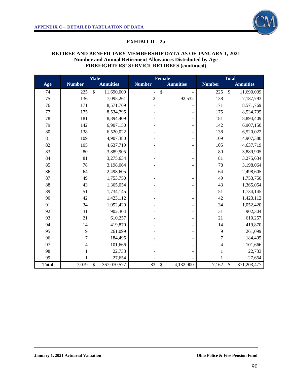

#### **EXHIBIT II – 2a**

# **RETIREE AND BENEFICIARY MEMBERSHIP DATA AS OF JANUARY 1, 2021 Number and Annual Retirement Allowances Distributed by Age FIREFIGHTERS' SERVICE RETIREES (continued)**

|              |                          | <b>Male</b>                 | <b>Female</b>  |                           | <b>Total</b>   |                             |
|--------------|--------------------------|-----------------------------|----------------|---------------------------|----------------|-----------------------------|
| Age          | <b>Number</b>            | <b>Annuities</b>            | <b>Number</b>  | <b>Annuities</b>          | <b>Number</b>  | <b>Annuities</b>            |
| 74           | 225                      | $\mathsf{\$}$<br>11,690,009 | $\blacksquare$ | $\boldsymbol{\mathsf{S}}$ | 225            | $\mathsf{\$}$<br>11,690,009 |
| 75           | 136                      | 7,095,261                   | $\overline{2}$ | 92,532                    | 138            | 7,187,793                   |
| 76           | 171                      | 8,571,769                   |                |                           | 171            | 8,571,769                   |
| 77           | 175                      | 8,534,795                   |                | ۰                         | 175            | 8,534,795                   |
| 78           | 181                      | 8,894,409                   |                | $\overline{\phantom{0}}$  | 181            | 8,894,409                   |
| 79           | 142                      | 6,907,150                   |                | $\overline{\phantom{0}}$  | 142            | 6,907,150                   |
| 80           | 138                      | 6,520,022                   |                |                           | 138            | 6,520,022                   |
| 81           | 109                      | 4,907,380                   |                | ÷                         | 109            | 4,907,380                   |
| 82           | 105                      | 4,637,719                   |                | ÷,                        | 105            | 4,637,719                   |
| 83           | 80                       | 3,889,905                   |                | $\overline{\phantom{0}}$  | 80             | 3,889,905                   |
| 84           | 81                       | 3,275,634                   |                | ÷                         | 81             | 3,275,634                   |
| 85           | 78                       | 3,198,064                   |                | $\overline{\phantom{0}}$  | 78             | 3,198,064                   |
| 86           | 64                       | 2,498,605                   |                |                           | 64             | 2,498,605                   |
| 87           | 49                       | 1,753,750                   |                | ÷,                        | 49             | 1,753,750                   |
| 88           | 43                       | 1,365,054                   |                | $\equiv$                  | 43             | 1,365,054                   |
| 89           | 51                       | 1,734,145                   |                |                           | 51             | 1,734,145                   |
| 90           | 42                       | 1,423,112                   |                | $\overline{\phantom{0}}$  | 42             | 1,423,112                   |
| 91           | 34                       | 1,052,420                   |                | ÷                         | 34             | 1,052,420                   |
| 92           | 31                       | 902,304                     |                | $\overline{\phantom{0}}$  | 31             | 902,304                     |
| 93           | 21                       | 610,257                     |                | ÷                         | 21             | 610,257                     |
| 94           | 14                       | 419,870                     |                |                           | 14             | 419,870                     |
| 95           | 9                        | 261,099                     |                | ÷                         | 9              | 261,099                     |
| 96           | $\overline{7}$           | 184,495                     |                |                           | $\overline{7}$ | 184,495                     |
| 97           | $\overline{\mathcal{L}}$ | 101,666                     |                |                           | $\overline{4}$ | 101,666                     |
| 98           | 1                        | 22,733                      |                |                           | $\mathbf{1}$   | 22,733                      |
| 99           | $\mathbf{1}$             | 27,654                      |                |                           | $\mathbf{1}$   | 27,654                      |
| <b>Total</b> | 7,079                    | $\mathbb{S}$<br>367,070,577 | 83             | \$<br>4,132,900           | 7,162          | $\mathbb{S}$<br>371,203,477 |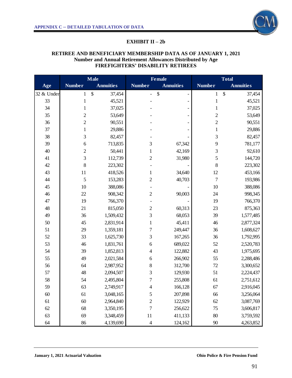# **EXHIBIT II – 2b**

## **RETIREE AND BENEFICIARY MEMBERSHIP DATA AS OF JANUARY 1, 2021 Number and Annual Retirement Allowances Distributed by Age FIREFIGHTERS' DISABILITY RETIREES**

|            |                  | <b>Male</b>      |                          | <b>Female</b>                  |                | <b>Total</b>     |
|------------|------------------|------------------|--------------------------|--------------------------------|----------------|------------------|
| Age        | <b>Number</b>    | <b>Annuities</b> | <b>Number</b>            | <b>Annuities</b>               | <b>Number</b>  | <b>Annuities</b> |
| 32 & Under | $\mathbf{1}$     | \$<br>37,454     | $\overline{\phantom{0}}$ | \$<br>$\overline{\phantom{0}}$ | $\mathbf{1}$   | \$<br>37,454     |
| 33         | $\mathbf{1}$     | 45,521           |                          |                                | $\mathbf 1$    | 45,521           |
| 34         | 1                | 37,025           |                          |                                | $\mathbf 1$    | 37,025           |
| 35         | $\overline{c}$   | 53,649           |                          |                                | $\overline{c}$ | 53,649           |
| 36         | $\overline{2}$   | 90,551           |                          |                                | $\overline{c}$ | 90,551           |
| 37         | $\mathbf 1$      | 29,886           |                          |                                | $\mathbf 1$    | 29,886           |
| 38         | 3                | 82,457           |                          |                                | 3              | 82,457           |
| 39         | $\boldsymbol{6}$ | 713,835          | $\mathfrak{Z}$           | 67,342                         | 9              | 781,177          |
| 40         | $\overline{c}$   | 50,441           | $\mathbf{1}$             | 42,169                         | 3              | 92,610           |
| 41         | $\overline{3}$   | 112,739          | $\sqrt{2}$               | 31,980                         | 5              | 144,720          |
| 42         | 8                | 223,302          |                          |                                | 8              | 223,302          |
| 43         | 11               | 418,526          | $\mathbf{1}$             | 34,640                         | 12             | 453,166          |
| 44         | 5                | 153,283          | $\sqrt{2}$               | 40,703                         | $\overline{7}$ | 193,986          |
| 45         | 10               | 388,086          |                          |                                | 10             | 388,086          |
| 46         | 22               | 908,342          | $\sqrt{2}$               | 90,003                         | 24             | 998,345          |
| 47         | 19               | 766,370          |                          |                                | 19             | 766,370          |
| 48         | 21               | 815,050          | $\sqrt{2}$               | 60,313                         | 23             | 875,363          |
| 49         | 36               | 1,509,432        | 3                        | 68,053                         | 39             | 1,577,485        |
| 50         | 45               | 2,831,914        | $\mathbf{1}$             | 45,411                         | 46             | 2,877,324        |
| 51         | 29               | 1,359,181        | $\sqrt{ }$               | 249,447                        | 36             | 1,608,627        |
| 52         | 33               | 1,625,730        | $\mathfrak{Z}$           | 167,265                        | 36             | 1,792,995        |
| 53         | 46               | 1,831,761        | 6                        | 689,022                        | 52             | 2,520,783        |
| 54         | 39               | 1,852,813        | $\overline{4}$           | 122,882                        | 43             | 1,975,695        |
| 55         | 49               | 2,021,584        | 6                        | 266,902                        | 55             | 2,288,486        |
| 56         | 64               | 2,987,952        | $\,8\,$                  | 312,700                        | 72             | 3,300,652        |
| 57         | 48               | 2,094,507        | $\mathfrak{Z}$           | 129,930                        | 51             | 2,224,437        |
| 58         | 54               | 2,495,804        | 7                        | 255,808                        | 61             | 2,751,612        |
| 59         | 63               | 2,749,917        | $\overline{4}$           | 166,128                        | 67             | 2,916,045        |
| 60         | 61               | 3,048,165        | $\mathfrak s$            | 207,898                        | 66             | 3,256,064        |
| 61         | 60               | 2,964,840        | $\overline{c}$           | 122,929                        | 62             | 3,087,769        |
| 62         | 68               | 3,350,195        | $\overline{7}$           | 256,622                        | 75             | 3,606,817        |
| 63         | 69               | 3,348,459        | 11                       | 411,133                        | 80             | 3,759,592        |
| 64         | 86               | 4,139,690        | $\overline{4}$           | 124,162                        | $90\,$         | 4,263,852        |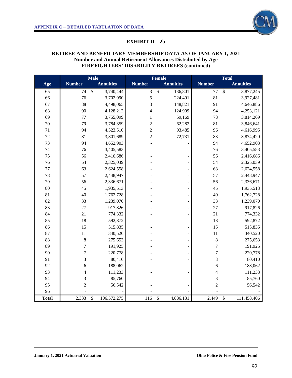

#### **EXHIBIT II – 2b**

#### **RETIREE AND BENEFICIARY MEMBERSHIP DATA AS OF JANUARY 1, 2021 Number and Annual Retirement Allowances Distributed by Age FIREFIGHTERS' DISABILITY RETIREES (continued)**

|              |                | <b>Male</b>       |                          | Female           |                  | <b>Total</b>               |
|--------------|----------------|-------------------|--------------------------|------------------|------------------|----------------------------|
| Age          | <b>Number</b>  | <b>Annuities</b>  | <b>Number</b>            | <b>Annuities</b> | <b>Number</b>    | <b>Annuities</b>           |
| 65           | 74             | \$<br>3,740,444   | 3                        | \$<br>136,801    | 77               | $\mathcal{S}$<br>3,877,245 |
| 66           | 76             | 3,702,990         | 5                        | 224,491          | 81               | 3,927,481                  |
| 67           | 88             | 4,498,065         | 3                        | 148,821          | 91               | 4,646,886                  |
| 68           | 90             | 4,128,212         | $\overline{\mathcal{L}}$ | 124,909          | 94               | 4,253,121                  |
| 69           | 77             | 3,755,099         | $\,1$                    | 59,169           | 78               | 3,814,269                  |
| $70\,$       | 79             | 3,784,359         | $\overline{c}$           | 62,282           | 81               | 3,846,641                  |
| 71           | 94             | 4,523,510         | $\overline{c}$           | 93,485           | 96               | 4,616,995                  |
| $72\,$       | 81             | 3,801,689         | $\overline{c}$           | 72,731           | 83               | 3,874,420                  |
| 73           | 94             | 4,652,903         |                          |                  | 94               | 4,652,903                  |
| 74           | 76             | 3,405,583         |                          |                  | 76               | 3,405,583                  |
| 75           | 56             | 2,416,686         |                          |                  | 56               | 2,416,686                  |
| 76           | 54             | 2,325,039         |                          |                  | 54               | 2,325,039                  |
| $77 \,$      | 63             | 2,624,558         |                          |                  | 63               | 2,624,558                  |
| 78           | 57             | 2,448,947         |                          |                  | 57               | 2,448,947                  |
| 79           | 56             | 2,336,671         |                          |                  | 56               | 2,336,671                  |
| 80           | 45             | 1,935,513         |                          |                  | 45               | 1,935,513                  |
| 81           | 40             | 1,762,728         |                          |                  | 40               | 1,762,728                  |
| 82           | 33             | 1,239,070         |                          |                  | 33               | 1,239,070                  |
| 83           | 27             | 917,826           |                          |                  | 27               | 917,826                    |
| 84           | 21             | 774,332           |                          |                  | 21               | 774,332                    |
| 85           | 18             | 592,872           |                          |                  | 18               | 592,872                    |
| 86           | 15             | 515,835           |                          |                  | 15               | 515,835                    |
| 87           | 11             | 340,520           |                          | $\overline{a}$   | $11\,$           | 340,520                    |
| 88           | $\,$ 8 $\,$    | 275,653           |                          |                  | $\,$ 8 $\,$      | 275,653                    |
| 89           | $\tau$         | 191,925           |                          |                  | $\boldsymbol{7}$ | 191,925                    |
| 90           | $\overline{7}$ | 220,778           |                          |                  | $\overline{7}$   | 220,778                    |
| 91           | 3              | 80,410            |                          |                  | 3                | 80,410                     |
| 92           | 6              | 188,062           |                          |                  | 6                | 188,062                    |
| 93           | $\overline{4}$ | 111,233           |                          |                  | $\overline{4}$   | 111,233                    |
| 94           | 3              | 85,760            |                          |                  | 3                | 85,760                     |
| 95           | $\overline{c}$ | 56,542            |                          |                  | $\overline{c}$   | 56,542                     |
| 96           |                |                   |                          |                  |                  |                            |
| <b>Total</b> | 2,333          | \$<br>106,572,275 | 116                      | \$<br>4,886,131  | 2,449            | \$<br>111,458,406          |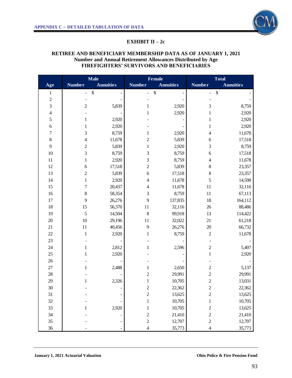

#### **EXHIBIT II – 2c**

## **RETIREE AND BENEFICIARY MEMBERSHIP DATA AS OF JANUARY 1, 2021 Number and Annual Retirement Allowances Distributed by Age FIREFIGHTERS' SURVIVORS AND BENEFICIARIES**

|                         |                                    | <b>Male</b>      |                          | Female            |                         | <b>Total</b>      |
|-------------------------|------------------------------------|------------------|--------------------------|-------------------|-------------------------|-------------------|
| Age                     | <b>Number</b>                      | <b>Annuities</b> | <b>Number</b>            | <b>Annuities</b>  | <b>Number</b>           | <b>Annuities</b>  |
| $\mathbf{1}$            | $\boldsymbol{\$}$<br>$\frac{1}{2}$ |                  | ÷,                       | $\boldsymbol{\$}$ | ÷                       | $\boldsymbol{\$}$ |
| $\boldsymbol{2}$        |                                    |                  |                          |                   |                         |                   |
| $\mathfrak{Z}$          | $\overline{c}$                     | 5,839            | $\mathbf{1}$             | 2,920             | $\mathfrak{Z}$          | 8,759             |
| $\overline{\mathbf{4}}$ |                                    |                  | $\mathbf{1}$             | 2,920             | $\mathbf{1}$            | 2,920             |
| 5                       | 1                                  | 2,920            |                          |                   | $\mathbf{1}$            | 2,920             |
| 6                       | 1                                  | 2,920            |                          |                   | $\mathbf 1$             | 2,920             |
| $\sqrt{ }$              | 3                                  | 8,759            | $\mathbf{1}$             | 2,920             | $\overline{\mathbf{4}}$ | 11,678            |
| $\,8$                   | 4                                  | 11,678           | $\overline{c}$           | 5,839             | 6                       | 17,518            |
| $\mathbf{9}$            | $\overline{c}$                     | 5,839            | $\mathbf 1$              | 2,920             | 3                       | 8,759             |
| $10\,$                  | 3                                  | 8,759            | 3                        | 8,759             | $\boldsymbol{6}$        | 17,518            |
| 11                      | $\mathbf{1}$                       | 2,920            | 3                        | 8,759             | $\overline{\mathbf{4}}$ | 11,678            |
| 12                      | 6                                  | 17,518           | $\overline{c}$           | 5,839             | 8                       | 23,357            |
| 13                      | $\overline{c}$                     | 5,839            | $\boldsymbol{6}$         | 17,518            | $\,8$                   | 23,357            |
| 14                      | 1                                  | 2,920            | $\overline{4}$           | 11,678            | 5                       | 14,598            |
| 15                      | $\overline{7}$                     | 20,437           | $\overline{\mathcal{L}}$ | 11,678            | 11                      | 32,116            |
| 16                      | $\,$ $\,$                          | 58,354           | 3                        | 8,759             | 11                      | 67,113            |
| 17                      | 9                                  | 26,276           | 9                        | 137,835           | 18                      | 164,112           |
| 18                      | 15                                 | 56,370           | 11                       | 32,116            | 26                      | 88,486            |
| 19                      | 5                                  | 14,504           | 8                        | 99,918            | 13                      | 114,422           |
| 20                      | $10\,$                             | 29,196           | 11                       | 32,022            | 21                      | 61,218            |
| 21                      | $11\,$                             | 40,456           | 9                        | 26,276            | $20\,$                  | 66,732            |
| $22\,$                  | $\mathbf{1}$                       | 2,920            | $\mathbf{1}$             | 8,759             | $\sqrt{2}$              | 11,678            |
| 23                      |                                    |                  |                          |                   |                         |                   |
| $24\,$                  | $\mathbf{1}$                       | 2,812            | 1                        | 2,596             | $\overline{c}$          | 5,407             |
| $25\,$                  | 1                                  | 2,920            |                          |                   | $\,1$                   | 2,920             |
| $26\,$                  |                                    |                  |                          |                   |                         |                   |
| 27                      | 1                                  | 2,488            | 1                        | 2,650             | $\boldsymbol{2}$        | 5,137             |
| 28                      |                                    |                  | $\overline{c}$           | 29,991            | $\overline{c}$          | 29,991            |
| 29                      | $\mathbf{1}$                       | 2,326            | $\mathbf 1$              | 10,705            | $\overline{c}$          | 13,031            |
| 30                      |                                    |                  | $\overline{\mathbf{c}}$  | 22,362            | $\overline{c}$          | 22,362            |
| 31                      |                                    |                  | $\overline{c}$           | 13,625            | $\overline{c}$          | 13,625            |
| 32                      |                                    |                  | $\,1$                    | 10,705            | $\mathbf{1}$            | 10,705            |
| 33                      |                                    | 2,920            | $\mathbf{1}$             | 10,705            | $\overline{c}$          | 13,625            |
| 34                      |                                    |                  | $\overline{c}$           | 21,410            | $\overline{c}$          | 21,410            |
| 35                      |                                    |                  | $\overline{c}$           | 12,707            | $\overline{c}$          | 12,707            |
| 36                      |                                    |                  | $\overline{4}$           | 35,773            | $\overline{\mathbf{4}}$ | 35,773            |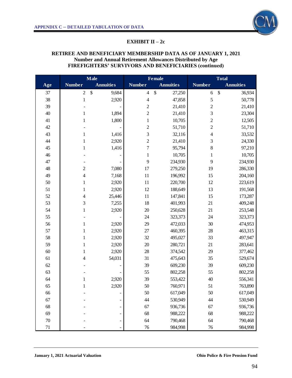

#### **EXHIBIT II – 2c**

#### **RETIREE AND BENEFICIARY MEMBERSHIP DATA AS OF JANUARY 1, 2021 Number and Annual Retirement Allowances Distributed by Age FIREFIGHTERS' SURVIVORS AND BENEFICIARIES (continued)**

|        | <b>Male</b>    |                                    | <b>Female</b>            |                                     | <b>Total</b>             |                             |
|--------|----------------|------------------------------------|--------------------------|-------------------------------------|--------------------------|-----------------------------|
| Age    | <b>Number</b>  | <b>Annuities</b>                   | <b>Number</b>            | <b>Annuities</b>                    | <b>Number</b>            | <b>Annuities</b>            |
| 37     | $\sqrt{2}$     | $\boldsymbol{\mathsf{S}}$<br>9,684 | $\overline{\mathcal{A}}$ | $\boldsymbol{\mathsf{S}}$<br>27,250 | 6                        | $\boldsymbol{\$}$<br>36,934 |
| 38     | $\,1$          | 2,920                              | $\overline{\mathcal{A}}$ | 47,858                              | 5                        | 50,778                      |
| 39     |                |                                    | $\mathbf{2}$             | 21,410                              | $\overline{c}$           | 21,410                      |
| 40     | $\mathbf{1}$   | 1,894                              | $\overline{c}$           | 21,410                              | 3                        | 23,304                      |
| 41     | $\mathbf{1}$   | 1,800                              | $\,1$                    | 10,705                              | $\overline{c}$           | 12,505                      |
| $42\,$ |                |                                    | $\overline{c}$           | 51,710                              | $\overline{c}$           | 51,710                      |
| 43     | 1              | 1,416                              | 3                        | 32,116                              | $\overline{\mathcal{L}}$ | 33,532                      |
| 44     | $\mathbf{1}$   | 2,920                              | $\overline{c}$           | 21,410                              | 3                        | 24,330                      |
| 45     | $\mathbf{1}$   | 1,416                              | $\overline{7}$           | 95,794                              | 8                        | 97,210                      |
| 46     |                |                                    | $\,1\,$                  | 10,705                              | $\mathbf{1}$             | 10,705                      |
| 47     |                |                                    | 9                        | 234,930                             | 9                        | 234,930                     |
| 48     | $\sqrt{2}$     | 7,080                              | 17                       | 279,250                             | 19                       | 286,330                     |
| 49     | 4              | 7,168                              | 11                       | 196,992                             | 15                       | 204,160                     |
| 50     | $\mathbf{1}$   | 2,920                              | 11                       | 220,700                             | 12                       | 223,619                     |
| 51     | $\mathbf{1}$   | 2,920                              | 12                       | 188,649                             | 13                       | 191,568                     |
| 52     | $\overline{4}$ | 25,446                             | 11                       | 147,841                             | 15                       | 173,287                     |
| 53     | 3              | 7,255                              | 18                       | 401,993                             | 21                       | 409,248                     |
| 54     | 1              | 2,920                              | 20                       | 250,628                             | 21                       | 253,548                     |
| 55     |                |                                    | 24                       | 323,373                             | 24                       | 323,373                     |
| 56     | $\mathbf{1}$   | 2,920                              | 29                       | 472,033                             | 30                       | 474,953                     |
| 57     | 1              | 2,920                              | 27                       | 460,395                             | 28                       | 463,315                     |
| 58     | $\mathbf{1}$   | 2,920                              | 32                       | 495,027                             | 33                       | 497,947                     |
| 59     | 1              | 2,920                              | 20                       | 280,721                             | 21                       | 283,641                     |
| 60     | $\mathbf{1}$   | 2,920                              | 28                       | 374,542                             | 29                       | 377,462                     |
| 61     | 4              | 54,031                             | 31                       | 475,643                             | 35                       | 529,674                     |
| 62     |                |                                    | 39                       | 609,230                             | 39                       | 609,230                     |
| 63     |                |                                    | 55                       | 802,258                             | 55                       | 802,258                     |
| 64     | 1              | 2,920                              | 39                       | 553,422                             | 40                       | 556,341                     |
| 65     | $\mathbf{1}$   | 2,920                              | 50                       | 760,971                             | 51                       | 763,890                     |
| 66     |                |                                    | 50                       | 617,049                             | 50                       | 617,049                     |
| 67     |                |                                    | 44                       | 530,949                             | 44                       | 530,949                     |
| 68     |                |                                    | 67                       | 936,736                             | 67                       | 936,736                     |
| 69     |                |                                    | 68                       | 988,222                             | 68                       | 988,222                     |
| $70\,$ |                |                                    | 64                       | 790,468                             | 64                       | 790,468                     |
| 71     |                |                                    | $76\,$                   | 984,998                             | 76                       | 984,998                     |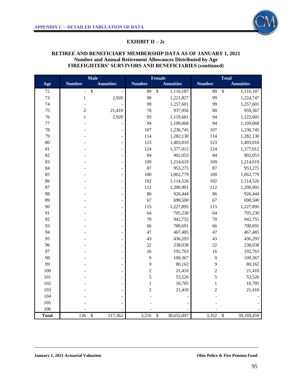

#### **EXHIBIT II – 2c**

#### **RETIREE AND BENEFICIARY MEMBERSHIP DATA AS OF JANUARY 1, 2021 Number and Annual Retirement Allowances Distributed by Age FIREFIGHTERS' SURVIVORS AND BENEFICIARIES (continued)**

|              | <b>Male</b>    |                            | Female         |                              | <b>Total</b>            |                            |
|--------------|----------------|----------------------------|----------------|------------------------------|-------------------------|----------------------------|
| Age          | <b>Number</b>  | <b>Annuities</b>           | <b>Number</b>  | <b>Annuities</b>             | <b>Number</b>           | <b>Annuities</b>           |
| $72\,$       | $\overline{a}$ | \$                         | 89             | $\overline{\$}$<br>1,116,187 | 89                      | $\mathsf{\$}$<br>1,116,187 |
| 73           | $\,1$          | 2,920                      | 98             | 1,221,827                    | 99                      | 1,224,747                  |
| 74           | $\frac{1}{2}$  |                            | 99             | 1,257,601                    | 99                      | 1,257,601                  |
| 75           | $\overline{c}$ | 21,410                     | 78             | 937,956                      | 80                      | 959,367                    |
| 76           | $\,1$          | 2,920                      | 93             | 1,119,681                    | 94                      | 1,122,601                  |
| 77           |                |                            | 94             | 1,109,068                    | 94                      | 1,109,068                  |
| 78           |                | $\overline{\phantom{a}}$   | 107            | 1,236,745                    | 107                     | 1,236,745                  |
| 79           |                |                            | 114            | 1,282,130                    | 114                     | 1,282,130                  |
| 80           |                |                            | 123            | 1,403,010                    | 123                     | 1,403,010                  |
| 81           |                | $\overline{a}$             | 124            | 1,377,012                    | 124                     | 1,377,012                  |
| 82           |                | $\overline{a}$             | 84             | 902,053                      | 84                      | 902,053                    |
| 83           |                | $\overline{a}$             | 109            | 1,214,619                    | 109                     | 1,214,619                  |
| 84           |                | $\frac{1}{2}$              | 87             | 953,275                      | 87                      | 953,275                    |
| 85           |                | $\overline{\phantom{a}}$   | 100            | 1,062,779                    | 100                     | 1,062,779                  |
| 86           |                | $\overline{\phantom{0}}$   | 102            | 1,114,526                    | 102                     | 1,114,526                  |
| 87           |                | $\frac{1}{2}$              | 112            | 1,200,901                    | 112                     | 1,200,901                  |
| 88           |                | $\overline{a}$             | 86             | 926,444                      | 86                      | 926,444                    |
| 89           |                | $\blacksquare$             | 67             | 690,500                      | 67                      | 690,500                    |
| 90           |                | $\frac{1}{2}$              | 115            | 1,227,895                    | 115                     | 1,227,895                  |
| 91           |                | $\overline{a}$             | 64             | 705,230                      | 64                      | 705,230                    |
| 92           |                | $\Box$                     | 70             | 942,755                      | 70                      | 942,755                    |
| 93           |                | $\Box$                     | 66             | 700,691                      | 66                      | 700,691                    |
| 94           |                | $\overline{a}$             | 47             | 467,485                      | 47                      | 467,485                    |
| 95           |                | $\overline{a}$             | 43             | 436,293                      | 43                      | 436,293                    |
| 96           |                | $\overline{\phantom{0}}$   | 22             | 238,038                      | 22                      | 238,038                    |
| 97           |                | $\frac{1}{2}$              | 16             | 192,763                      | 16                      | 192,763                    |
| 98           |                | $\overline{a}$             | 9              | 109,367                      | 9                       | 109,367                    |
| 99           |                | $\overline{\phantom{0}}$   | 9              | 80,162                       | 9                       | 80,162                     |
| 100          |                | $\overline{\phantom{0}}$   | $\overline{c}$ | 21,410                       | $\overline{\mathbf{c}}$ | 21,410                     |
| 101          |                |                            | 5              | 53,526                       | 5                       | 53,526                     |
| 102          |                |                            | $\,1$          | 10,705                       | $\,1\,$                 | 10,705                     |
| 103          |                |                            | $\overline{c}$ | 21,410                       | $\overline{c}$          | 21,410                     |
| 104          |                |                            |                |                              |                         |                            |
| 105          |                |                            |                |                              |                         |                            |
| 106          |                |                            |                |                              |                         |                            |
| <b>Total</b> | 136            | $\overline{\$}$<br>517,362 | 3,216          | \$<br>38,652,097             | 3,352                   | \$<br>39,169,459           |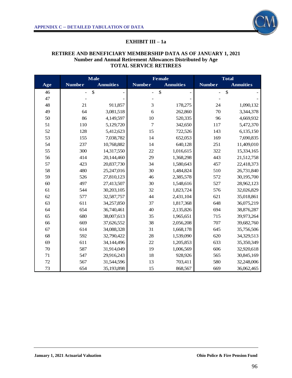

#### **EXHIBIT III – 1a**

# **RETIREE AND BENEFICIARY MEMBERSHIP DATA AS OF JANUARY 1, 2021 Number and Annual Retirement Allowances Distributed by Age TOTAL SERVICE RETIREES**

|     | <b>Male</b>              |                           |                | <b>Female</b>             | Total          |                  |
|-----|--------------------------|---------------------------|----------------|---------------------------|----------------|------------------|
| Age | <b>Number</b>            | <b>Annuities</b>          | <b>Number</b>  | <b>Annuities</b>          | <b>Number</b>  | <b>Annuities</b> |
| 46  | $\overline{\phantom{0}}$ | $\boldsymbol{\mathsf{S}}$ | $\frac{1}{2}$  | $\boldsymbol{\mathsf{S}}$ | $\overline{a}$ | $\frac{1}{2}$    |
| 47  |                          |                           |                |                           |                |                  |
| 48  | 21                       | 911,857                   | 3              | 178,275                   | 24             | 1,090,132        |
| 49  | 64                       | 3,081,518                 | 6              | 262,860                   | 70             | 3,344,378        |
| 50  | 86                       | 4,149,597                 | 10             | 520,335                   | 96             | 4,669,932        |
| 51  | 110                      | 5,129,720                 | $\overline{7}$ | 342,650                   | 117            | 5,472,370        |
| 52  | 128                      | 5,412,623                 | 15             | 722,526                   | 143            | 6,135,150        |
| 53  | 155                      | 7,038,782                 | 14             | 652,053                   | 169            | 7,690,835        |
| 54  | 237                      | 10,768,882                | 14             | 640,128                   | 251            | 11,409,010       |
| 55  | 300                      | 14,317,550                | 22             | 1,016,615                 | 322            | 15,334,165       |
| 56  | 414                      | 20,144,460                | 29             | 1,368,298                 | 443            | 21,512,758       |
| 57  | 423                      | 20,837,730                | 34             | 1,580,643                 | 457            | 22,418,373       |
| 58  | 480                      | 25,247,016                | 30             | 1,484,824                 | 510            | 26,731,840       |
| 59  | 526                      | 27,810,123                | 46             | 2,385,578                 | 572            | 30,195,700       |
| 60  | 497                      | 27,413,507                | 30             | 1,548,616                 | 527            | 28,962,123       |
| 61  | 544                      | 30,203,105                | 32             | 1,823,724                 | 576            | 32,026,829       |
| 62  | 577                      | 32,587,757                | 44             | 2,431,104                 | 621            | 35,018,861       |
| 63  | 611                      | 34,257,850                | 37             | 1,817,368                 | 648            | 36,075,219       |
| 64  | 654                      | 36,740,461                | 40             | 2,135,826                 | 694            | 38,876,287       |
| 65  | 680                      | 38,007,613                | 35             | 1,965,651                 | 715            | 39,973,264       |
| 66  | 669                      | 37,626,552                | 38             | 2,056,208                 | 707            | 39,682,760       |
| 67  | 614                      | 34,088,328                | 31             | 1,668,178                 | 645            | 35,756,506       |
| 68  | 592                      | 32,790,422                | 28             | 1,539,090                 | 620            | 34,329,513       |
| 69  | 611                      | 34,144,496                | 22             | 1,205,853                 | 633            | 35,350,349       |
| 70  | 587                      | 31,914,049                | 19             | 1,006,569                 | 606            | 32,920,618       |
| 71  | 547                      | 29,916,243                | 18             | 928,926                   | 565            | 30,845,169       |
| 72  | 567                      | 31,544,596                | 13             | 703,411                   | 580            | 32,248,006       |
| 73  | 654                      | 35,193,898                | 15             | 868,567                   | 669            | 36,062,465       |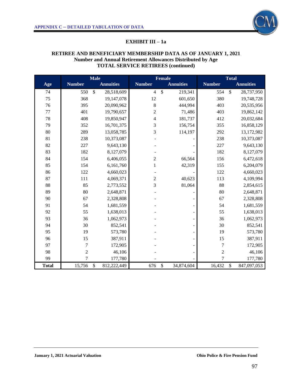

## **EXHIBIT III – 1a**

## **RETIREE AND BENEFICIARY MEMBERSHIP DATA AS OF JANUARY 1, 2021 Number and Annual Retirement Allowances Distributed by Age TOTAL SERVICE RETIREES (continued)**

|              | <b>Male</b>    |                            | <b>Female</b>            |                             | <b>Total</b>   |                             |
|--------------|----------------|----------------------------|--------------------------|-----------------------------|----------------|-----------------------------|
| Age          | <b>Number</b>  | <b>Annuities</b>           | <b>Number</b>            | <b>Annuities</b>            | <b>Number</b>  | <b>Annuities</b>            |
| 74           | 550            | $\mathbb{S}$<br>28,518,609 | $\overline{4}$           | $\mathcal{S}$<br>219,341    | 554            | $\mathcal{S}$<br>28,737,950 |
| 75           | 368            | 19,147,078                 | 12                       | 601,650                     | 380            | 19,748,728                  |
| 76           | 395            | 20,090,962                 | 8                        | 444,994                     | 403            | 20,535,956                  |
| $77 \,$      | 401            | 19,790,657                 | $\overline{2}$           | 71,486                      | 403            | 19,862,142                  |
| 78           | 408            | 19,850,947                 | $\overline{\mathcal{L}}$ | 181,737                     | 412            | 20,032,684                  |
| 79           | 352            | 16,701,375                 | 3                        | 156,754                     | 355            | 16,858,129                  |
| 80           | 289            | 13,058,785                 | 3                        | 114,197                     | 292            | 13,172,982                  |
| 81           | 238            | 10,373,087                 |                          |                             | 238            | 10,373,087                  |
| 82           | 227            | 9,643,130                  |                          |                             | 227            | 9,643,130                   |
| 83           | 182            | 8,127,079                  |                          |                             | 182            | 8,127,079                   |
| 84           | 154            | 6,406,055                  | $\overline{2}$           | 66,564                      | 156            | 6,472,618                   |
| 85           | 154            | 6,161,760                  | 1                        | 42,319                      | 155            | 6,204,079                   |
| 86           | 122            | 4,660,023                  |                          |                             | 122            | 4,660,023                   |
| 87           | 111            | 4,069,371                  | $\overline{2}$           | 40,623                      | 113            | 4,109,994                   |
| 88           | 85             | 2,773,552                  | 3                        | 81,064                      | 88             | 2,854,615                   |
| 89           | $80\,$         | 2,648,871                  |                          |                             | 80             | 2,648,871                   |
| 90           | 67             | 2,328,808                  |                          |                             | 67             | 2,328,808                   |
| 91           | 54             | 1,681,559                  |                          |                             | 54             | 1,681,559                   |
| 92           | 55             | 1,638,013                  |                          |                             | 55             | 1,638,013                   |
| 93           | 36             | 1,062,973                  |                          |                             | 36             | 1,062,973                   |
| 94           | 30             | 852,541                    |                          | $\overline{\phantom{m}}$    | 30             | 852,541                     |
| 95           | 19             | 573,780                    |                          |                             | 19             | 573,780                     |
| 96           | 15             | 387,911                    |                          |                             | 15             | 387,911                     |
| 97           | $\overline{7}$ | 172,905                    |                          |                             | 7              | 172,905                     |
| 98           | $\overline{c}$ | 46,106                     |                          |                             | $\overline{2}$ | 46,106                      |
| 99           | $\overline{7}$ | 177,780                    |                          |                             | $\overline{7}$ | 177,780                     |
| <b>Total</b> | 15,756         | \$<br>812,222,449          | 676                      | $\mathcal{S}$<br>34,874,604 | 16,432         | \$<br>847,097,053           |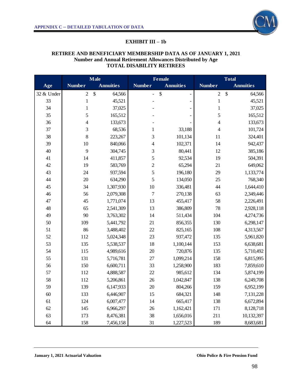# **EXHIBIT III – 1b**

# **RETIREE AND BENEFICIARY MEMBERSHIP DATA AS OF JANUARY 1, 2021 Number and Annual Retirement Allowances Distributed by Age TOTAL DISABILITY RETIREES**

|            | <b>Male</b>   |                  |                          | <b>Female</b>                                         | <b>Total</b>             |                  |
|------------|---------------|------------------|--------------------------|-------------------------------------------------------|--------------------------|------------------|
| Age        | <b>Number</b> | <b>Annuities</b> | <b>Number</b>            | <b>Annuities</b>                                      | <b>Number</b>            | <b>Annuities</b> |
| 32 & Under | $\sqrt{2}$    | \$<br>64,566     | $\overline{\phantom{0}}$ | $\boldsymbol{\mathsf{S}}$<br>$\overline{\phantom{0}}$ | $\mathbf{2}$             | \$<br>64,566     |
| 33         | $\mathbf{1}$  | 45,521           |                          | -                                                     | $\mathbf{1}$             | 45,521           |
| 34         | $\mathbf{1}$  | 37,025           |                          |                                                       | $\mathbf{1}$             | 37,025           |
| 35         | 5             | 165,512          |                          |                                                       | 5                        | 165,512          |
| 36         | 4             | 133,673          |                          |                                                       | $\overline{\mathcal{L}}$ | 133,673          |
| 37         | 3             | 68,536           | $\mathbf{1}$             | 33,188                                                | 4                        | 101,724          |
| 38         | 8             | 223,267          | 3                        | 101,134                                               | 11                       | 324,401          |
| 39         | 10            | 840,066          | $\overline{\mathcal{A}}$ | 102,371                                               | 14                       | 942,437          |
| 40         | 9             | 304,745          | 3                        | 80,441                                                | 12                       | 385,186          |
| 41         | 14            | 411,857          | 5                        | 92,534                                                | 19                       | 504,391          |
| 42         | 19            | 583,769          | $\overline{c}$           | 65,294                                                | 21                       | 649,062          |
| 43         | 24            | 937,594          | 5                        | 196,180                                               | 29                       | 1,133,774        |
| 44         | 20            | 634,290          | 5                        | 134,050                                               | 25                       | 768,340          |
| 45         | 34            | 1,307,930        | 10                       | 336,481                                               | 44                       | 1,644,410        |
| 46         | 56            | 2,079,308        | $\boldsymbol{7}$         | 270,138                                               | 63                       | 2,349,446        |
| 47         | 45            | 1,771,074        | 13                       | 455,417                                               | 58                       | 2,226,491        |
| 48         | 65            | 2,541,309        | 13                       | 386,809                                               | 78                       | 2,928,118        |
| 49         | 90            | 3,763,302        | 14                       | 511,434                                               | 104                      | 4,274,736        |
| 50         | 109           | 5,441,792        | 21                       | 856,355                                               | 130                      | 6,298,147        |
| 51         | 86            | 3,488,402        | 22                       | 825,165                                               | 108                      | 4,313,567        |
| 52         | 112           | 5,024,348        | 23                       | 937,472                                               | 135                      | 5,961,820        |
| 53         | 135           | 5,538,537        | 18                       | 1,100,144                                             | 153                      | 6,638,681        |
| 54         | 115           | 4,989,616        | $20\,$                   | 720,876                                               | 135                      | 5,710,492        |
| 55         | 131           | 5,716,781        | 27                       | 1,099,214                                             | 158                      | 6,815,995        |
| 56         | 150           | 6,600,711        | 33                       | 1,258,900                                             | 183                      | 7,859,610        |
| 57         | 112           | 4,888,587        | $22\,$                   | 985,612                                               | 134                      | 5,874,199        |
| 58         | 112           | 5,206,861        | 26                       | 1,042,847                                             | 138                      | 6,249,708        |
| 59         | 139           | 6,147,933        | 20                       | 804,266                                               | 159                      | 6,952,199        |
| $60\,$     | 133           | 6,446,907        | 15                       | 684,321                                               | 148                      | 7,131,228        |
| 61         | 124           | 6,007,477        | 14                       | 665,417                                               | 138                      | 6,672,894        |
| $62\,$     | 145           | 6,966,297        | 26                       | 1,162,421                                             | 171                      | 8,128,718        |
| 63         | 173           | 8,476,381        | 38                       | 1,656,016                                             | 211                      | 10,132,397       |
| 64         | 158           | 7,456,158        | 31                       | 1,227,523                                             | 189                      | 8,683,681        |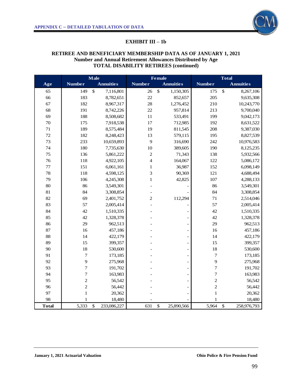# **EXHIBIT III – 1b**

# **RETIREE AND BENEFICIARY MEMBERSHIP DATA AS OF JANUARY 1, 2021 Number and Annual Retirement Allowances Distributed by Age TOTAL DISABILITY RETIREES (continued)**

|              | <b>Male</b>      |                            | <b>Female</b>  |                           | <b>Total</b>     |                              |
|--------------|------------------|----------------------------|----------------|---------------------------|------------------|------------------------------|
| Age          | <b>Number</b>    | <b>Annuities</b>           | <b>Number</b>  | <b>Annuities</b>          | <b>Number</b>    | <b>Annuities</b>             |
| 65           | 149              | $\mathcal{S}$<br>7,116,801 | 26             | $\mathbb{S}$<br>1,150,305 | 175              | $\mathbb{S}$<br>8,267,106    |
| 66           | 183              | 8,782,651                  | 22             | 852,657                   | 205              | 9,635,308                    |
| 67           | 182              | 8,967,317                  | 28             | 1,276,452                 | 210              | 10,243,770                   |
| 68           | 191              | 8,742,226                  | 22             | 957,814                   | 213              | 9,700,040                    |
| 69           | 188              | 8,508,682                  | 11             | 533,491                   | 199              | 9,042,173                    |
| 70           | 175              | 7,918,538                  | 17             | 712,985                   | 192              | 8,631,522                    |
| 71           | 189              | 8,575,484                  | 19             | 811,545                   | 208              | 9,387,030                    |
| 72           | 182              | 8,248,423                  | 13             | 579,115                   | 195              | 8,827,539                    |
| 73           | 233              | 10,659,893                 | 9              | 316,690                   | 242              | 10,976,583                   |
| 74           | 180              | 7,735,630                  | 10             | 389,605                   | 190              | 8,125,235                    |
| 75           | 136              | 5,861,222                  | $\overline{c}$ | 71,343                    | 138              | 5,932,566                    |
| 76           | 118              | 4,922,105                  | $\overline{4}$ | 164,067                   | 122              | 5,086,172                    |
| 77           | 151              | 6,061,161                  | 1              | 36,987                    | 152              | 6,098,149                    |
| 78           | 118              | 4,598,125                  | 3              | 90,369                    | 121              | 4,688,494                    |
| 79           | 106              | 4,245,308                  | $\mathbf{1}$   | 42,825                    | 107              | 4,288,133                    |
| 80           | 86               | 3,549,301                  |                |                           | 86               | 3,549,301                    |
| 81           | 84               | 3,308,854                  |                |                           | 84               | 3,308,854                    |
| 82           | 69               | 2,401,752                  | $\overline{c}$ | 112,294                   | 71               | 2,514,046                    |
| 83           | 57               | 2,005,414                  |                |                           | 57               | 2,005,414                    |
| 84           | 42               | 1,510,335                  |                |                           | 42               | 1,510,335                    |
| 85           | 42               | 1,328,378                  |                |                           | 42               | 1,328,378                    |
| 86           | 29               | 962,513                    |                |                           | 29               | 962,513                      |
| 87           | 16               | 457,186                    |                |                           | 16               | 457,186                      |
| 88           | 14               | 422,179                    |                |                           | 14               | 422,179                      |
| 89           | 15               | 399,357                    |                |                           | 15               | 399,357                      |
| 90           | 18               | 530,600                    |                |                           | 18               | 530,600                      |
| 91           | $\boldsymbol{7}$ | 173,185                    |                |                           | $\boldsymbol{7}$ | 173,185                      |
| 92           | 9                | 275,968                    |                |                           | 9                | 275,968                      |
| 93           | $\overline{7}$   | 191,702                    |                |                           | $\boldsymbol{7}$ | 191,702                      |
| 94           | $\boldsymbol{7}$ | 163,983                    |                |                           | $\boldsymbol{7}$ | 163,983                      |
| 95           | $\overline{c}$   | 56,542                     |                |                           | $\overline{c}$   | 56,542                       |
| 96           | $\overline{c}$   | 56,442                     |                |                           | $\overline{c}$   | 56,442                       |
| 97           | $\mathbf{1}$     | 20,362                     |                |                           | $\mathbf{1}$     | 20,362                       |
| 98           | 1                | 18,480                     |                |                           | 1                | 18,480                       |
| <b>Total</b> | 5,333            | \$<br>233,086,227          | 631            | \$<br>25,890,566          | 5,964            | $\mathcal{S}$<br>258,976,793 |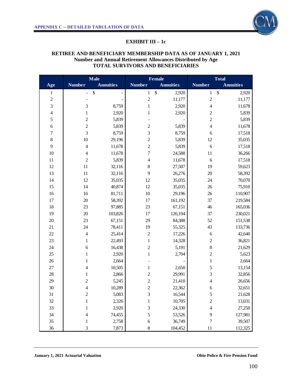

#### **EXHIBIT III – 1c**

#### **RETIREE AND BENEFICIARY MEMBERSHIP DATA AS OF JANUARY 1, 2021 Number and Annual Retirement Allowances Distributed by Age TOTAL SURVIVORS AND BENEFICIARIES**

|                         | $M$ ale                 |                  |                         | <b>Female</b>    | <b>Total</b>             |                                    |
|-------------------------|-------------------------|------------------|-------------------------|------------------|--------------------------|------------------------------------|
| Age                     | <b>Number</b>           | <b>Annuities</b> | <b>Number</b>           | <b>Annuities</b> | <b>Number</b>            | <b>Annuities</b>                   |
| $\mathbf{1}$            | -                       | $\$\,$<br>-      | $\mathbf{1}$            | \$<br>2,920      | $\mathbf{1}$             | $\boldsymbol{\mathsf{S}}$<br>2,920 |
| $\overline{c}$          |                         |                  | $\overline{c}$          | 11,177           | $\overline{c}$           | 11,177                             |
| 3                       | 3                       | 8,759            | $\mathbf{1}$            | 2,920            | 4                        | 11,678                             |
| $\overline{\mathbf{4}}$ | $\mathbf{1}$            | 2,920            | $\mathbf{1}$            | 2,920            | $\overline{c}$           | 5,839                              |
| 5                       | $\overline{2}$          | 5,839            |                         |                  | $\overline{2}$           | 5,839                              |
| 6                       | $\overline{c}$          | 5,839            | $\overline{2}$          | 5,839            | $\overline{\mathcal{L}}$ | 11,678                             |
| 7                       | 3                       | 8,759            | 3                       | 8,759            | $\boldsymbol{6}$         | 17,518                             |
| $\,8\,$                 | 10                      | 29,196           | $\overline{c}$          | 5,839            | 12                       | 35,035                             |
| $\mathbf{9}$            | $\overline{4}$          | 11,678           | $\overline{c}$          | 5,839            | 6                        | 17,518                             |
| 10                      | $\overline{4}$          | 11,678           | $\overline{7}$          | 24,588           | 11                       | 36,266                             |
| 11                      | $\overline{c}$          | 5,839            | $\overline{4}$          | 11,678           | 6                        | 17,518                             |
| 12                      | 11                      | 32,116           | $\,$ 8 $\,$             | 27,507           | 19                       | 59,623                             |
| 13                      | 11                      | 32,116           | 9                       | 26,276           | 20                       | 58,392                             |
| 14                      | 12                      | 35,035           | 12                      | 35,035           | 24                       | 70,070                             |
| 15                      | 14                      | 40,874           | 12                      | 35,035           | 26                       | 75,910                             |
| 16                      | 16                      | 81,711           | 10                      | 29,196           | 26                       | 110,907                            |
| 17                      | 20                      | 58,392           | 17                      | 161,192          | 37                       | 219,584                            |
| 18                      | 23                      | 97,885           | 23                      | 67,151           | 46                       | 165,036                            |
| 19                      | 20                      | 103,826          | 17                      | 126,194          | 37                       | 230,021                            |
| 20                      | 23                      | 67,151           | 29                      | 84,388           | 52                       | 151,538                            |
| 21                      | 24                      | 78,411           | 19                      | 55,325           | 43                       | 133,736                            |
| $22\,$                  | $\overline{4}$          | 25,414           | $\sqrt{2}$              | 17,226           | 6                        | 42,640                             |
| 23                      | $\,1$                   | 22,493           | $\mathbf{1}$            | 14,328           | $\overline{\mathbf{c}}$  | 36,821                             |
| 24                      | 6                       | 16,438           | $\overline{c}$          | 5,191            | 8                        | 21,629                             |
| 25                      | 1                       | 2,920            | $\mathbf{1}$            | 2,704            | $\overline{\mathbf{c}}$  | 5,623                              |
| 26                      | $\mathbf{1}$            | 2,664            |                         |                  | $\,1$                    | 2,664                              |
| $27\,$                  | 4                       | 10,505           | $\mathbf{1}$            | 2,650            | 5                        | 13,154                             |
| 28                      | $\mathbf{1}$            | 2,866            | $\overline{\mathbf{c}}$ | 29,991           | 3                        | 32,856                             |
| 29                      | $\overline{c}$          | 5,245            | $\overline{c}$          | 21,410           | 4                        | 26,656                             |
| 30                      | 4                       | 10,289           | $\overline{c}$          | 22,362           | 6                        | 32,651                             |
| 31                      | $\overline{\mathbf{c}}$ | 5,083            | $\sqrt{3}$              | 16,544           | 5                        | 21,628                             |
| 32                      | $\mathbf 1$             | 2,326            | $\mathbf{1}$            | 10,705           | $\overline{\mathbf{c}}$  | 13,031                             |
| 33                      | 1                       | 2,920            | 3                       | 24,330           | $\overline{\mathcal{A}}$ | 27,250                             |
| 34                      | 4                       | 74,455           | 5                       | 53,526           | 9                        | 127,981                            |
| 35                      | 1                       | 2,758            | 6                       | 36,749           | $\overline{7}$           | 39,507                             |
| 36                      | 3                       | 7,873            | $\,$ 8 $\,$             | 104,452          | 11                       | 112,325                            |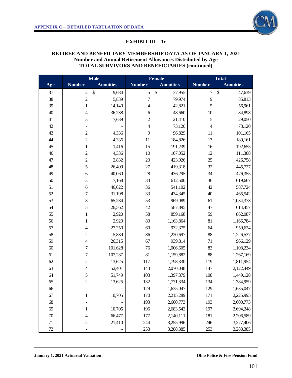

#### **EXHIBIT III – 1c**

#### **RETIREE AND BENEFICIARY MEMBERSHIP DATA AS OF JANUARY 1, 2021 Number and Annual Retirement Allowances Distributed by Age TOTAL SURVIVORS AND BENEFICIARIES (continued)**

|        | Male                     |                                     | Female           |                                     | <b>Total</b>     |                  |
|--------|--------------------------|-------------------------------------|------------------|-------------------------------------|------------------|------------------|
| Age    | <b>Number</b>            | <b>Annuities</b>                    | <b>Number</b>    | <b>Annuities</b>                    | <b>Number</b>    | <b>Annuities</b> |
| 37     | $\mathbf{2}$             | $\boldsymbol{\mathsf{\$}}$<br>9,684 | $\mathfrak s$    | $\boldsymbol{\mathsf{S}}$<br>37,955 | $\boldsymbol{7}$ | \$<br>47,639     |
| 38     | $\overline{c}$           | 5,839                               | $\boldsymbol{7}$ | 79,974                              | $\overline{9}$   | 85,813           |
| 39     | $\mathbf{1}$             | 14,140                              | $\overline{4}$   | 42,821                              | 5                | 56,961           |
| 40     | $\overline{\mathcal{L}}$ | 36,238                              | 6                | 48,660                              | 10               | 84,898           |
| 41     | 3                        | 7,639                               | $\overline{c}$   | 21,410                              | 5                | 29,050           |
| 42     |                          |                                     | $\overline{4}$   | 73,120                              | $\overline{4}$   | 73,120           |
| 43     | $\overline{c}$           | 4,336                               | 9                | 96,829                              | 11               | 101,165          |
| 44     | $\overline{c}$           | 4,336                               | 11               | 184,826                             | 13               | 189,161          |
| 45     | $\mathbf{1}$             | 1,416                               | 15               | 191,239                             | 16               | 192,655          |
| 46     | $\overline{c}$           | 4,336                               | 10               | 107,052                             | 12               | 111,388          |
| 47     | $\overline{c}$           | 2,832                               | 23               | 423,926                             | 25               | 426,758          |
| 48     | 5                        | 26,409                              | $27\,$           | 419,318                             | 32               | 445,727          |
| 49     | 6                        | 40,060                              | 28               | 436,295                             | 34               | 476,355          |
| 50     | 3                        | 7,168                               | 33               | 612,500                             | 36               | 619,667          |
| 51     | $\boldsymbol{6}$         | 46,622                              | 36               | 541,102                             | 42               | 587,724          |
| 52     | 7                        | 31,198                              | 33               | 434,345                             | 40               | 465,542          |
| 53     | $\,8\,$                  | 65,284                              | 53               | 969,089                             | 61               | 1,034,373        |
| 54     | 5                        | 26,562                              | 42               | 587,895                             | 47               | 614,457          |
| 55     | 1                        | 2,920                               | 58               | 859,168                             | 59               | 862,087          |
| 56     | $\mathbf{1}$             | 2,920                               | 80               | 1,163,864                           | 81               | 1,166,784        |
| 57     | 4                        | 27,250                              | 60               | 932,375                             | 64               | 959,624          |
| 58     | $\overline{c}$           | 5,839                               | 86               | 1,220,697                           | 88               | 1,226,537        |
| 59     | $\overline{4}$           | 26,315                              | 67               | 939,814                             | 71               | 966,129          |
| 60     | 7                        | 101,628                             | 76               | 1,006,605                           | 83               | 1,108,234        |
| 61     | 7                        | 107,287                             | 81               | 1,159,882                           | 88               | 1,267,169        |
| 62     | $\overline{\mathbf{c}}$  | 13,625                              | 117              | 1,798,330                           | 119              | 1,811,954        |
| 63     | 4                        | 52,401                              | 143              | 2,070,048                           | 147              | 2,122,449        |
| 64     | 5                        | 51,749                              | 103              | 1,397,379                           | 108              | 1,449,128        |
| 65     | $\overline{c}$           | 13,625                              | 132              | 1,771,334                           | 134              | 1,784,959        |
| 66     |                          |                                     | 129              | 1,635,047                           | 129              | 1,635,047        |
| 67     | $\mathbf{1}$             | 10,705                              | 170              | 2,215,289                           | 171              | 2,225,995        |
| 68     |                          |                                     | 193              | 2,600,773                           | 193              | 2,600,773        |
| 69     | 1                        | 10,705                              | 196              | 2,683,542                           | 197              | 2,694,248        |
| $70\,$ | 4                        | 66,477                              | 177              | 2,140,111                           | 181              | 2,206,589        |
| 71     | $\overline{c}$           | 21,410                              | 244              | 3,255,996                           | 246              | 3,277,406        |
| $72\,$ |                          |                                     | 253              | 3,288,385                           | 253              | 3,288,385        |